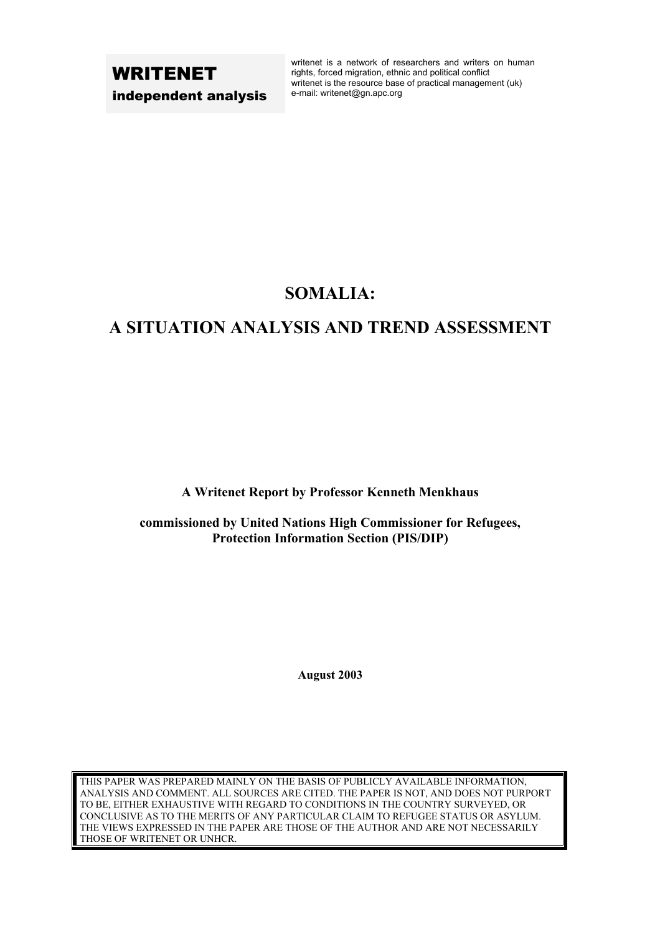# WRITENET independent analysis

writenet is a network of researchers and writers on human rights, forced migration, ethnic and political conflict writenet is the resource base of practical management (uk) e-mail: writenet@gn.apc.org

# **SOMALIA:**

# **A SITUATION ANALYSIS AND TREND ASSESSMENT**

**A Writenet Report by Professor Kenneth Menkhaus** 

**commissioned by United Nations High Commissioner for Refugees, Protection Information Section (PIS/DIP)** 

**August 2003**

THIS PAPER WAS PREPARED MAINLY ON THE BASIS OF PUBLICLY AVAILABLE INFORMATION, ANALYSIS AND COMMENT. ALL SOURCES ARE CITED. THE PAPER IS NOT, AND DOES NOT PURPORT TO BE, EITHER EXHAUSTIVE WITH REGARD TO CONDITIONS IN THE COUNTRY SURVEYED, OR CONCLUSIVE AS TO THE MERITS OF ANY PARTICULAR CLAIM TO REFUGEE STATUS OR ASYLUM. THE VIEWS EXPRESSED IN THE PAPER ARE THOSE OF THE AUTHOR AND ARE NOT NECESSARILY THOSE OF WRITENET OR UNHCR.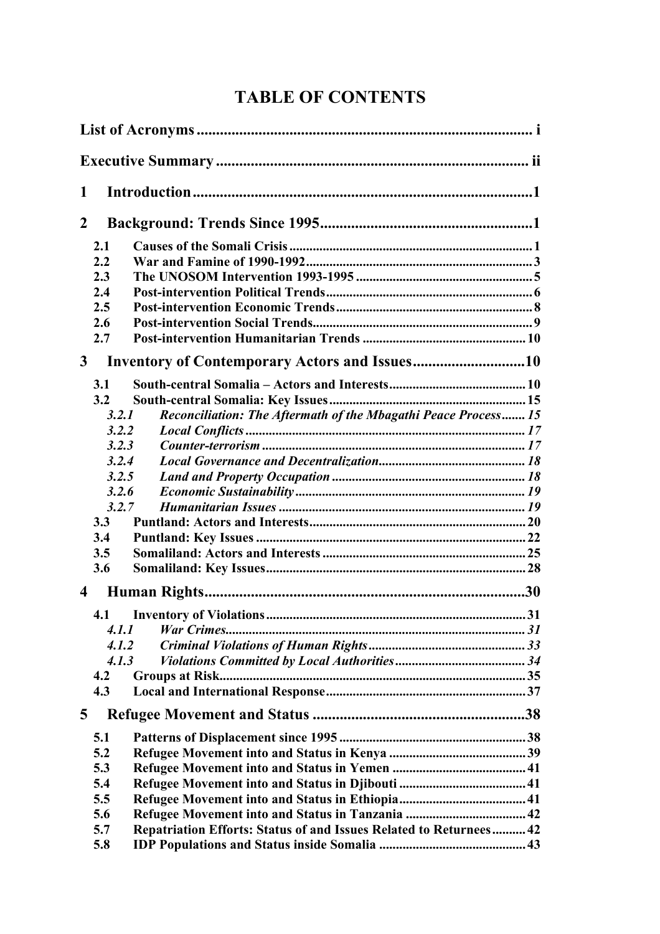# **TABLE OF CONTENTS**

| 1                       |                                                                           |  |  |  |
|-------------------------|---------------------------------------------------------------------------|--|--|--|
| $\mathbf{2}$            |                                                                           |  |  |  |
|                         | 2.1                                                                       |  |  |  |
|                         | 2.2                                                                       |  |  |  |
|                         | 2.3                                                                       |  |  |  |
|                         | 2.4                                                                       |  |  |  |
|                         | 2.5                                                                       |  |  |  |
|                         | 2.6                                                                       |  |  |  |
|                         | 2.7                                                                       |  |  |  |
| $\mathbf{3}$            | <b>Inventory of Contemporary Actors and Issues10</b>                      |  |  |  |
|                         | 3.1                                                                       |  |  |  |
|                         | 3.2                                                                       |  |  |  |
|                         | Reconciliation: The Aftermath of the Mbagathi Peace Process 15<br>3.2.1   |  |  |  |
|                         | 3.2.2                                                                     |  |  |  |
|                         | 3.2.3                                                                     |  |  |  |
|                         | 3.2.4                                                                     |  |  |  |
|                         | 3.2.5                                                                     |  |  |  |
|                         | 3.2.6                                                                     |  |  |  |
|                         | 3.2.7                                                                     |  |  |  |
|                         | 3.3                                                                       |  |  |  |
|                         | 3.4                                                                       |  |  |  |
|                         | 3.5                                                                       |  |  |  |
|                         | 3.6                                                                       |  |  |  |
| $\overline{\mathbf{4}}$ |                                                                           |  |  |  |
|                         | 4.1                                                                       |  |  |  |
|                         | 4.1.1                                                                     |  |  |  |
|                         | 4.1.2                                                                     |  |  |  |
|                         | 4.1.3                                                                     |  |  |  |
|                         | 4.2                                                                       |  |  |  |
|                         | 4.3                                                                       |  |  |  |
| $\overline{5}$          |                                                                           |  |  |  |
|                         | 5.1                                                                       |  |  |  |
|                         | 5.2                                                                       |  |  |  |
|                         | 5.3                                                                       |  |  |  |
|                         | 5.4                                                                       |  |  |  |
|                         | 5.5                                                                       |  |  |  |
|                         | 5.6                                                                       |  |  |  |
|                         | 5.7<br>Repatriation Efforts: Status of and Issues Related to Returnees 42 |  |  |  |
|                         | 5.8                                                                       |  |  |  |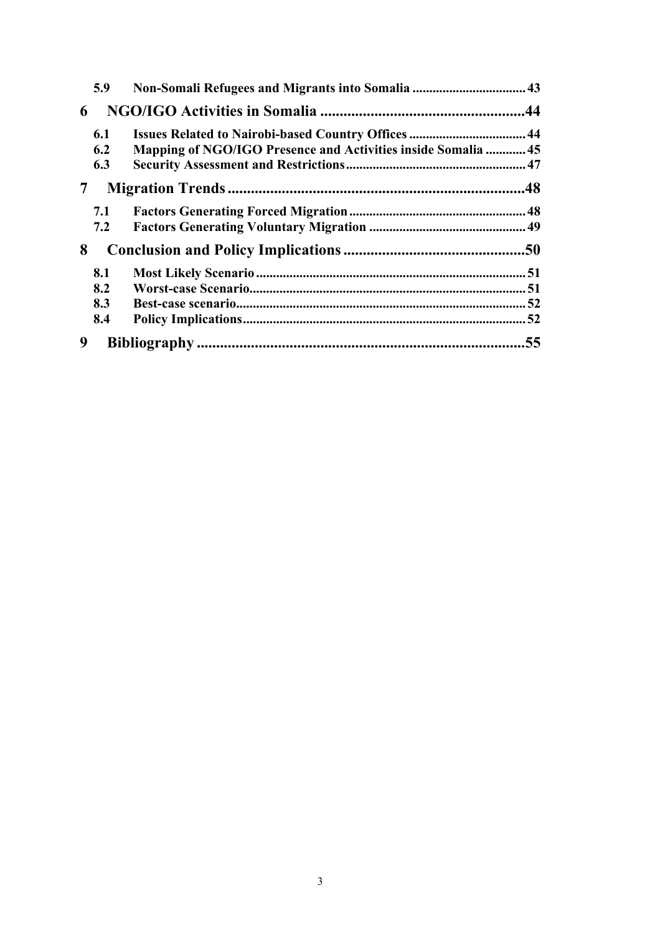|   | 5.9 |                                                                      |     |
|---|-----|----------------------------------------------------------------------|-----|
| 6 |     |                                                                      |     |
|   | 6.1 | Issues Related to Nairobi-based Country Offices  44                  |     |
|   | 6.2 | <b>Mapping of NGO/IGO Presence and Activities inside Somalia  45</b> |     |
|   | 6.3 |                                                                      |     |
| 7 |     |                                                                      |     |
|   | 7.1 |                                                                      |     |
|   | 7.2 |                                                                      |     |
| 8 |     |                                                                      |     |
|   | 8.1 |                                                                      |     |
|   | 8.2 |                                                                      |     |
|   | 8.3 |                                                                      |     |
|   | 8.4 |                                                                      |     |
| 9 |     |                                                                      | .55 |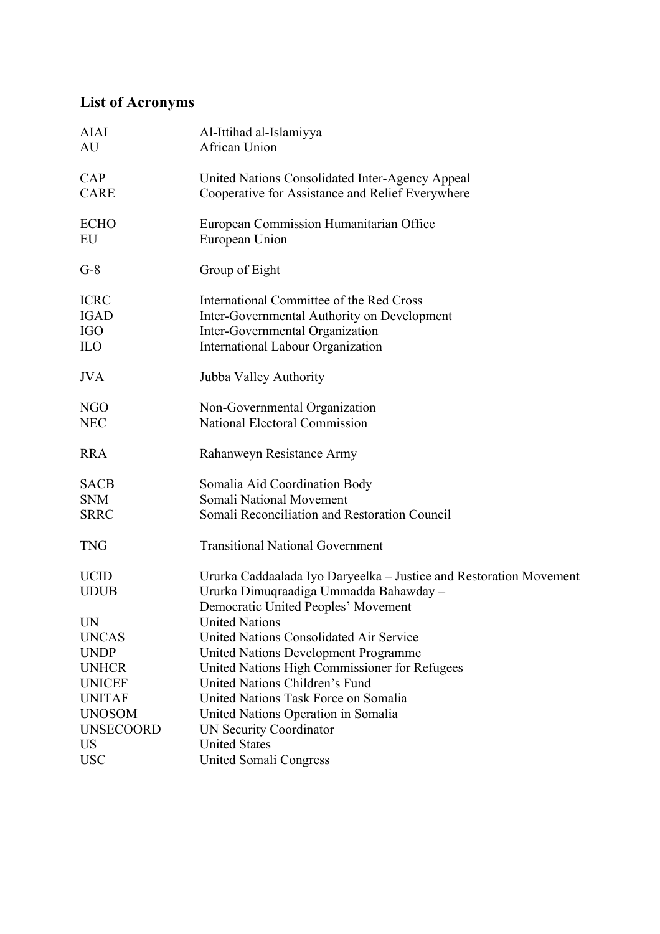# <span id="page-3-0"></span>**List of Acronyms**

| <b>AIAI</b><br>AU                                      | Al-Ittihad al-Islamiyya<br>African Union                                                                                                                               |
|--------------------------------------------------------|------------------------------------------------------------------------------------------------------------------------------------------------------------------------|
| CAP<br><b>CARE</b>                                     | United Nations Consolidated Inter-Agency Appeal<br>Cooperative for Assistance and Relief Everywhere                                                                    |
| <b>ECHO</b><br>EU                                      | European Commission Humanitarian Office<br>European Union                                                                                                              |
| $G-8$                                                  | Group of Eight                                                                                                                                                         |
| <b>ICRC</b><br><b>IGAD</b><br><b>IGO</b><br><b>ILO</b> | International Committee of the Red Cross<br>Inter-Governmental Authority on Development<br>Inter-Governmental Organization<br><b>International Labour Organization</b> |
| <b>JVA</b>                                             | Jubba Valley Authority                                                                                                                                                 |
| <b>NGO</b><br><b>NEC</b>                               | Non-Governmental Organization<br><b>National Electoral Commission</b>                                                                                                  |
| <b>RRA</b>                                             | Rahanweyn Resistance Army                                                                                                                                              |
| <b>SACB</b><br><b>SNM</b><br><b>SRRC</b>               | Somalia Aid Coordination Body<br><b>Somali National Movement</b><br>Somali Reconciliation and Restoration Council                                                      |
| <b>TNG</b>                                             | <b>Transitional National Government</b>                                                                                                                                |
| <b>UCID</b><br><b>UDUB</b>                             | Ururka Caddaalada Iyo Daryeelka - Justice and Restoration Movement<br>Ururka Dimuqraadiga Ummadda Bahawday -<br>Democratic United Peoples' Movement                    |
| <b>UN</b>                                              | <b>United Nations</b>                                                                                                                                                  |
| <b>UNCAS</b>                                           | United Nations Consolidated Air Service                                                                                                                                |
| <b>UNDP</b>                                            | <b>United Nations Development Programme</b>                                                                                                                            |
| <b>UNHCR</b>                                           | United Nations High Commissioner for Refugees                                                                                                                          |
| <b>UNICEF</b>                                          | United Nations Children's Fund                                                                                                                                         |
| <b>UNITAF</b>                                          | United Nations Task Force on Somalia                                                                                                                                   |
| <b>UNOSOM</b>                                          | United Nations Operation in Somalia                                                                                                                                    |
| <b>UNSECOORD</b>                                       | <b>UN Security Coordinator</b>                                                                                                                                         |
| US                                                     | <b>United States</b>                                                                                                                                                   |
| <b>USC</b>                                             | <b>United Somali Congress</b>                                                                                                                                          |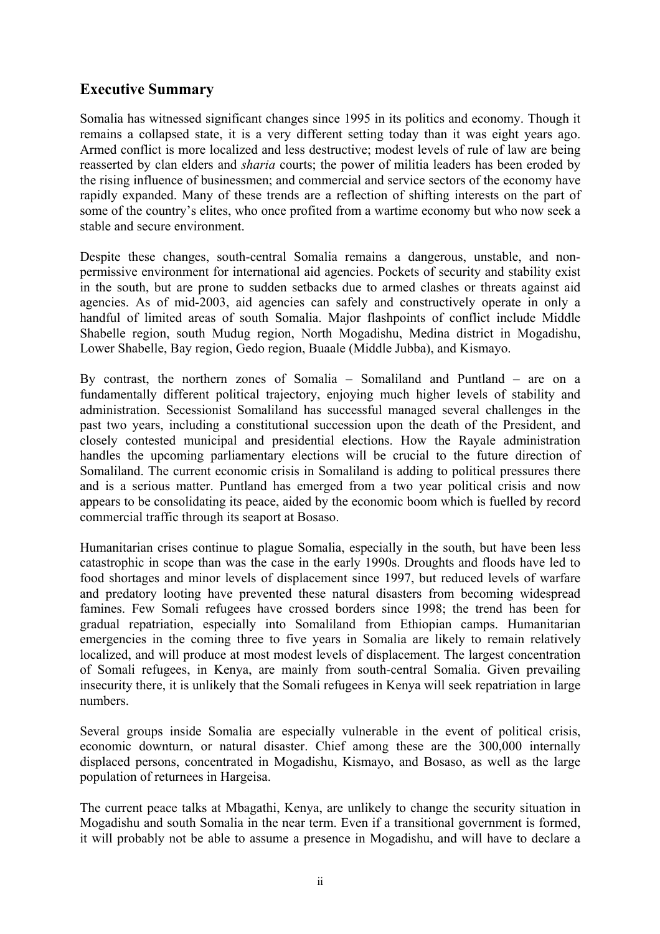# <span id="page-4-0"></span>**Executive Summary**

Somalia has witnessed significant changes since 1995 in its politics and economy. Though it remains a collapsed state, it is a very different setting today than it was eight years ago. Armed conflict is more localized and less destructive; modest levels of rule of law are being reasserted by clan elders and *sharia* courts; the power of militia leaders has been eroded by the rising influence of businessmen; and commercial and service sectors of the economy have rapidly expanded. Many of these trends are a reflection of shifting interests on the part of some of the country's elites, who once profited from a wartime economy but who now seek a stable and secure environment.

Despite these changes, south-central Somalia remains a dangerous, unstable, and nonpermissive environment for international aid agencies. Pockets of security and stability exist in the south, but are prone to sudden setbacks due to armed clashes or threats against aid agencies. As of mid-2003, aid agencies can safely and constructively operate in only a handful of limited areas of south Somalia. Major flashpoints of conflict include Middle Shabelle region, south Mudug region, North Mogadishu, Medina district in Mogadishu, Lower Shabelle, Bay region, Gedo region, Buaale (Middle Jubba), and Kismayo.

By contrast, the northern zones of Somalia – Somaliland and Puntland – are on a fundamentally different political trajectory, enjoying much higher levels of stability and administration. Secessionist Somaliland has successful managed several challenges in the past two years, including a constitutional succession upon the death of the President, and closely contested municipal and presidential elections. How the Rayale administration handles the upcoming parliamentary elections will be crucial to the future direction of Somaliland. The current economic crisis in Somaliland is adding to political pressures there and is a serious matter. Puntland has emerged from a two year political crisis and now appears to be consolidating its peace, aided by the economic boom which is fuelled by record commercial traffic through its seaport at Bosaso.

Humanitarian crises continue to plague Somalia, especially in the south, but have been less catastrophic in scope than was the case in the early 1990s. Droughts and floods have led to food shortages and minor levels of displacement since 1997, but reduced levels of warfare and predatory looting have prevented these natural disasters from becoming widespread famines. Few Somali refugees have crossed borders since 1998; the trend has been for gradual repatriation, especially into Somaliland from Ethiopian camps. Humanitarian emergencies in the coming three to five years in Somalia are likely to remain relatively localized, and will produce at most modest levels of displacement. The largest concentration of Somali refugees, in Kenya, are mainly from south-central Somalia. Given prevailing insecurity there, it is unlikely that the Somali refugees in Kenya will seek repatriation in large numbers.

Several groups inside Somalia are especially vulnerable in the event of political crisis, economic downturn, or natural disaster. Chief among these are the 300,000 internally displaced persons, concentrated in Mogadishu, Kismayo, and Bosaso, as well as the large population of returnees in Hargeisa.

The current peace talks at Mbagathi, Kenya, are unlikely to change the security situation in Mogadishu and south Somalia in the near term. Even if a transitional government is formed, it will probably not be able to assume a presence in Mogadishu, and will have to declare a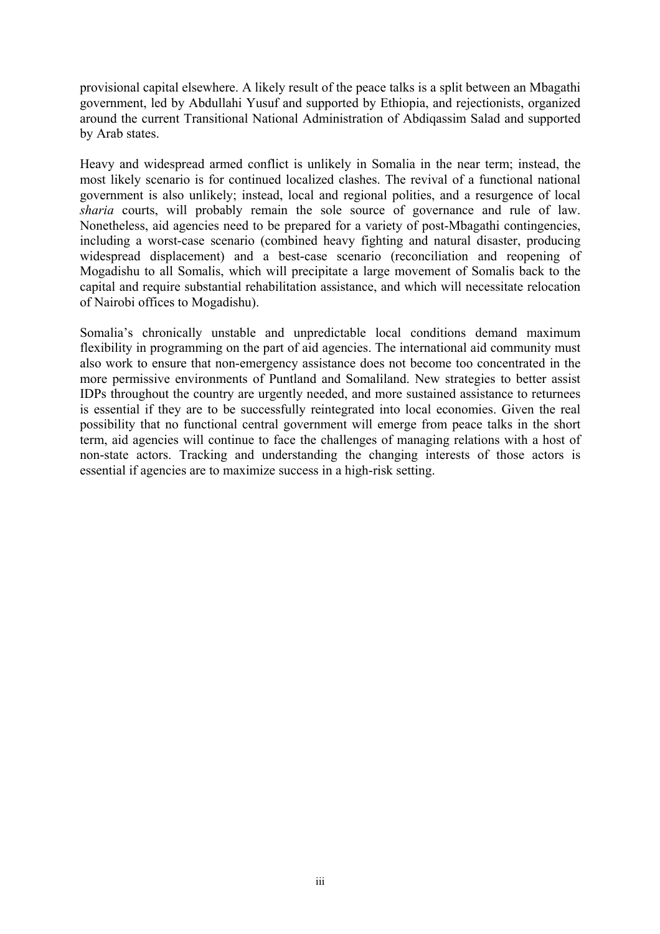provisional capital elsewhere. A likely result of the peace talks is a split between an Mbagathi government, led by Abdullahi Yusuf and supported by Ethiopia, and rejectionists, organized around the current Transitional National Administration of Abdiqassim Salad and supported by Arab states.

Heavy and widespread armed conflict is unlikely in Somalia in the near term; instead, the most likely scenario is for continued localized clashes. The revival of a functional national government is also unlikely; instead, local and regional polities, and a resurgence of local *sharia* courts, will probably remain the sole source of governance and rule of law. Nonetheless, aid agencies need to be prepared for a variety of post-Mbagathi contingencies, including a worst-case scenario (combined heavy fighting and natural disaster, producing widespread displacement) and a best-case scenario (reconciliation and reopening of Mogadishu to all Somalis, which will precipitate a large movement of Somalis back to the capital and require substantial rehabilitation assistance, and which will necessitate relocation of Nairobi offices to Mogadishu).

Somalia's chronically unstable and unpredictable local conditions demand maximum flexibility in programming on the part of aid agencies. The international aid community must also work to ensure that non-emergency assistance does not become too concentrated in the more permissive environments of Puntland and Somaliland. New strategies to better assist IDPs throughout the country are urgently needed, and more sustained assistance to returnees is essential if they are to be successfully reintegrated into local economies. Given the real possibility that no functional central government will emerge from peace talks in the short term, aid agencies will continue to face the challenges of managing relations with a host of non-state actors. Tracking and understanding the changing interests of those actors is essential if agencies are to maximize success in a high-risk setting.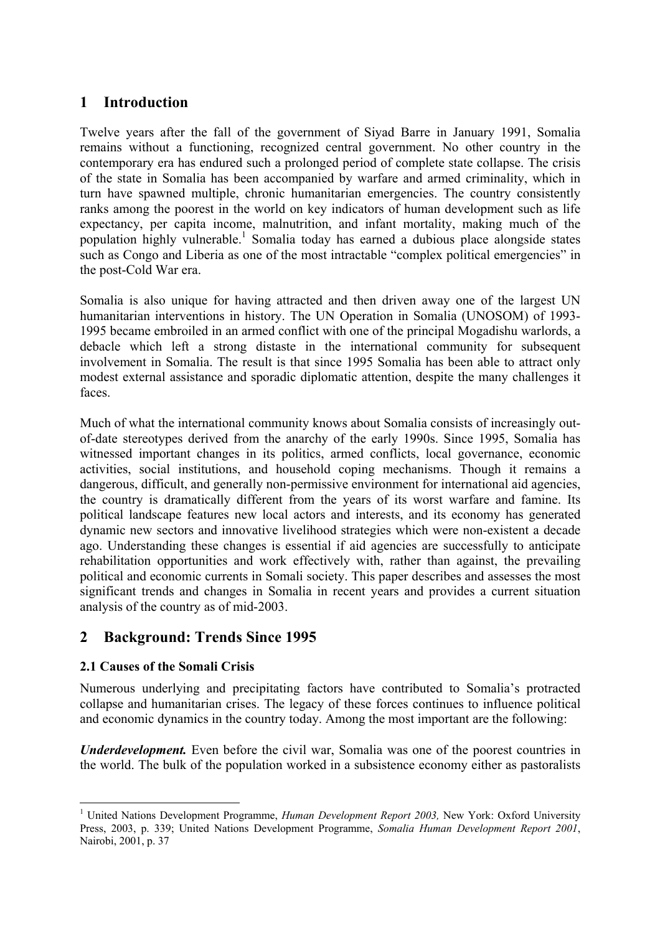# <span id="page-6-0"></span>**1 Introduction**

Twelve years after the fall of the government of Siyad Barre in January 1991, Somalia remains without a functioning, recognized central government. No other country in the contemporary era has endured such a prolonged period of complete state collapse. The crisis of the state in Somalia has been accompanied by warfare and armed criminality, which in turn have spawned multiple, chronic humanitarian emergencies. The country consistently ranks among the poorest in the world on key indicators of human development such as life expectancy, per capita income, malnutrition, and infant mortality, making much of the population highly vulnerable.<sup>[1](#page-6-1)</sup> Somalia today has earned a dubious place alongside states such as Congo and Liberia as one of the most intractable "complex political emergencies" in the post-Cold War era.

Somalia is also unique for having attracted and then driven away one of the largest UN humanitarian interventions in history. The UN Operation in Somalia (UNOSOM) of 1993- 1995 became embroiled in an armed conflict with one of the principal Mogadishu warlords, a debacle which left a strong distaste in the international community for subsequent involvement in Somalia. The result is that since 1995 Somalia has been able to attract only modest external assistance and sporadic diplomatic attention, despite the many challenges it faces.

Much of what the international community knows about Somalia consists of increasingly outof-date stereotypes derived from the anarchy of the early 1990s. Since 1995, Somalia has witnessed important changes in its politics, armed conflicts, local governance, economic activities, social institutions, and household coping mechanisms. Though it remains a dangerous, difficult, and generally non-permissive environment for international aid agencies, the country is dramatically different from the years of its worst warfare and famine. Its political landscape features new local actors and interests, and its economy has generated dynamic new sectors and innovative livelihood strategies which were non-existent a decade ago. Understanding these changes is essential if aid agencies are successfully to anticipate rehabilitation opportunities and work effectively with, rather than against, the prevailing political and economic currents in Somali society. This paper describes and assesses the most significant trends and changes in Somalia in recent years and provides a current situation analysis of the country as of mid-2003.

# **2 Background: Trends Since 1995**

# **2.1 Causes of the Somali Crisis**

 $\overline{a}$ 

Numerous underlying and precipitating factors have contributed to Somalia's protracted collapse and humanitarian crises. The legacy of these forces continues to influence political and economic dynamics in the country today. Among the most important are the following:

*Underdevelopment.* Even before the civil war, Somalia was one of the poorest countries in the world. The bulk of the population worked in a subsistence economy either as pastoralists

<span id="page-6-1"></span><sup>&</sup>lt;sup>1</sup> United Nations Development Programme, *Human Development Report 2003*, New York: Oxford University Press, 2003, p. 339; United Nations Development Programme, *Somalia Human Development Report 2001*, Nairobi, 2001, p. 37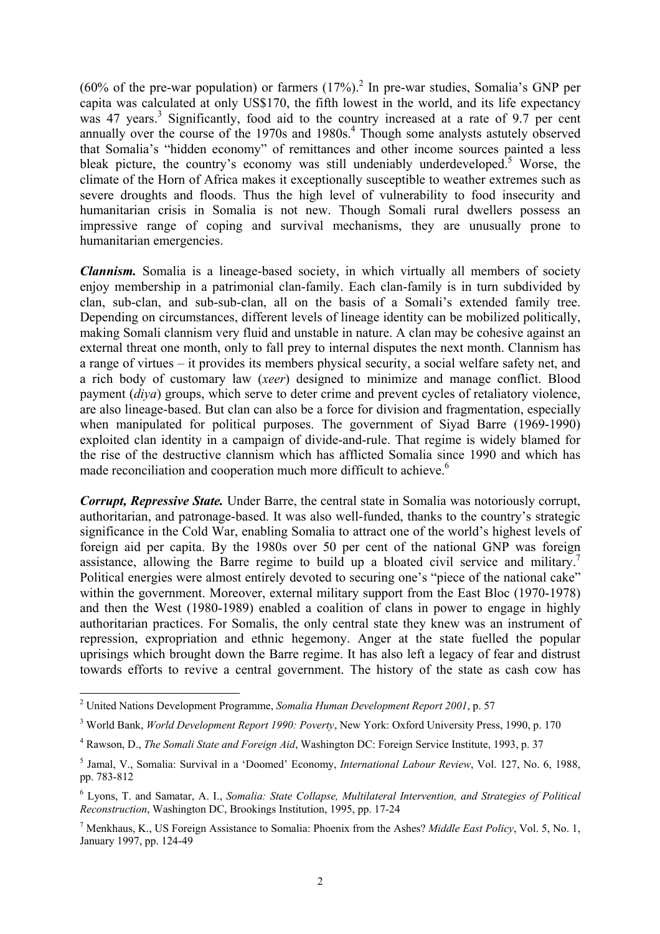(60% of the pre-war population) or farmers  $(17%)$ .<sup>[2](#page-7-0)</sup> In pre-war studies, Somalia's GNP per capita was calculated at only US\$170, the fifth lowest in the world, and its life expectancy was 47 years.<sup>3</sup> Significantly, food aid to the country increased at a rate of 9.7 per cent annually over the course of the 1970s and 1980s.<sup>[4](#page-7-2)</sup> Though some analysts astutely observed that Somalia's "hidden economy" of remittances and other income sources painted a less bleak picture, the country's economy was still undeniably underdeveloped.<sup>[5](#page-7-3)</sup> Worse, the climate of the Horn of Africa makes it exceptionally susceptible to weather extremes such as severe droughts and floods. Thus the high level of vulnerability to food insecurity and humanitarian crisis in Somalia is not new. Though Somali rural dwellers possess an impressive range of coping and survival mechanisms, they are unusually prone to humanitarian emergencies.

*Clannism.* Somalia is a lineage-based society, in which virtually all members of society enjoy membership in a patrimonial clan-family. Each clan-family is in turn subdivided by clan, sub-clan, and sub-sub-clan, all on the basis of a Somali's extended family tree. Depending on circumstances, different levels of lineage identity can be mobilized politically, making Somali clannism very fluid and unstable in nature. A clan may be cohesive against an external threat one month, only to fall prey to internal disputes the next month. Clannism has a range of virtues – it provides its members physical security, a social welfare safety net, and a rich body of customary law (*xeer*) designed to minimize and manage conflict. Blood payment (*diya*) groups, which serve to deter crime and prevent cycles of retaliatory violence, are also lineage-based. But clan can also be a force for division and fragmentation, especially when manipulated for political purposes. The government of Siyad Barre (1969-1990) exploited clan identity in a campaign of divide-and-rule. That regime is widely blamed for the rise of the destructive clannism which has afflicted Somalia since 1990 and which has made reconciliation and cooperation much more difficult to achieve.<sup>6</sup>

*Corrupt, Repressive State.* Under Barre, the central state in Somalia was notoriously corrupt, authoritarian, and patronage-based. It was also well-funded, thanks to the country's strategic significance in the Cold War, enabling Somalia to attract one of the world's highest levels of foreign aid per capita. By the 1980s over 50 per cent of the national GNP was foreign assistance, allowing the Barre regime to build up a bloated civil service and military.<sup>7</sup> Political energies were almost entirely devoted to securing one's "piece of the national cake" within the government. Moreover, external military support from the East Bloc (1970-1978) and then the West (1980-1989) enabled a coalition of clans in power to engage in highly authoritarian practices. For Somalis, the only central state they knew was an instrument of repression, expropriation and ethnic hegemony. Anger at the state fuelled the popular uprisings which brought down the Barre regime. It has also left a legacy of fear and distrust towards efforts to revive a central government. The history of the state as cash cow has

<span id="page-7-0"></span> 2 United Nations Development Programme, *Somalia Human Development Report 2001*, p. 57

<span id="page-7-1"></span><sup>3</sup> World Bank, *World Development Report 1990: Poverty*, New York: Oxford University Press, 1990, p. 170

<span id="page-7-2"></span><sup>4</sup> Rawson, D., *The Somali State and Foreign Aid*, Washington DC: Foreign Service Institute, 1993, p. 37

<span id="page-7-3"></span><sup>5</sup> Jamal, V., Somalia: Survival in a 'Doomed' Economy, *International Labour Review*, Vol. 127, No. 6, 1988, pp. 783-812

<span id="page-7-4"></span><sup>6</sup> Lyons, T. and Samatar, A. I., *Somalia: State Collapse, Multilateral Intervention, and Strategies of Political Reconstruction*, Washington DC, Brookings Institution, 1995, pp. 17-24

<span id="page-7-5"></span><sup>7</sup> Menkhaus, K., US Foreign Assistance to Somalia: Phoenix from the Ashes? *Middle East Policy*, Vol. 5, No. 1, January 1997, pp. 124-49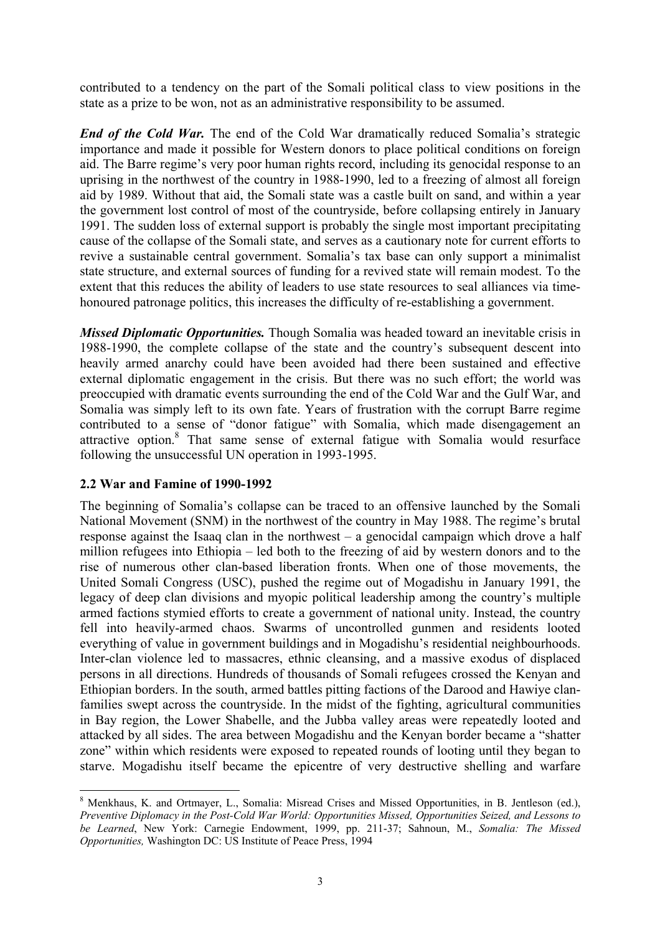<span id="page-8-0"></span>contributed to a tendency on the part of the Somali political class to view positions in the state as a prize to be won, not as an administrative responsibility to be assumed.

*End of the Cold War.* The end of the Cold War dramatically reduced Somalia's strategic importance and made it possible for Western donors to place political conditions on foreign aid. The Barre regime's very poor human rights record, including its genocidal response to an uprising in the northwest of the country in 1988-1990, led to a freezing of almost all foreign aid by 1989. Without that aid, the Somali state was a castle built on sand, and within a year the government lost control of most of the countryside, before collapsing entirely in January 1991. The sudden loss of external support is probably the single most important precipitating cause of the collapse of the Somali state, and serves as a cautionary note for current efforts to revive a sustainable central government. Somalia's tax base can only support a minimalist state structure, and external sources of funding for a revived state will remain modest. To the extent that this reduces the ability of leaders to use state resources to seal alliances via timehonoured patronage politics, this increases the difficulty of re-establishing a government.

*Missed Diplomatic Opportunities.* Though Somalia was headed toward an inevitable crisis in 1988-1990, the complete collapse of the state and the country's subsequent descent into heavily armed anarchy could have been avoided had there been sustained and effective external diplomatic engagement in the crisis. But there was no such effort; the world was preoccupied with dramatic events surrounding the end of the Cold War and the Gulf War, and Somalia was simply left to its own fate. Years of frustration with the corrupt Barre regime contributed to a sense of "donor fatigue" with Somalia, which made disengagement an attractive option.<sup>[8](#page-8-1)</sup> That same sense of external fatigue with Somalia would resurface following the unsuccessful UN operation in 1993-1995.

## **2.2 War and Famine of 1990-1992**

 $\overline{a}$ 

The beginning of Somalia's collapse can be traced to an offensive launched by the Somali National Movement (SNM) in the northwest of the country in May 1988. The regime's brutal response against the Isaaq clan in the northwest – a genocidal campaign which drove a half million refugees into Ethiopia – led both to the freezing of aid by western donors and to the rise of numerous other clan-based liberation fronts. When one of those movements, the United Somali Congress (USC), pushed the regime out of Mogadishu in January 1991, the legacy of deep clan divisions and myopic political leadership among the country's multiple armed factions stymied efforts to create a government of national unity. Instead, the country fell into heavily-armed chaos. Swarms of uncontrolled gunmen and residents looted everything of value in government buildings and in Mogadishu's residential neighbourhoods. Inter-clan violence led to massacres, ethnic cleansing, and a massive exodus of displaced persons in all directions. Hundreds of thousands of Somali refugees crossed the Kenyan and Ethiopian borders. In the south, armed battles pitting factions of the Darood and Hawiye clanfamilies swept across the countryside. In the midst of the fighting, agricultural communities in Bay region, the Lower Shabelle, and the Jubba valley areas were repeatedly looted and attacked by all sides. The area between Mogadishu and the Kenyan border became a "shatter zone" within which residents were exposed to repeated rounds of looting until they began to starve. Mogadishu itself became the epicentre of very destructive shelling and warfare

<span id="page-8-1"></span><sup>&</sup>lt;sup>8</sup> Menkhaus, K. and Ortmayer, L., Somalia: Misread Crises and Missed Opportunities, in B. Jentleson (ed.), *Preventive Diplomacy in the Post-Cold War World: Opportunities Missed, Opportunities Seized, and Lessons to be Learned*, New York: Carnegie Endowment, 1999, pp. 211-37; Sahnoun, M., *Somalia: The Missed Opportunities,* Washington DC: US Institute of Peace Press, 1994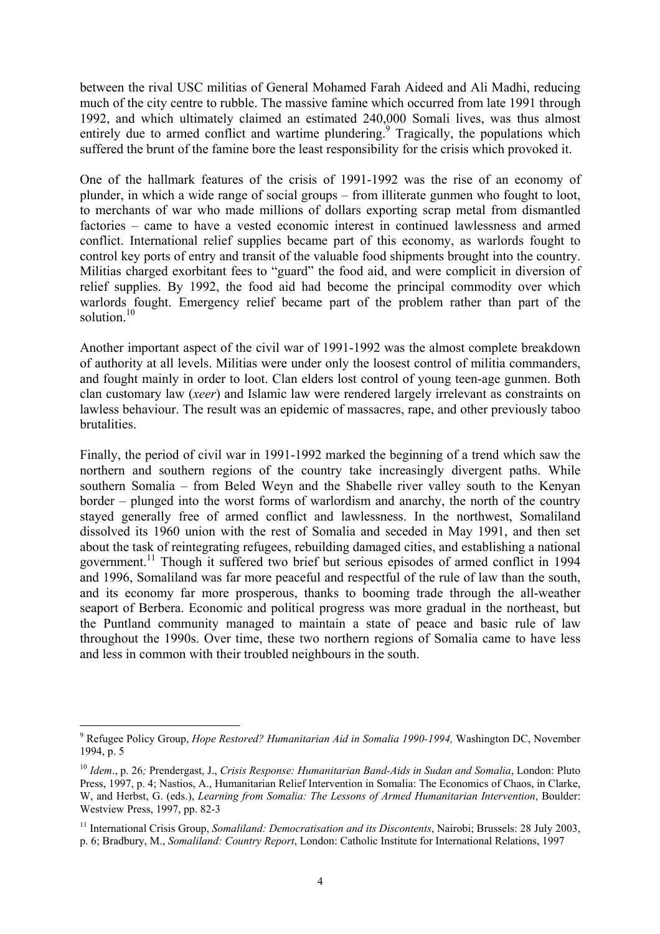between the rival USC militias of General Mohamed Farah Aideed and Ali Madhi, reducing much of the city centre to rubble. The massive famine which occurred from late 1991 through 1992, and which ultimately claimed an estimated 240,000 Somali lives, was thus almost entirely due to armed conflict and wartime plundering.<sup>[9](#page-9-0)</sup> Tragically, the populations which suffered the brunt of the famine bore the least responsibility for the crisis which provoked it.

One of the hallmark features of the crisis of 1991-1992 was the rise of an economy of plunder, in which a wide range of social groups – from illiterate gunmen who fought to loot, to merchants of war who made millions of dollars exporting scrap metal from dismantled factories – came to have a vested economic interest in continued lawlessness and armed conflict. International relief supplies became part of this economy, as warlords fought to control key ports of entry and transit of the valuable food shipments brought into the country. Militias charged exorbitant fees to "guard" the food aid, and were complicit in diversion of relief supplies. By 1992, the food aid had become the principal commodity over which warlords fought. Emergency relief became part of the problem rather than part of the solution. $10$ 

Another important aspect of the civil war of 1991-1992 was the almost complete breakdown of authority at all levels. Militias were under only the loosest control of militia commanders, and fought mainly in order to loot. Clan elders lost control of young teen-age gunmen. Both clan customary law (*xeer*) and Islamic law were rendered largely irrelevant as constraints on lawless behaviour. The result was an epidemic of massacres, rape, and other previously taboo brutalities.

Finally, the period of civil war in 1991-1992 marked the beginning of a trend which saw the northern and southern regions of the country take increasingly divergent paths. While southern Somalia – from Beled Weyn and the Shabelle river valley south to the Kenyan border – plunged into the worst forms of warlordism and anarchy, the north of the country stayed generally free of armed conflict and lawlessness. In the northwest, Somaliland dissolved its 1960 union with the rest of Somalia and seceded in May 1991, and then set about the task of reintegrating refugees, rebuilding damaged cities, and establishing a national government.<sup>11</sup> Though it suffered two brief but serious episodes of armed conflict in 1994 and 1996, Somaliland was far more peaceful and respectful of the rule of law than the south, and its economy far more prosperous, thanks to booming trade through the all-weather seaport of Berbera. Economic and political progress was more gradual in the northeast, but the Puntland community managed to maintain a state of peace and basic rule of law throughout the 1990s. Over time, these two northern regions of Somalia came to have less and less in common with their troubled neighbours in the south.

<span id="page-9-0"></span><sup>9</sup> Refugee Policy Group, *Hope Restored? Humanitarian Aid in Somalia 1990-1994,* Washington DC, November 1994, p. 5

<span id="page-9-1"></span><sup>10</sup> *Idem*., p. 26*;* Prendergast, J., *Crisis Response: Humanitarian Band-Aids in Sudan and Somalia*, London: Pluto Press, 1997, p. 4; Nastios, A., Humanitarian Relief Intervention in Somalia: The Economics of Chaos, in Clarke, W, and Herbst, G. (eds.), *Learning from Somalia: The Lessons of Armed Humanitarian Intervention*, Boulder: Westview Press, 1997, pp. 82-3

<span id="page-9-2"></span><sup>&</sup>lt;sup>11</sup> International Crisis Group, *Somaliland: Democratisation and its Discontents*, Nairobi; Brussels: 28 July 2003, p. 6; Bradbury, M., *Somaliland: Country Report*, London: Catholic Institute for International Relations, 1997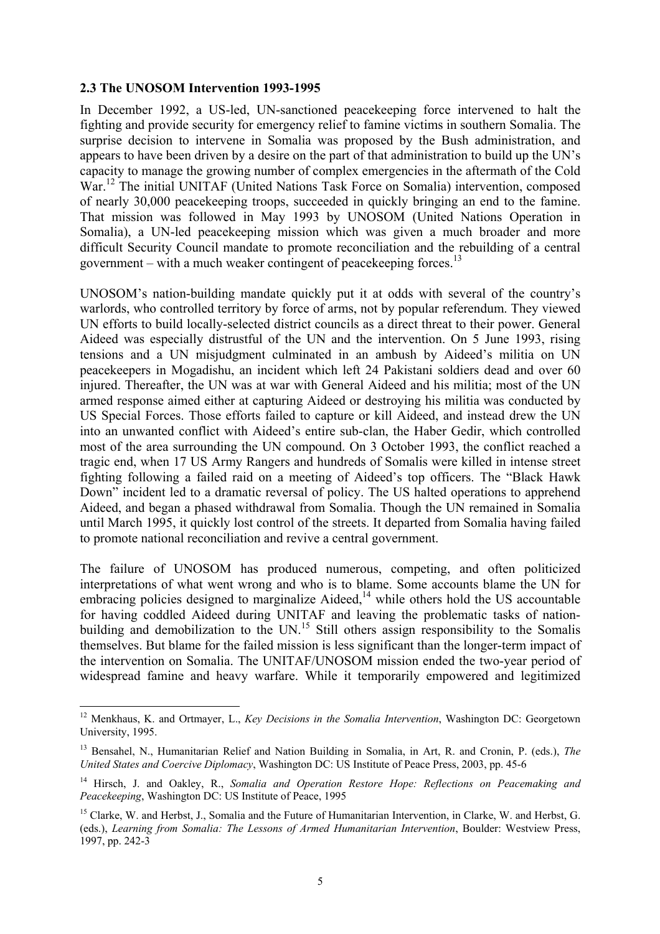#### <span id="page-10-0"></span>**2.3 The UNOSOM Intervention 1993-1995**

 $\overline{a}$ 

In December 1992, a US-led, UN-sanctioned peacekeeping force intervened to halt the fighting and provide security for emergency relief to famine victims in southern Somalia. The surprise decision to intervene in Somalia was proposed by the Bush administration, and appears to have been driven by a desire on the part of that administration to build up the UN's capacity to manage the growing number of complex emergencies in the aftermath of the Cold War.<sup>12</sup> The initial UNITAF (United Nations Task Force on Somalia) intervention, composed of nearly 30,000 peacekeeping troops, succeeded in quickly bringing an end to the famine. That mission was followed in May 1993 by UNOSOM (United Nations Operation in Somalia), a UN-led peacekeeping mission which was given a much broader and more difficult Security Council mandate to promote reconciliation and the rebuilding of a central government – with a much weaker contingent of peacekeeping forces.<sup>[13](#page-10-2)</sup>

UNOSOM's nation-building mandate quickly put it at odds with several of the country's warlords, who controlled territory by force of arms, not by popular referendum. They viewed UN efforts to build locally-selected district councils as a direct threat to their power. General Aideed was especially distrustful of the UN and the intervention. On 5 June 1993, rising tensions and a UN misjudgment culminated in an ambush by Aideed's militia on UN peacekeepers in Mogadishu, an incident which left 24 Pakistani soldiers dead and over 60 injured. Thereafter, the UN was at war with General Aideed and his militia; most of the UN armed response aimed either at capturing Aideed or destroying his militia was conducted by US Special Forces. Those efforts failed to capture or kill Aideed, and instead drew the UN into an unwanted conflict with Aideed's entire sub-clan, the Haber Gedir, which controlled most of the area surrounding the UN compound. On 3 October 1993, the conflict reached a tragic end, when 17 US Army Rangers and hundreds of Somalis were killed in intense street fighting following a failed raid on a meeting of Aideed's top officers. The "Black Hawk Down" incident led to a dramatic reversal of policy. The US halted operations to apprehend Aideed, and began a phased withdrawal from Somalia. Though the UN remained in Somalia until March 1995, it quickly lost control of the streets. It departed from Somalia having failed to promote national reconciliation and revive a central government.

The failure of UNOSOM has produced numerous, competing, and often politicized interpretations of what went wrong and who is to blame. Some accounts blame the UN for embracing policies designed to marginalize Aideed,<sup>14</sup> while others hold the US accountable for having coddled Aideed during UNITAF and leaving the problematic tasks of nationbuilding and demobilization to the UN.<sup>15</sup> Still others assign responsibility to the Somalis themselves. But blame for the failed mission is less significant than the longer-term impact of the intervention on Somalia. The UNITAF/UNOSOM mission ended the two-year period of widespread famine and heavy warfare. While it temporarily empowered and legitimized

<span id="page-10-1"></span><sup>12</sup> Menkhaus, K. and Ortmayer, L., *Key Decisions in the Somalia Intervention*, Washington DC: Georgetown University, 1995.

<span id="page-10-2"></span><sup>13</sup> Bensahel, N., Humanitarian Relief and Nation Building in Somalia, in Art, R. and Cronin, P. (eds.), *The United States and Coercive Diplomacy*, Washington DC: US Institute of Peace Press, 2003, pp. 45-6

<span id="page-10-3"></span><sup>14</sup> Hirsch, J. and Oakley, R., *Somalia and Operation Restore Hope: Reflections on Peacemaking and Peacekeeping*, Washington DC: US Institute of Peace, 1995

<span id="page-10-4"></span><sup>&</sup>lt;sup>15</sup> Clarke, W. and Herbst, J., Somalia and the Future of Humanitarian Intervention, in Clarke, W. and Herbst, G. (eds.), *Learning from Somalia: The Lessons of Armed Humanitarian Intervention*, Boulder: Westview Press, 1997, pp. 242-3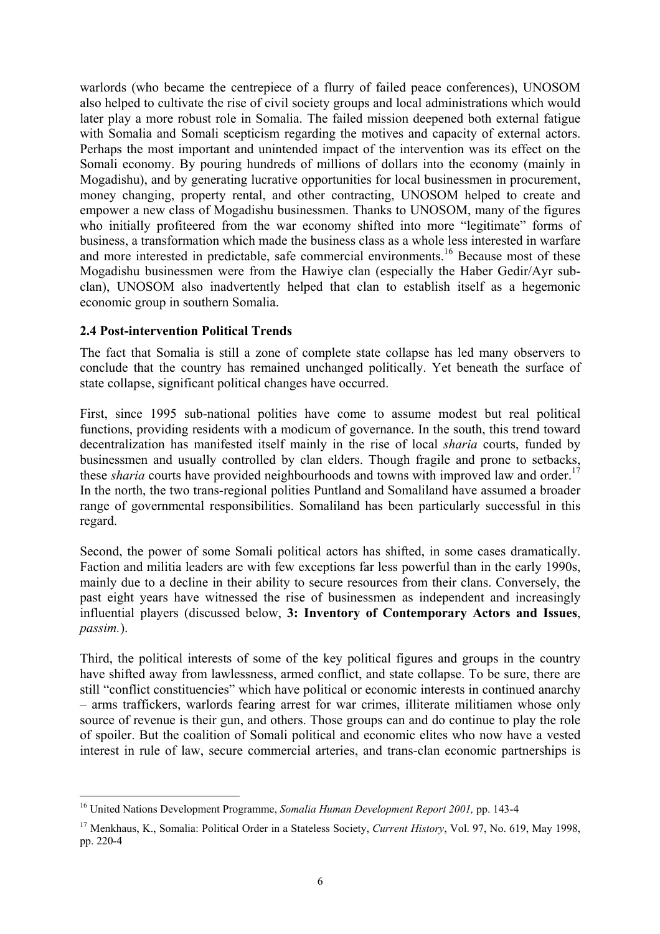<span id="page-11-0"></span>warlords (who became the centrepiece of a flurry of failed peace conferences), UNOSOM also helped to cultivate the rise of civil society groups and local administrations which would later play a more robust role in Somalia. The failed mission deepened both external fatigue with Somalia and Somali scepticism regarding the motives and capacity of external actors. Perhaps the most important and unintended impact of the intervention was its effect on the Somali economy. By pouring hundreds of millions of dollars into the economy (mainly in Mogadishu), and by generating lucrative opportunities for local businessmen in procurement, money changing, property rental, and other contracting, UNOSOM helped to create and empower a new class of Mogadishu businessmen. Thanks to UNOSOM, many of the figures who initially profiteered from the war economy shifted into more "legitimate" forms of business, a transformation which made the business class as a whole less interested in warfare and more interested in predictable, safe commercial environments.<sup>16</sup> Because most of these Mogadishu businessmen were from the Hawiye clan (especially the Haber Gedir/Ayr subclan), UNOSOM also inadvertently helped that clan to establish itself as a hegemonic economic group in southern Somalia.

## **2.4 Post-intervention Political Trends**

The fact that Somalia is still a zone of complete state collapse has led many observers to conclude that the country has remained unchanged politically. Yet beneath the surface of state collapse, significant political changes have occurred.

First, since 1995 sub-national polities have come to assume modest but real political functions, providing residents with a modicum of governance. In the south, this trend toward decentralization has manifested itself mainly in the rise of local *sharia* courts, funded by businessmen and usually controlled by clan elders. Though fragile and prone to setbacks, these *sharia* courts have provided neighbourhoods and towns with improved law and order.<sup>17</sup> In the north, the two trans-regional polities Puntland and Somaliland have assumed a broader range of governmental responsibilities. Somaliland has been particularly successful in this regard.

Second, the power of some Somali political actors has shifted, in some cases dramatically. Faction and militia leaders are with few exceptions far less powerful than in the early 1990s, mainly due to a decline in their ability to secure resources from their clans. Conversely, the past eight years have witnessed the rise of businessmen as independent and increasingly influential players (discussed below, **3: Inventory of Contemporary Actors and Issues**, *passim.*).

Third, the political interests of some of the key political figures and groups in the country have shifted away from lawlessness, armed conflict, and state collapse. To be sure, there are still "conflict constituencies" which have political or economic interests in continued anarchy – arms traffickers, warlords fearing arrest for war crimes, illiterate militiamen whose only source of revenue is their gun, and others. Those groups can and do continue to play the role of spoiler. But the coalition of Somali political and economic elites who now have a vested interest in rule of law, secure commercial arteries, and trans-clan economic partnerships is

<span id="page-11-1"></span> $\overline{a}$ 16 United Nations Development Programme, *Somalia Human Development Report 2001,* pp. 143-4

<span id="page-11-2"></span><sup>17</sup> Menkhaus, K., Somalia: Political Order in a Stateless Society, *Current History*, Vol. 97, No. 619, May 1998, pp. 220-4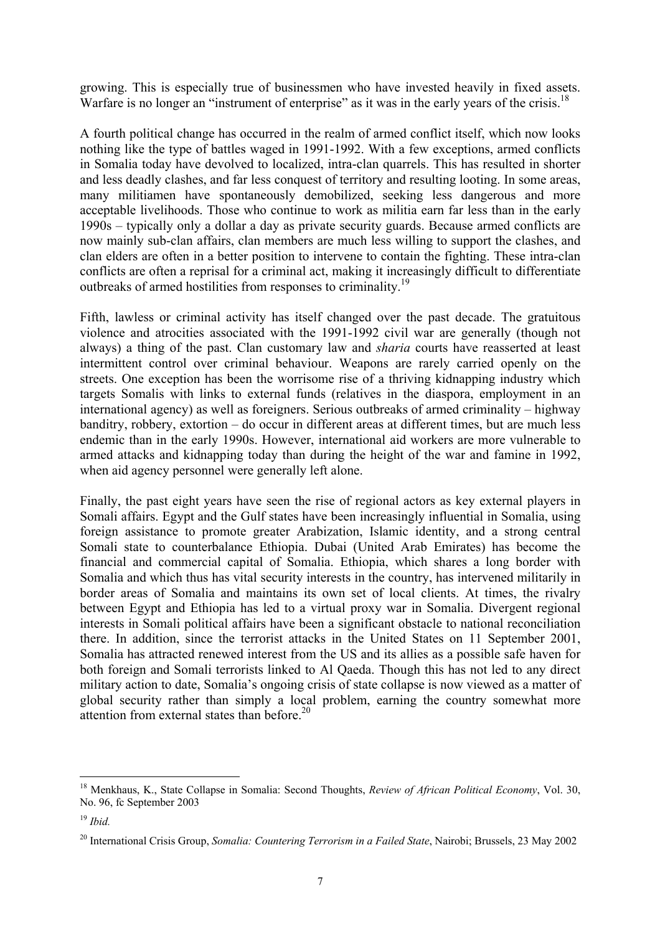growing. This is especially true of businessmen who have invested heavily in fixed assets. Warfare is no longer an "instrument of enterprise" as it was in the early years of the crisis.<sup>[18](#page-12-0)</sup>

A fourth political change has occurred in the realm of armed conflict itself, which now looks nothing like the type of battles waged in 1991-1992. With a few exceptions, armed conflicts in Somalia today have devolved to localized, intra-clan quarrels. This has resulted in shorter and less deadly clashes, and far less conquest of territory and resulting looting. In some areas, many militiamen have spontaneously demobilized, seeking less dangerous and more acceptable livelihoods. Those who continue to work as militia earn far less than in the early 1990s – typically only a dollar a day as private security guards. Because armed conflicts are now mainly sub-clan affairs, clan members are much less willing to support the clashes, and clan elders are often in a better position to intervene to contain the fighting. These intra-clan conflicts are often a reprisal for a criminal act, making it increasingly difficult to differentiate outbreaks of armed hostilities from responses to criminality.[19](#page-12-1)

Fifth, lawless or criminal activity has itself changed over the past decade. The gratuitous violence and atrocities associated with the 1991-1992 civil war are generally (though not always) a thing of the past. Clan customary law and *sharia* courts have reasserted at least intermittent control over criminal behaviour. Weapons are rarely carried openly on the streets. One exception has been the worrisome rise of a thriving kidnapping industry which targets Somalis with links to external funds (relatives in the diaspora, employment in an international agency) as well as foreigners. Serious outbreaks of armed criminality – highway banditry, robbery, extortion – do occur in different areas at different times, but are much less endemic than in the early 1990s. However, international aid workers are more vulnerable to armed attacks and kidnapping today than during the height of the war and famine in 1992, when aid agency personnel were generally left alone.

Finally, the past eight years have seen the rise of regional actors as key external players in Somali affairs. Egypt and the Gulf states have been increasingly influential in Somalia, using foreign assistance to promote greater Arabization, Islamic identity, and a strong central Somali state to counterbalance Ethiopia. Dubai (United Arab Emirates) has become the financial and commercial capital of Somalia. Ethiopia, which shares a long border with Somalia and which thus has vital security interests in the country, has intervened militarily in border areas of Somalia and maintains its own set of local clients. At times, the rivalry between Egypt and Ethiopia has led to a virtual proxy war in Somalia. Divergent regional interests in Somali political affairs have been a significant obstacle to national reconciliation there. In addition, since the terrorist attacks in the United States on 11 September 2001, Somalia has attracted renewed interest from the US and its allies as a possible safe haven for both foreign and Somali terrorists linked to Al Qaeda. Though this has not led to any direct military action to date, Somalia's ongoing crisis of state collapse is now viewed as a matter of global security rather than simply a local problem, earning the country somewhat more attention from external states than before. $20$ 

<span id="page-12-0"></span><sup>18</sup> Menkhaus, K., State Collapse in Somalia: Second Thoughts, *Review of African Political Economy*, Vol. 30, No. 96, fc September 2003

<span id="page-12-1"></span><sup>19</sup> *Ibid.*

<span id="page-12-2"></span><sup>20</sup> International Crisis Group, *Somalia: Countering Terrorism in a Failed State*, Nairobi; Brussels, 23 May 2002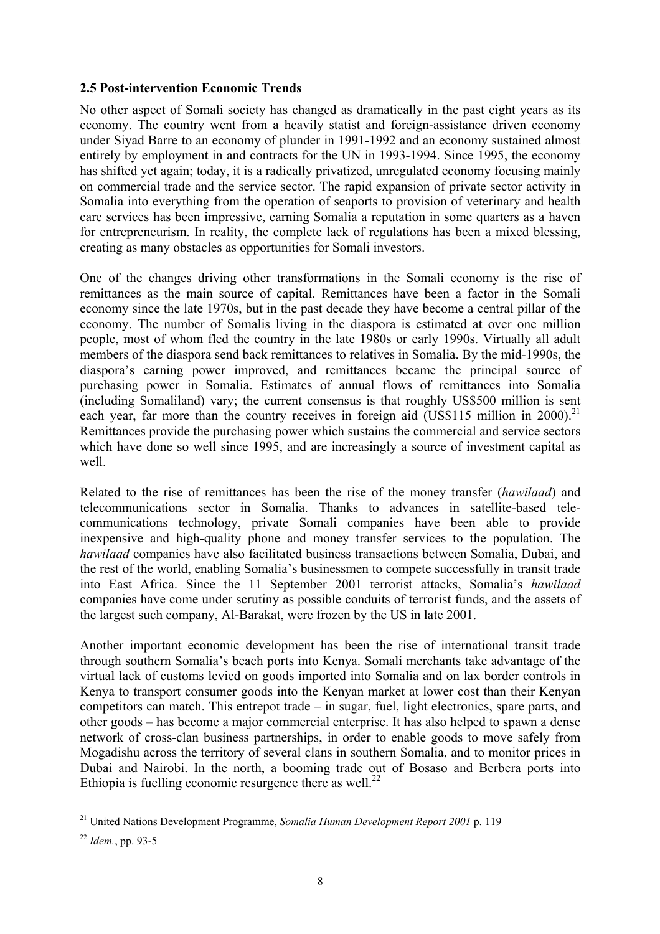#### <span id="page-13-0"></span>**2.5 Post-intervention Economic Trends**

No other aspect of Somali society has changed as dramatically in the past eight years as its economy. The country went from a heavily statist and foreign-assistance driven economy under Siyad Barre to an economy of plunder in 1991-1992 and an economy sustained almost entirely by employment in and contracts for the UN in 1993-1994. Since 1995, the economy has shifted yet again; today, it is a radically privatized, unregulated economy focusing mainly on commercial trade and the service sector. The rapid expansion of private sector activity in Somalia into everything from the operation of seaports to provision of veterinary and health care services has been impressive, earning Somalia a reputation in some quarters as a haven for entrepreneurism. In reality, the complete lack of regulations has been a mixed blessing, creating as many obstacles as opportunities for Somali investors.

One of the changes driving other transformations in the Somali economy is the rise of remittances as the main source of capital. Remittances have been a factor in the Somali economy since the late 1970s, but in the past decade they have become a central pillar of the economy. The number of Somalis living in the diaspora is estimated at over one million people, most of whom fled the country in the late 1980s or early 1990s. Virtually all adult members of the diaspora send back remittances to relatives in Somalia. By the mid-1990s, the diaspora's earning power improved, and remittances became the principal source of purchasing power in Somalia. Estimates of annual flows of remittances into Somalia (including Somaliland) vary; the current consensus is that roughly US\$500 million is sent each year, far more than the country receives in foreign aid (US\$115 million in 2000).<sup>21</sup> Remittances provide the purchasing power which sustains the commercial and service sectors which have done so well since 1995, and are increasingly a source of investment capital as well.

Related to the rise of remittances has been the rise of the money transfer (*hawilaad*) and telecommunications sector in Somalia. Thanks to advances in satellite-based telecommunications technology, private Somali companies have been able to provide inexpensive and high-quality phone and money transfer services to the population. The *hawilaad* companies have also facilitated business transactions between Somalia, Dubai, and the rest of the world, enabling Somalia's businessmen to compete successfully in transit trade into East Africa. Since the 11 September 2001 terrorist attacks, Somalia's *hawilaad* companies have come under scrutiny as possible conduits of terrorist funds, and the assets of the largest such company, Al-Barakat, were frozen by the US in late 2001.

Another important economic development has been the rise of international transit trade through southern Somalia's beach ports into Kenya. Somali merchants take advantage of the virtual lack of customs levied on goods imported into Somalia and on lax border controls in Kenya to transport consumer goods into the Kenyan market at lower cost than their Kenyan competitors can match. This entrepot trade – in sugar, fuel, light electronics, spare parts, and other goods – has become a major commercial enterprise. It has also helped to spawn a dense network of cross-clan business partnerships, in order to enable goods to move safely from Mogadishu across the territory of several clans in southern Somalia, and to monitor prices in Dubai and Nairobi. In the north, a booming trade out of Bosaso and Berbera ports into Ethiopia is fuelling economic resurgence there as well.<sup>22</sup>

<span id="page-13-1"></span><sup>21</sup> United Nations Development Programme, *Somalia Human Development Report 2001* p. 119

<span id="page-13-2"></span><sup>22</sup> *Idem.*, pp. 93-5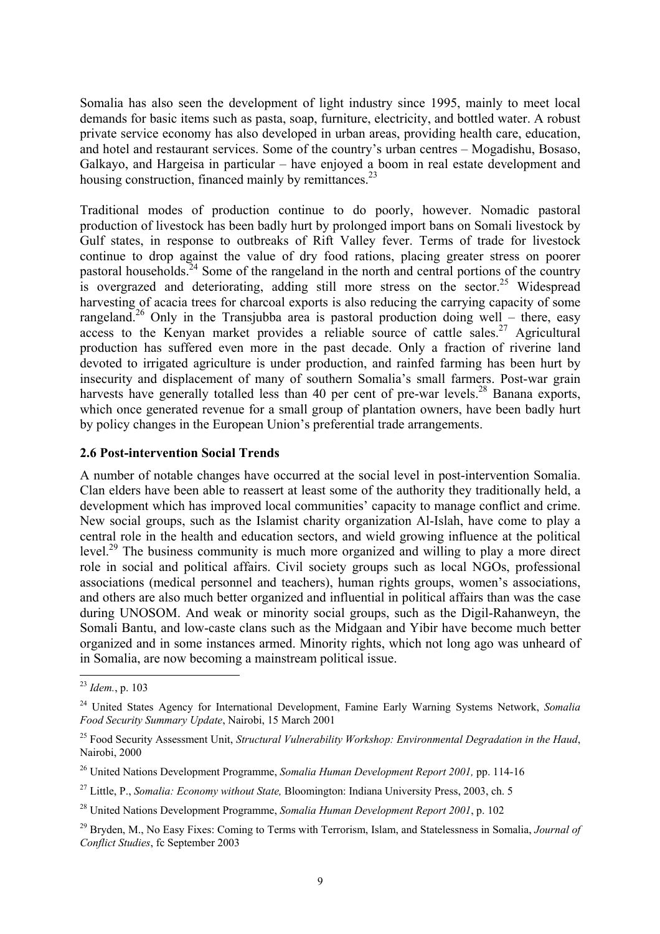<span id="page-14-0"></span>Somalia has also seen the development of light industry since 1995, mainly to meet local demands for basic items such as pasta, soap, furniture, electricity, and bottled water. A robust private service economy has also developed in urban areas, providing health care, education, and hotel and restaurant services. Some of the country's urban centres – Mogadishu, Bosaso, Galkayo, and Hargeisa in particular – have enjoyed a boom in real estate development and housing construction, financed mainly by remittances.<sup>23</sup>

Traditional modes of production continue to do poorly, however. Nomadic pastoral production of livestock has been badly hurt by prolonged import bans on Somali livestock by Gulf states, in response to outbreaks of Rift Valley fever. Terms of trade for livestock continue to drop against the value of dry food rations, placing greater stress on poorer pastoral households.<sup>24</sup> Some of the rangeland in the north and central portions of the country is overgrazed and deteriorating, adding still more stress on the sector.<sup>25</sup> Widespread harvesting of acacia trees for charcoal exports is also reducing the carrying capacity of some rangeland.<sup>26</sup> Only in the Transjubba area is pastoral production doing well – there, easy access to the Kenyan market provides a reliable source of cattle sales.<sup>27</sup> Agricultural production has suffered even more in the past decade. Only a fraction of riverine land devoted to irrigated agriculture is under production, and rainfed farming has been hurt by insecurity and displacement of many of southern Somalia's small farmers. Post-war grain harvests have generally totalled less than 40 per cent of pre-war levels.<sup>28</sup> Banana exports, which once generated revenue for a small group of plantation owners, have been badly hurt by policy changes in the European Union's preferential trade arrangements.

#### **2.6 Post-intervention Social Trends**

A number of notable changes have occurred at the social level in post-intervention Somalia. Clan elders have been able to reassert at least some of the authority they traditionally held, a development which has improved local communities' capacity to manage conflict and crime. New social groups, such as the Islamist charity organization Al-Islah, have come to play a central role in the health and education sectors, and wield growing influence at the political level.<sup>29</sup> The business community is much more organized and willing to play a more direct role in social and political affairs. Civil society groups such as local NGOs, professional associations (medical personnel and teachers), human rights groups, women's associations, and others are also much better organized and influential in political affairs than was the case during UNOSOM. And weak or minority social groups, such as the Digil-Rahanweyn, the Somali Bantu, and low-caste clans such as the Midgaan and Yibir have become much better organized and in some instances armed. Minority rights, which not long ago was unheard of in Somalia, are now becoming a mainstream political issue.

<span id="page-14-1"></span><sup>23</sup> *Idem.*, p. 103

<span id="page-14-2"></span><sup>24</sup> United States Agency for International Development, Famine Early Warning Systems Network, *Somalia Food Security Summary Update*, Nairobi, 15 March 2001

<span id="page-14-3"></span><sup>25</sup> Food Security Assessment Unit, *Structural Vulnerability Workshop: Environmental Degradation in the Haud*, Nairobi, 2000

<span id="page-14-4"></span><sup>26</sup> United Nations Development Programme, *Somalia Human Development Report 2001,* pp. 114-16

<span id="page-14-5"></span><sup>27</sup> Little, P., *Somalia: Economy without State,* Bloomington: Indiana University Press, 2003, ch. 5

<span id="page-14-6"></span><sup>28</sup> United Nations Development Programme, *Somalia Human Development Report 2001*, p. 102

<span id="page-14-7"></span><sup>29</sup> Bryden, M., No Easy Fixes: Coming to Terms with Terrorism, Islam, and Statelessness in Somalia, *Journal of Conflict Studies*, fc September 2003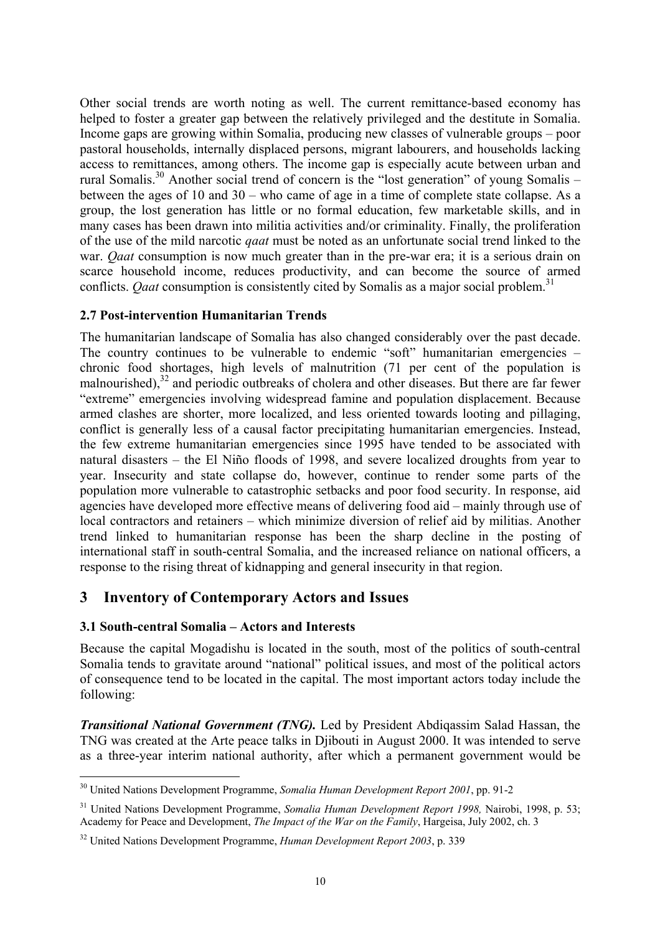<span id="page-15-0"></span>Other social trends are worth noting as well. The current remittance-based economy has helped to foster a greater gap between the relatively privileged and the destitute in Somalia. Income gaps are growing within Somalia, producing new classes of vulnerable groups – poor pastoral households, internally displaced persons, migrant labourers, and households lacking access to remittances, among others. The income gap is especially acute between urban and rural Somalis[.30](#page-15-1) Another social trend of concern is the "lost generation" of young Somalis – between the ages of 10 and 30 – who came of age in a time of complete state collapse. As a group, the lost generation has little or no formal education, few marketable skills, and in many cases has been drawn into militia activities and/or criminality. Finally, the proliferation of the use of the mild narcotic *qaat* must be noted as an unfortunate social trend linked to the war. *Qaat* consumption is now much greater than in the pre-war era; it is a serious drain on scarce household income, reduces productivity, and can become the source of armed conflicts. *Qaat* consumption is consistently cited by Somalis as a major social problem. [31](#page-15-2)

#### **2.7 Post-intervention Humanitarian Trends**

The humanitarian landscape of Somalia has also changed considerably over the past decade. The country continues to be vulnerable to endemic "soft" humanitarian emergencies – chronic food shortages, high levels of malnutrition (71 per cent of the population is malnourished),<sup>32</sup> and periodic outbreaks of cholera and other diseases. But there are far fewer "extreme" emergencies involving widespread famine and population displacement. Because armed clashes are shorter, more localized, and less oriented towards looting and pillaging, conflict is generally less of a causal factor precipitating humanitarian emergencies. Instead, the few extreme humanitarian emergencies since 1995 have tended to be associated with natural disasters – the El Niño floods of 1998, and severe localized droughts from year to year. Insecurity and state collapse do, however, continue to render some parts of the population more vulnerable to catastrophic setbacks and poor food security. In response, aid agencies have developed more effective means of delivering food aid – mainly through use of local contractors and retainers – which minimize diversion of relief aid by militias. Another trend linked to humanitarian response has been the sharp decline in the posting of international staff in south-central Somalia, and the increased reliance on national officers, a response to the rising threat of kidnapping and general insecurity in that region.

# **3 Inventory of Contemporary Actors and Issues**

## **3.1 South-central Somalia – Actors and Interests**

 $\overline{a}$ 

Because the capital Mogadishu is located in the south, most of the politics of south-central Somalia tends to gravitate around "national" political issues, and most of the political actors of consequence tend to be located in the capital. The most important actors today include the following:

*Transitional National Government (TNG).* Led by President Abdiqassim Salad Hassan, the TNG was created at the Arte peace talks in Djibouti in August 2000. It was intended to serve as a three-year interim national authority, after which a permanent government would be

<span id="page-15-1"></span><sup>30</sup> United Nations Development Programme, *Somalia Human Development Report 2001*, pp. 91-2

<span id="page-15-2"></span><sup>31</sup> United Nations Development Programme, *Somalia Human Development Report 1998,* Nairobi, 1998, p. 53; Academy for Peace and Development, *The Impact of the War on the Family*, Hargeisa, July 2002, ch. 3

<span id="page-15-3"></span><sup>32</sup> United Nations Development Programme, *Human Development Report 2003*, p. 339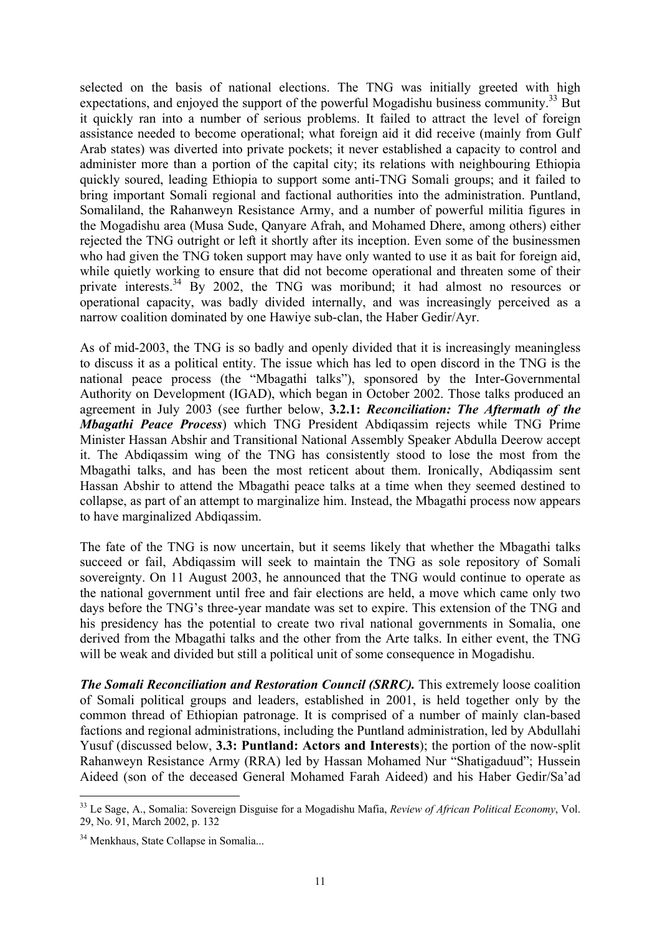selected on the basis of national elections. The TNG was initially greeted with high expectations, and enjoyed the support of the powerful Mogadishu business community.<sup>33</sup> But it quickly ran into a number of serious problems. It failed to attract the level of foreign assistance needed to become operational; what foreign aid it did receive (mainly from Gulf Arab states) was diverted into private pockets; it never established a capacity to control and administer more than a portion of the capital city; its relations with neighbouring Ethiopia quickly soured, leading Ethiopia to support some anti-TNG Somali groups; and it failed to bring important Somali regional and factional authorities into the administration. Puntland, Somaliland, the Rahanweyn Resistance Army, and a number of powerful militia figures in the Mogadishu area (Musa Sude, Qanyare Afrah, and Mohamed Dhere, among others) either rejected the TNG outright or left it shortly after its inception. Even some of the businessmen who had given the TNG token support may have only wanted to use it as bait for foreign aid, while quietly working to ensure that did not become operational and threaten some of their private interests.<sup>34</sup> By 2002, the TNG was moribund; it had almost no resources or operational capacity, was badly divided internally, and was increasingly perceived as a narrow coalition dominated by one Hawiye sub-clan, the Haber Gedir/Ayr.

As of mid-2003, the TNG is so badly and openly divided that it is increasingly meaningless to discuss it as a political entity. The issue which has led to open discord in the TNG is the national peace process (the "Mbagathi talks"), sponsored by the Inter-Governmental Authority on Development (IGAD), which began in October 2002. Those talks produced an agreement in July 2003 (see further below, **3.2.1:** *Reconciliation: The Aftermath of the Mbagathi Peace Process*) which TNG President Abdiqassim rejects while TNG Prime Minister Hassan Abshir and Transitional National Assembly Speaker Abdulla Deerow accept it. The Abdiqassim wing of the TNG has consistently stood to lose the most from the Mbagathi talks, and has been the most reticent about them. Ironically, Abdiqassim sent Hassan Abshir to attend the Mbagathi peace talks at a time when they seemed destined to collapse, as part of an attempt to marginalize him. Instead, the Mbagathi process now appears to have marginalized Abdiqassim.

The fate of the TNG is now uncertain, but it seems likely that whether the Mbagathi talks succeed or fail, Abdiqassim will seek to maintain the TNG as sole repository of Somali sovereignty. On 11 August 2003, he announced that the TNG would continue to operate as the national government until free and fair elections are held, a move which came only two days before the TNG's three-year mandate was set to expire. This extension of the TNG and his presidency has the potential to create two rival national governments in Somalia, one derived from the Mbagathi talks and the other from the Arte talks. In either event, the TNG will be weak and divided but still a political unit of some consequence in Mogadishu.

*The Somali Reconciliation and Restoration Council (SRRC).* This extremely loose coalition of Somali political groups and leaders, established in 2001, is held together only by the common thread of Ethiopian patronage. It is comprised of a number of mainly clan-based factions and regional administrations, including the Puntland administration, led by Abdullahi Yusuf (discussed below, **3.3: Puntland: Actors and Interests**); the portion of the now-split Rahanweyn Resistance Army (RRA) led by Hassan Mohamed Nur "Shatigaduud"; Hussein Aideed (son of the deceased General Mohamed Farah Aideed) and his Haber Gedir/Sa'ad

<span id="page-16-0"></span> $\overline{a}$ 33 Le Sage, A., Somalia: Sovereign Disguise for a Mogadishu Mafia, *Review of African Political Economy*, Vol. 29, No. 91, March 2002, p. 132

<span id="page-16-1"></span><sup>&</sup>lt;sup>34</sup> Menkhaus, State Collapse in Somalia...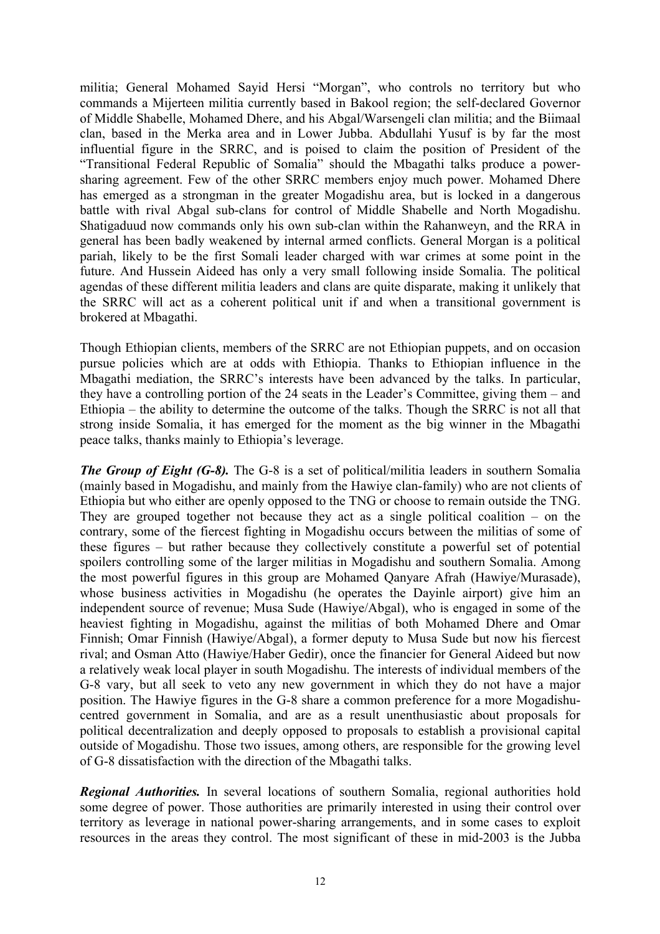militia; General Mohamed Sayid Hersi "Morgan", who controls no territory but who commands a Mijerteen militia currently based in Bakool region; the self-declared Governor of Middle Shabelle, Mohamed Dhere, and his Abgal/Warsengeli clan militia; and the Biimaal clan, based in the Merka area and in Lower Jubba. Abdullahi Yusuf is by far the most influential figure in the SRRC, and is poised to claim the position of President of the "Transitional Federal Republic of Somalia" should the Mbagathi talks produce a powersharing agreement. Few of the other SRRC members enjoy much power. Mohamed Dhere has emerged as a strongman in the greater Mogadishu area, but is locked in a dangerous battle with rival Abgal sub-clans for control of Middle Shabelle and North Mogadishu. Shatigaduud now commands only his own sub-clan within the Rahanweyn, and the RRA in general has been badly weakened by internal armed conflicts. General Morgan is a political pariah, likely to be the first Somali leader charged with war crimes at some point in the future. And Hussein Aideed has only a very small following inside Somalia. The political agendas of these different militia leaders and clans are quite disparate, making it unlikely that the SRRC will act as a coherent political unit if and when a transitional government is brokered at Mbagathi.

Though Ethiopian clients, members of the SRRC are not Ethiopian puppets, and on occasion pursue policies which are at odds with Ethiopia. Thanks to Ethiopian influence in the Mbagathi mediation, the SRRC's interests have been advanced by the talks. In particular, they have a controlling portion of the 24 seats in the Leader's Committee, giving them – and Ethiopia – the ability to determine the outcome of the talks. Though the SRRC is not all that strong inside Somalia, it has emerged for the moment as the big winner in the Mbagathi peace talks, thanks mainly to Ethiopia's leverage.

*The Group of Eight (G-8).* The G-8 is a set of political/militia leaders in southern Somalia (mainly based in Mogadishu, and mainly from the Hawiye clan-family) who are not clients of Ethiopia but who either are openly opposed to the TNG or choose to remain outside the TNG. They are grouped together not because they act as a single political coalition – on the contrary, some of the fiercest fighting in Mogadishu occurs between the militias of some of these figures – but rather because they collectively constitute a powerful set of potential spoilers controlling some of the larger militias in Mogadishu and southern Somalia. Among the most powerful figures in this group are Mohamed Qanyare Afrah (Hawiye/Murasade), whose business activities in Mogadishu (he operates the Dayinle airport) give him an independent source of revenue; Musa Sude (Hawiye/Abgal), who is engaged in some of the heaviest fighting in Mogadishu, against the militias of both Mohamed Dhere and Omar Finnish; Omar Finnish (Hawiye/Abgal), a former deputy to Musa Sude but now his fiercest rival; and Osman Atto (Hawiye/Haber Gedir), once the financier for General Aideed but now a relatively weak local player in south Mogadishu. The interests of individual members of the G-8 vary, but all seek to veto any new government in which they do not have a major position. The Hawiye figures in the G-8 share a common preference for a more Mogadishucentred government in Somalia, and are as a result unenthusiastic about proposals for political decentralization and deeply opposed to proposals to establish a provisional capital outside of Mogadishu. Those two issues, among others, are responsible for the growing level of G-8 dissatisfaction with the direction of the Mbagathi talks.

*Regional Authorities.* In several locations of southern Somalia, regional authorities hold some degree of power. Those authorities are primarily interested in using their control over territory as leverage in national power-sharing arrangements, and in some cases to exploit resources in the areas they control. The most significant of these in mid-2003 is the Jubba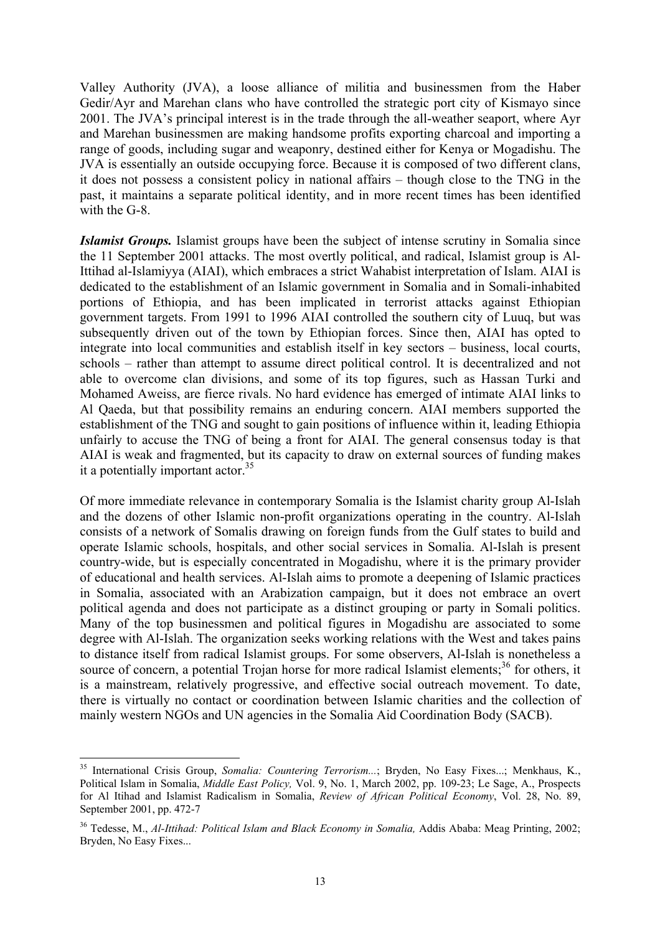Valley Authority (JVA), a loose alliance of militia and businessmen from the Haber Gedir/Ayr and Marehan clans who have controlled the strategic port city of Kismayo since 2001. The JVA's principal interest is in the trade through the all-weather seaport, where Ayr and Marehan businessmen are making handsome profits exporting charcoal and importing a range of goods, including sugar and weaponry, destined either for Kenya or Mogadishu. The JVA is essentially an outside occupying force. Because it is composed of two different clans, it does not possess a consistent policy in national affairs – though close to the TNG in the past, it maintains a separate political identity, and in more recent times has been identified with the G-8.

*Islamist Groups.* Islamist groups have been the subject of intense scrutiny in Somalia since the 11 September 2001 attacks. The most overtly political, and radical, Islamist group is Al-Ittihad al-Islamiyya (AIAI), which embraces a strict Wahabist interpretation of Islam. AIAI is dedicated to the establishment of an Islamic government in Somalia and in Somali-inhabited portions of Ethiopia, and has been implicated in terrorist attacks against Ethiopian government targets. From 1991 to 1996 AIAI controlled the southern city of Luuq, but was subsequently driven out of the town by Ethiopian forces. Since then, AIAI has opted to integrate into local communities and establish itself in key sectors – business, local courts, schools – rather than attempt to assume direct political control. It is decentralized and not able to overcome clan divisions, and some of its top figures, such as Hassan Turki and Mohamed Aweiss, are fierce rivals. No hard evidence has emerged of intimate AIAI links to Al Qaeda, but that possibility remains an enduring concern. AIAI members supported the establishment of the TNG and sought to gain positions of influence within it, leading Ethiopia unfairly to accuse the TNG of being a front for AIAI. The general consensus today is that AIAI is weak and fragmented, but its capacity to draw on external sources of funding makes it a potentially important actor.<sup>35</sup>

Of more immediate relevance in contemporary Somalia is the Islamist charity group Al-Islah and the dozens of other Islamic non-profit organizations operating in the country. Al-Islah consists of a network of Somalis drawing on foreign funds from the Gulf states to build and operate Islamic schools, hospitals, and other social services in Somalia. Al-Islah is present country-wide, but is especially concentrated in Mogadishu, where it is the primary provider of educational and health services. Al-Islah aims to promote a deepening of Islamic practices in Somalia, associated with an Arabization campaign, but it does not embrace an overt political agenda and does not participate as a distinct grouping or party in Somali politics. Many of the top businessmen and political figures in Mogadishu are associated to some degree with Al-Islah. The organization seeks working relations with the West and takes pains to distance itself from radical Islamist groups. For some observers, Al-Islah is nonetheless a source of concern, a potential Trojan horse for more radical Islamist elements;<sup>36</sup> for others, it is a mainstream, relatively progressive, and effective social outreach movement. To date, there is virtually no contact or coordination between Islamic charities and the collection of mainly western NGOs and UN agencies in the Somalia Aid Coordination Body (SACB).

<span id="page-18-0"></span><sup>&</sup>lt;sup>35</sup> International Crisis Group, *Somalia: Countering Terrorism...*; Bryden, No Easy Fixes...; Menkhaus, K., Political Islam in Somalia, *Middle East Policy,* Vol. 9, No. 1, March 2002, pp. 109-23; Le Sage, A., Prospects for Al Itihad and Islamist Radicalism in Somalia, *Review of African Political Economy*, Vol. 28, No. 89, September 2001, pp. 472-7

<span id="page-18-1"></span><sup>36</sup> Tedesse, M., *Al-Ittihad: Political Islam and Black Economy in Somalia,* Addis Ababa: Meag Printing, 2002; Bryden, No Easy Fixes...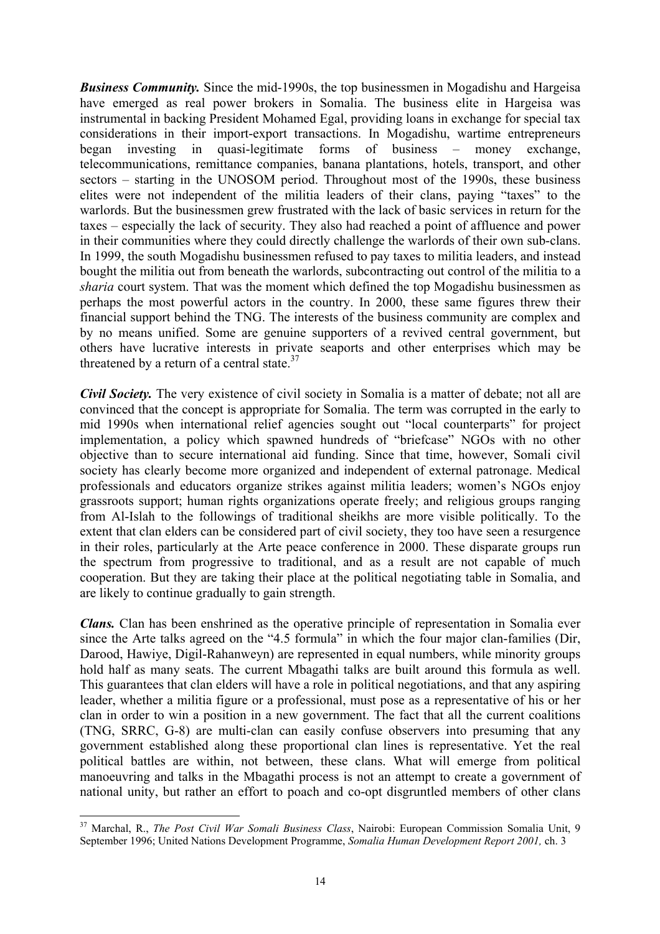*Business Community.* Since the mid-1990s, the top businessmen in Mogadishu and Hargeisa have emerged as real power brokers in Somalia. The business elite in Hargeisa was instrumental in backing President Mohamed Egal, providing loans in exchange for special tax considerations in their import-export transactions. In Mogadishu, wartime entrepreneurs began investing in quasi-legitimate forms of business – money exchange, telecommunications, remittance companies, banana plantations, hotels, transport, and other sectors – starting in the UNOSOM period. Throughout most of the 1990s, these business elites were not independent of the militia leaders of their clans, paying "taxes" to the warlords. But the businessmen grew frustrated with the lack of basic services in return for the taxes – especially the lack of security. They also had reached a point of affluence and power in their communities where they could directly challenge the warlords of their own sub-clans. In 1999, the south Mogadishu businessmen refused to pay taxes to militia leaders, and instead bought the militia out from beneath the warlords, subcontracting out control of the militia to a *sharia* court system. That was the moment which defined the top Mogadishu businessmen as perhaps the most powerful actors in the country. In 2000, these same figures threw their financial support behind the TNG. The interests of the business community are complex and by no means unified. Some are genuine supporters of a revived central government, but others have lucrative interests in private seaports and other enterprises which may be threatened by a return of a central state. $37$ 

*Civil Society.* The very existence of civil society in Somalia is a matter of debate; not all are convinced that the concept is appropriate for Somalia. The term was corrupted in the early to mid 1990s when international relief agencies sought out "local counterparts" for project implementation, a policy which spawned hundreds of "briefcase" NGOs with no other objective than to secure international aid funding. Since that time, however, Somali civil society has clearly become more organized and independent of external patronage. Medical professionals and educators organize strikes against militia leaders; women's NGOs enjoy grassroots support; human rights organizations operate freely; and religious groups ranging from Al-Islah to the followings of traditional sheikhs are more visible politically. To the extent that clan elders can be considered part of civil society, they too have seen a resurgence in their roles, particularly at the Arte peace conference in 2000. These disparate groups run the spectrum from progressive to traditional, and as a result are not capable of much cooperation. But they are taking their place at the political negotiating table in Somalia, and are likely to continue gradually to gain strength.

*Clans.* Clan has been enshrined as the operative principle of representation in Somalia ever since the Arte talks agreed on the "4.5 formula" in which the four major clan-families (Dir, Darood, Hawiye, Digil-Rahanweyn) are represented in equal numbers, while minority groups hold half as many seats. The current Mbagathi talks are built around this formula as well. This guarantees that clan elders will have a role in political negotiations, and that any aspiring leader, whether a militia figure or a professional, must pose as a representative of his or her clan in order to win a position in a new government. The fact that all the current coalitions (TNG, SRRC, G-8) are multi-clan can easily confuse observers into presuming that any government established along these proportional clan lines is representative. Yet the real political battles are within, not between, these clans. What will emerge from political manoeuvring and talks in the Mbagathi process is not an attempt to create a government of national unity, but rather an effort to poach and co-opt disgruntled members of other clans

<span id="page-19-0"></span><sup>37</sup> Marchal, R., *The Post Civil War Somali Business Class*, Nairobi: European Commission Somalia Unit, 9 September 1996; United Nations Development Programme, *Somalia Human Development Report 2001,* ch. 3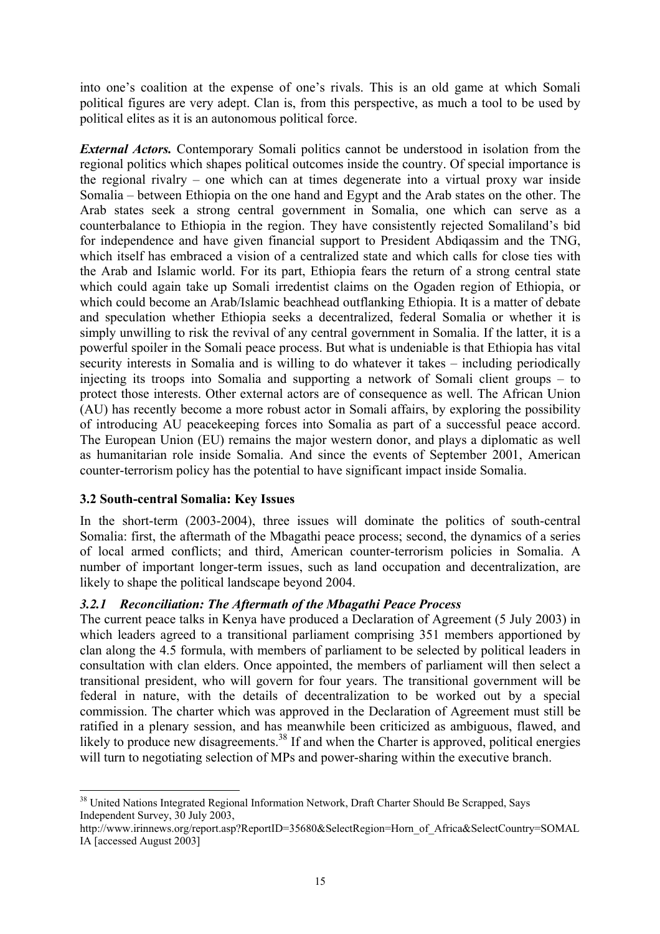<span id="page-20-0"></span>into one's coalition at the expense of one's rivals. This is an old game at which Somali political figures are very adept. Clan is, from this perspective, as much a tool to be used by political elites as it is an autonomous political force.

*External Actors.* Contemporary Somali politics cannot be understood in isolation from the regional politics which shapes political outcomes inside the country. Of special importance is the regional rivalry – one which can at times degenerate into a virtual proxy war inside Somalia – between Ethiopia on the one hand and Egypt and the Arab states on the other. The Arab states seek a strong central government in Somalia, one which can serve as a counterbalance to Ethiopia in the region. They have consistently rejected Somaliland's bid for independence and have given financial support to President Abdiqassim and the TNG, which itself has embraced a vision of a centralized state and which calls for close ties with the Arab and Islamic world. For its part, Ethiopia fears the return of a strong central state which could again take up Somali irredentist claims on the Ogaden region of Ethiopia, or which could become an Arab/Islamic beachhead outflanking Ethiopia. It is a matter of debate and speculation whether Ethiopia seeks a decentralized, federal Somalia or whether it is simply unwilling to risk the revival of any central government in Somalia. If the latter, it is a powerful spoiler in the Somali peace process. But what is undeniable is that Ethiopia has vital security interests in Somalia and is willing to do whatever it takes – including periodically injecting its troops into Somalia and supporting a network of Somali client groups – to protect those interests. Other external actors are of consequence as well. The African Union (AU) has recently become a more robust actor in Somali affairs, by exploring the possibility of introducing AU peacekeeping forces into Somalia as part of a successful peace accord. The European Union (EU) remains the major western donor, and plays a diplomatic as well as humanitarian role inside Somalia. And since the events of September 2001, American counter-terrorism policy has the potential to have significant impact inside Somalia.

## **3.2 South-central Somalia: Key Issues**

 $\overline{a}$ 

In the short-term (2003-2004), three issues will dominate the politics of south-central Somalia: first, the aftermath of the Mbagathi peace process; second, the dynamics of a series of local armed conflicts; and third, American counter-terrorism policies in Somalia. A number of important longer-term issues, such as land occupation and decentralization, are likely to shape the political landscape beyond 2004.

## *3.2.1 Reconciliation: The Aftermath of the Mbagathi Peace Process*

The current peace talks in Kenya have produced a Declaration of Agreement (5 July 2003) in which leaders agreed to a transitional parliament comprising 351 members apportioned by clan along the 4.5 formula, with members of parliament to be selected by political leaders in consultation with clan elders. Once appointed, the members of parliament will then select a transitional president, who will govern for four years. The transitional government will be federal in nature, with the details of decentralization to be worked out by a special commission. The charter which was approved in the Declaration of Agreement must still be ratified in a plenary session, and has meanwhile been criticized as ambiguous, flawed, and likely to produce new disagreements.<sup>38</sup> If and when the Charter is approved, political energies will turn to negotiating selection of MPs and power-sharing within the executive branch.

<span id="page-20-1"></span><sup>&</sup>lt;sup>38</sup> United Nations Integrated Regional Information Network, Draft Charter Should Be Scrapped, Says Independent Survey, 30 July 2003,

http://www.irinnews.org/report.asp?ReportID=35680&SelectRegion=Horn\_of\_Africa&SelectCountry=SOMAL IA [accessed August 2003]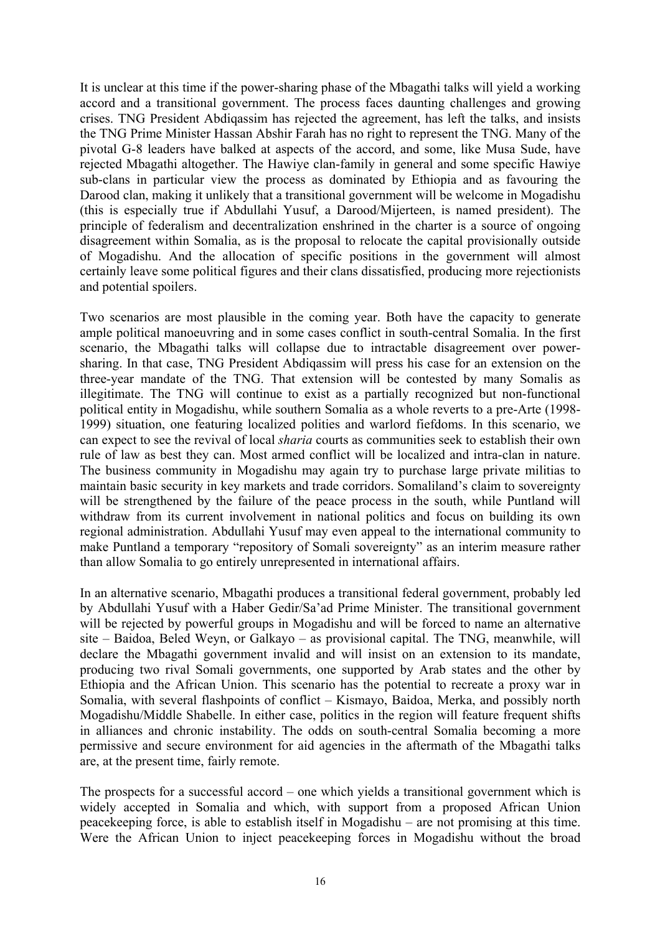It is unclear at this time if the power-sharing phase of the Mbagathi talks will yield a working accord and a transitional government. The process faces daunting challenges and growing crises. TNG President Abdiqassim has rejected the agreement, has left the talks, and insists the TNG Prime Minister Hassan Abshir Farah has no right to represent the TNG. Many of the pivotal G-8 leaders have balked at aspects of the accord, and some, like Musa Sude, have rejected Mbagathi altogether. The Hawiye clan-family in general and some specific Hawiye sub-clans in particular view the process as dominated by Ethiopia and as favouring the Darood clan, making it unlikely that a transitional government will be welcome in Mogadishu (this is especially true if Abdullahi Yusuf, a Darood/Mijerteen, is named president). The principle of federalism and decentralization enshrined in the charter is a source of ongoing disagreement within Somalia, as is the proposal to relocate the capital provisionally outside of Mogadishu. And the allocation of specific positions in the government will almost certainly leave some political figures and their clans dissatisfied, producing more rejectionists and potential spoilers.

Two scenarios are most plausible in the coming year. Both have the capacity to generate ample political manoeuvring and in some cases conflict in south-central Somalia. In the first scenario, the Mbagathi talks will collapse due to intractable disagreement over powersharing. In that case, TNG President Abdiqassim will press his case for an extension on the three-year mandate of the TNG. That extension will be contested by many Somalis as illegitimate. The TNG will continue to exist as a partially recognized but non-functional political entity in Mogadishu, while southern Somalia as a whole reverts to a pre-Arte (1998- 1999) situation, one featuring localized polities and warlord fiefdoms. In this scenario, we can expect to see the revival of local *sharia* courts as communities seek to establish their own rule of law as best they can. Most armed conflict will be localized and intra-clan in nature. The business community in Mogadishu may again try to purchase large private militias to maintain basic security in key markets and trade corridors. Somaliland's claim to sovereignty will be strengthened by the failure of the peace process in the south, while Puntland will withdraw from its current involvement in national politics and focus on building its own regional administration. Abdullahi Yusuf may even appeal to the international community to make Puntland a temporary "repository of Somali sovereignty" as an interim measure rather than allow Somalia to go entirely unrepresented in international affairs.

In an alternative scenario, Mbagathi produces a transitional federal government, probably led by Abdullahi Yusuf with a Haber Gedir/Sa'ad Prime Minister. The transitional government will be rejected by powerful groups in Mogadishu and will be forced to name an alternative site – Baidoa, Beled Weyn, or Galkayo – as provisional capital. The TNG, meanwhile, will declare the Mbagathi government invalid and will insist on an extension to its mandate, producing two rival Somali governments, one supported by Arab states and the other by Ethiopia and the African Union. This scenario has the potential to recreate a proxy war in Somalia, with several flashpoints of conflict – Kismayo, Baidoa, Merka, and possibly north Mogadishu/Middle Shabelle. In either case, politics in the region will feature frequent shifts in alliances and chronic instability. The odds on south-central Somalia becoming a more permissive and secure environment for aid agencies in the aftermath of the Mbagathi talks are, at the present time, fairly remote.

The prospects for a successful accord – one which yields a transitional government which is widely accepted in Somalia and which, with support from a proposed African Union peacekeeping force, is able to establish itself in Mogadishu – are not promising at this time. Were the African Union to inject peacekeeping forces in Mogadishu without the broad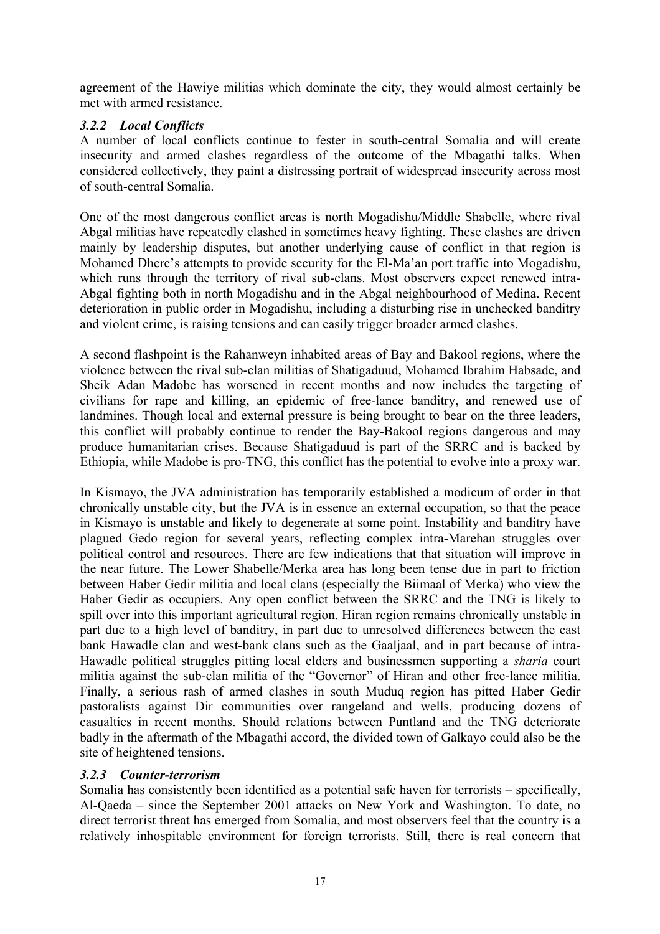<span id="page-22-0"></span>agreement of the Hawiye militias which dominate the city, they would almost certainly be met with armed resistance.

# *3.2.2 Local Conflicts*

A number of local conflicts continue to fester in south-central Somalia and will create insecurity and armed clashes regardless of the outcome of the Mbagathi talks. When considered collectively, they paint a distressing portrait of widespread insecurity across most of south-central Somalia.

One of the most dangerous conflict areas is north Mogadishu/Middle Shabelle, where rival Abgal militias have repeatedly clashed in sometimes heavy fighting. These clashes are driven mainly by leadership disputes, but another underlying cause of conflict in that region is Mohamed Dhere's attempts to provide security for the El-Ma'an port traffic into Mogadishu, which runs through the territory of rival sub-clans. Most observers expect renewed intra-Abgal fighting both in north Mogadishu and in the Abgal neighbourhood of Medina. Recent deterioration in public order in Mogadishu, including a disturbing rise in unchecked banditry and violent crime, is raising tensions and can easily trigger broader armed clashes.

A second flashpoint is the Rahanweyn inhabited areas of Bay and Bakool regions, where the violence between the rival sub-clan militias of Shatigaduud, Mohamed Ibrahim Habsade, and Sheik Adan Madobe has worsened in recent months and now includes the targeting of civilians for rape and killing, an epidemic of free-lance banditry, and renewed use of landmines. Though local and external pressure is being brought to bear on the three leaders, this conflict will probably continue to render the Bay-Bakool regions dangerous and may produce humanitarian crises. Because Shatigaduud is part of the SRRC and is backed by Ethiopia, while Madobe is pro-TNG, this conflict has the potential to evolve into a proxy war.

In Kismayo, the JVA administration has temporarily established a modicum of order in that chronically unstable city, but the JVA is in essence an external occupation, so that the peace in Kismayo is unstable and likely to degenerate at some point. Instability and banditry have plagued Gedo region for several years, reflecting complex intra-Marehan struggles over political control and resources. There are few indications that that situation will improve in the near future. The Lower Shabelle/Merka area has long been tense due in part to friction between Haber Gedir militia and local clans (especially the Biimaal of Merka) who view the Haber Gedir as occupiers. Any open conflict between the SRRC and the TNG is likely to spill over into this important agricultural region. Hiran region remains chronically unstable in part due to a high level of banditry, in part due to unresolved differences between the east bank Hawadle clan and west-bank clans such as the Gaaljaal, and in part because of intra-Hawadle political struggles pitting local elders and businessmen supporting a *sharia* court militia against the sub-clan militia of the "Governor" of Hiran and other free-lance militia. Finally, a serious rash of armed clashes in south Muduq region has pitted Haber Gedir pastoralists against Dir communities over rangeland and wells, producing dozens of casualties in recent months. Should relations between Puntland and the TNG deteriorate badly in the aftermath of the Mbagathi accord, the divided town of Galkayo could also be the site of heightened tensions.

## *3.2.3 Counter-terrorism*

Somalia has consistently been identified as a potential safe haven for terrorists – specifically, Al-Qaeda – since the September 2001 attacks on New York and Washington. To date, no direct terrorist threat has emerged from Somalia, and most observers feel that the country is a relatively inhospitable environment for foreign terrorists. Still, there is real concern that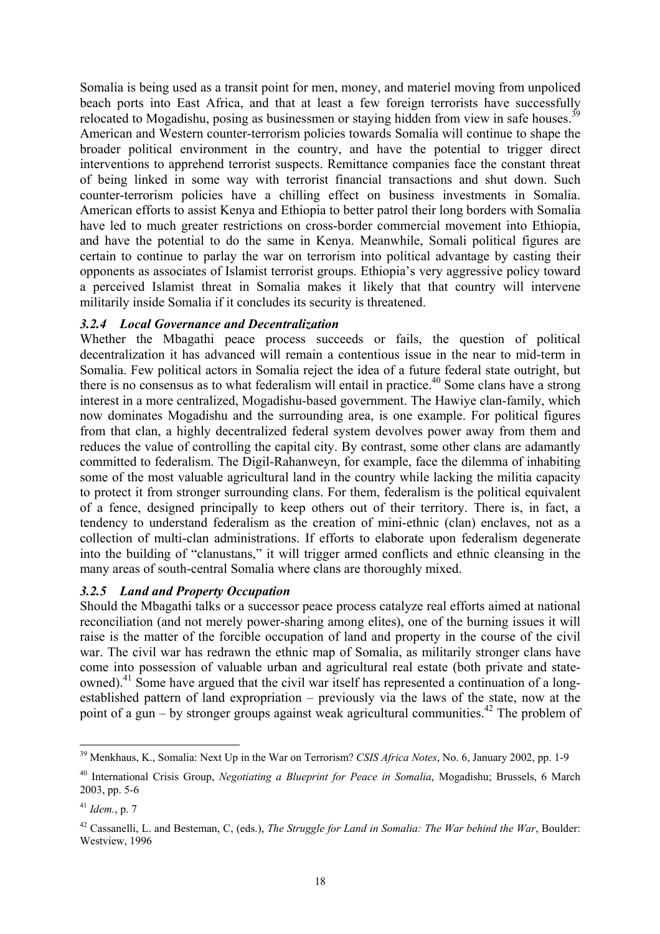<span id="page-23-0"></span>Somalia is being used as a transit point for men, money, and materiel moving from unpoliced beach ports into East Africa, and that at least a few foreign terrorists have successfully relocated to Mogadishu, posing as businessmen or staying hidden from view in safe houses.<sup>39</sup> American and Western counter-terrorism policies towards Somalia will continue to shape the broader political environment in the country, and have the potential to trigger direct interventions to apprehend terrorist suspects. Remittance companies face the constant threat of being linked in some way with terrorist financial transactions and shut down. Such counter-terrorism policies have a chilling effect on business investments in Somalia. American efforts to assist Kenya and Ethiopia to better patrol their long borders with Somalia have led to much greater restrictions on cross-border commercial movement into Ethiopia, and have the potential to do the same in Kenya. Meanwhile, Somali political figures are certain to continue to parlay the war on terrorism into political advantage by casting their opponents as associates of Islamist terrorist groups. Ethiopia's very aggressive policy toward a perceived Islamist threat in Somalia makes it likely that that country will intervene militarily inside Somalia if it concludes its security is threatened.

## *3.2.4 Local Governance and Decentralization*

Whether the Mbagathi peace process succeeds or fails, the question of political decentralization it has advanced will remain a contentious issue in the near to mid-term in Somalia. Few political actors in Somalia reject the idea of a future federal state outright, but there is no consensus as to what federalism will entail in practice.<sup>40</sup> Some clans have a strong interest in a more centralized, Mogadishu-based government. The Hawiye clan-family, which now dominates Mogadishu and the surrounding area, is one example. For political figures from that clan, a highly decentralized federal system devolves power away from them and reduces the value of controlling the capital city. By contrast, some other clans are adamantly committed to federalism. The Digil-Rahanweyn, for example, face the dilemma of inhabiting some of the most valuable agricultural land in the country while lacking the militia capacity to protect it from stronger surrounding clans. For them, federalism is the political equivalent of a fence, designed principally to keep others out of their territory. There is, in fact, a tendency to understand federalism as the creation of mini-ethnic (clan) enclaves, not as a collection of multi-clan administrations. If efforts to elaborate upon federalism degenerate into the building of "clanustans," it will trigger armed conflicts and ethnic cleansing in the many areas of south-central Somalia where clans are thoroughly mixed.

## *3.2.5 Land and Property Occupation*

Should the Mbagathi talks or a successor peace process catalyze real efforts aimed at national reconciliation (and not merely power-sharing among elites), one of the burning issues it will raise is the matter of the forcible occupation of land and property in the course of the civil war. The civil war has redrawn the ethnic map of Somalia, as militarily stronger clans have come into possession of valuable urban and agricultural real estate (both private and stateowned).<sup>41</sup> Some have argued that the civil war itself has represented a continuation of a longestablished pattern of land expropriation – previously via the laws of the state, now at the point of a gun – by stronger groups against weak agricultural communities.<sup>42</sup> The problem of

<span id="page-23-1"></span> $\overline{a}$ 39 Menkhaus, K., Somalia: Next Up in the War on Terrorism? *CSIS Africa Notes*, No. 6, January 2002, pp. 1-9

<span id="page-23-2"></span><sup>40</sup> International Crisis Group, *Negotiating a Blueprint for Peace in Somalia*, Mogadishu; Brussels, 6 March 2003, pp. 5-6

<span id="page-23-3"></span><sup>41</sup> *Idem.*, p. 7

<span id="page-23-4"></span><sup>42</sup> Cassanelli, L. and Besteman, C, (eds.), *The Struggle for Land in Somalia: The War behind the War*, Boulder: Westview, 1996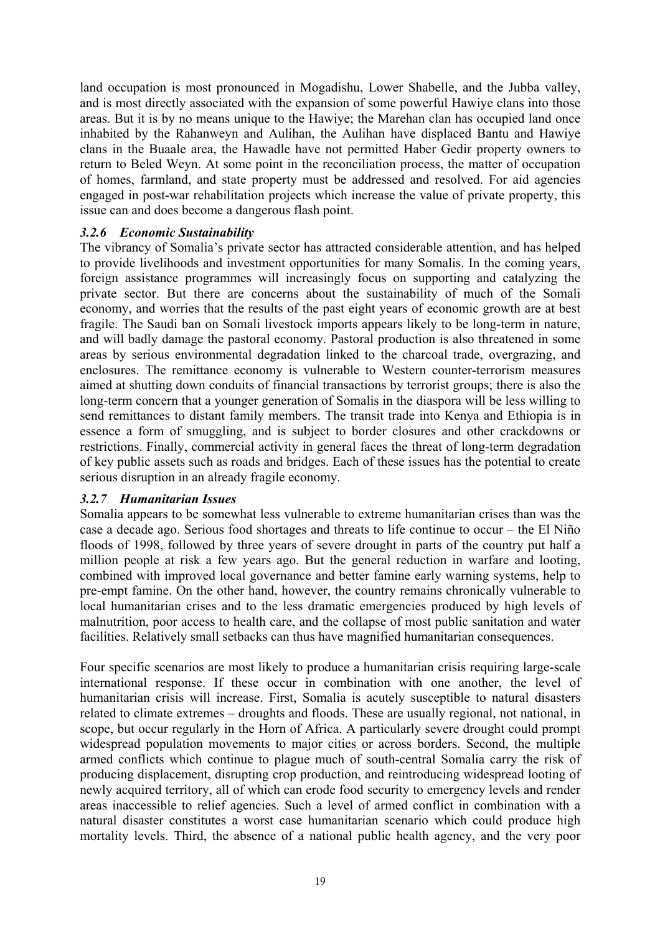<span id="page-24-0"></span>land occupation is most pronounced in Mogadishu, Lower Shabelle, and the Jubba valley, and is most directly associated with the expansion of some powerful Hawiye clans into those areas. But it is by no means unique to the Hawiye; the Marehan clan has occupied land once inhabited by the Rahanweyn and Aulihan, the Aulihan have displaced Bantu and Hawiye clans in the Buaale area, the Hawadle have not permitted Haber Gedir property owners to return to Beled Weyn. At some point in the reconciliation process, the matter of occupation of homes, farmland, and state property must be addressed and resolved. For aid agencies engaged in post-war rehabilitation projects which increase the value of private property, this issue can and does become a dangerous flash point.

#### *3.2.6 Economic Sustainability*

The vibrancy of Somalia's private sector has attracted considerable attention, and has helped to provide livelihoods and investment opportunities for many Somalis. In the coming years, foreign assistance programmes will increasingly focus on supporting and catalyzing the private sector. But there are concerns about the sustainability of much of the Somali economy, and worries that the results of the past eight years of economic growth are at best fragile. The Saudi ban on Somali livestock imports appears likely to be long-term in nature, and will badly damage the pastoral economy. Pastoral production is also threatened in some areas by serious environmental degradation linked to the charcoal trade, overgrazing, and enclosures. The remittance economy is vulnerable to Western counter-terrorism measures aimed at shutting down conduits of financial transactions by terrorist groups; there is also the long-term concern that a younger generation of Somalis in the diaspora will be less willing to send remittances to distant family members. The transit trade into Kenya and Ethiopia is in essence a form of smuggling, and is subject to border closures and other crackdowns or restrictions. Finally, commercial activity in general faces the threat of long-term degradation of key public assets such as roads and bridges. Each of these issues has the potential to create serious disruption in an already fragile economy.

#### *3.2.7 Humanitarian Issues*

Somalia appears to be somewhat less vulnerable to extreme humanitarian crises than was the case a decade ago. Serious food shortages and threats to life continue to occur – the El Niño floods of 1998, followed by three years of severe drought in parts of the country put half a million people at risk a few years ago. But the general reduction in warfare and looting, combined with improved local governance and better famine early warning systems, help to pre-empt famine. On the other hand, however, the country remains chronically vulnerable to local humanitarian crises and to the less dramatic emergencies produced by high levels of malnutrition, poor access to health care, and the collapse of most public sanitation and water facilities. Relatively small setbacks can thus have magnified humanitarian consequences.

Four specific scenarios are most likely to produce a humanitarian crisis requiring large-scale international response. If these occur in combination with one another, the level of humanitarian crisis will increase. First, Somalia is acutely susceptible to natural disasters related to climate extremes – droughts and floods. These are usually regional, not national, in scope, but occur regularly in the Horn of Africa. A particularly severe drought could prompt widespread population movements to major cities or across borders. Second, the multiple armed conflicts which continue to plague much of south-central Somalia carry the risk of producing displacement, disrupting crop production, and reintroducing widespread looting of newly acquired territory, all of which can erode food security to emergency levels and render areas inaccessible to relief agencies. Such a level of armed conflict in combination with a natural disaster constitutes a worst case humanitarian scenario which could produce high mortality levels. Third, the absence of a national public health agency, and the very poor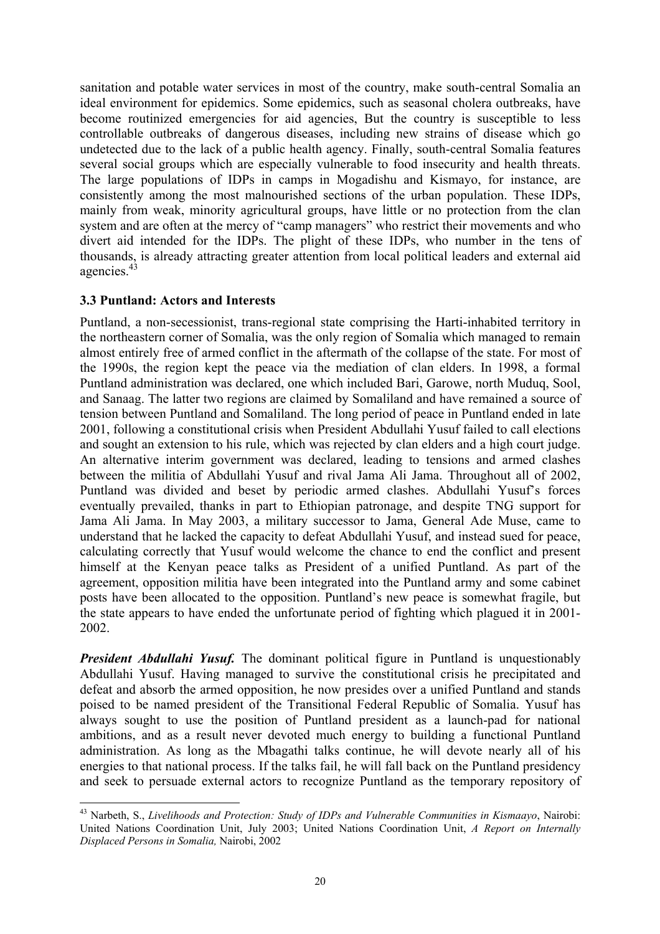<span id="page-25-0"></span>sanitation and potable water services in most of the country, make south-central Somalia an ideal environment for epidemics. Some epidemics, such as seasonal cholera outbreaks, have become routinized emergencies for aid agencies, But the country is susceptible to less controllable outbreaks of dangerous diseases, including new strains of disease which go undetected due to the lack of a public health agency. Finally, south-central Somalia features several social groups which are especially vulnerable to food insecurity and health threats. The large populations of IDPs in camps in Mogadishu and Kismayo, for instance, are consistently among the most malnourished sections of the urban population. These IDPs, mainly from weak, minority agricultural groups, have little or no protection from the clan system and are often at the mercy of "camp managers" who restrict their movements and who divert aid intended for the IDPs. The plight of these IDPs, who number in the tens of thousands, is already attracting greater attention from local political leaders and external aid agencies[.43](#page-25-1)

## **3.3 Puntland: Actors and Interests**

Puntland, a non-secessionist, trans-regional state comprising the Harti-inhabited territory in the northeastern corner of Somalia, was the only region of Somalia which managed to remain almost entirely free of armed conflict in the aftermath of the collapse of the state. For most of the 1990s, the region kept the peace via the mediation of clan elders. In 1998, a formal Puntland administration was declared, one which included Bari, Garowe, north Muduq, Sool, and Sanaag. The latter two regions are claimed by Somaliland and have remained a source of tension between Puntland and Somaliland. The long period of peace in Puntland ended in late 2001, following a constitutional crisis when President Abdullahi Yusuf failed to call elections and sought an extension to his rule, which was rejected by clan elders and a high court judge. An alternative interim government was declared, leading to tensions and armed clashes between the militia of Abdullahi Yusuf and rival Jama Ali Jama. Throughout all of 2002, Puntland was divided and beset by periodic armed clashes. Abdullahi Yusuf's forces eventually prevailed, thanks in part to Ethiopian patronage, and despite TNG support for Jama Ali Jama. In May 2003, a military successor to Jama, General Ade Muse, came to understand that he lacked the capacity to defeat Abdullahi Yusuf, and instead sued for peace, calculating correctly that Yusuf would welcome the chance to end the conflict and present himself at the Kenyan peace talks as President of a unified Puntland. As part of the agreement, opposition militia have been integrated into the Puntland army and some cabinet posts have been allocated to the opposition. Puntland's new peace is somewhat fragile, but the state appears to have ended the unfortunate period of fighting which plagued it in 2001- 2002.

*President Abdullahi Yusuf.* The dominant political figure in Puntland is unquestionably Abdullahi Yusuf. Having managed to survive the constitutional crisis he precipitated and defeat and absorb the armed opposition, he now presides over a unified Puntland and stands poised to be named president of the Transitional Federal Republic of Somalia. Yusuf has always sought to use the position of Puntland president as a launch-pad for national ambitions, and as a result never devoted much energy to building a functional Puntland administration. As long as the Mbagathi talks continue, he will devote nearly all of his energies to that national process. If the talks fail, he will fall back on the Puntland presidency and seek to persuade external actors to recognize Puntland as the temporary repository of

<span id="page-25-1"></span> $\overline{a}$ 43 Narbeth, S., *Livelihoods and Protection: Study of IDPs and Vulnerable Communities in Kismaayo*, Nairobi: United Nations Coordination Unit, July 2003; United Nations Coordination Unit, *A Report on Internally Displaced Persons in Somalia,* Nairobi, 2002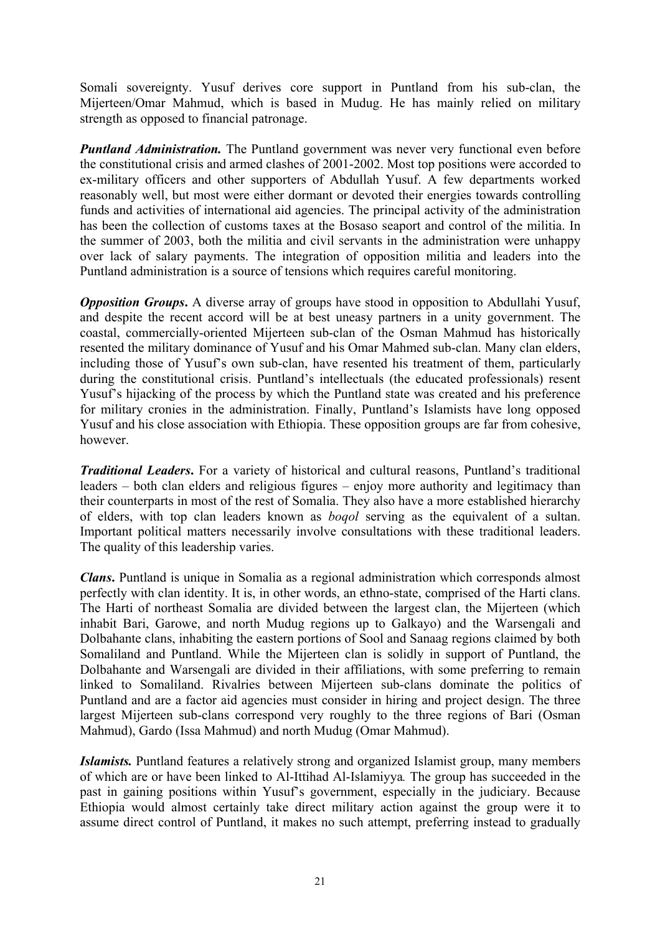Somali sovereignty. Yusuf derives core support in Puntland from his sub-clan, the Mijerteen/Omar Mahmud, which is based in Mudug. He has mainly relied on military strength as opposed to financial patronage.

*Puntland Administration.* The Puntland government was never very functional even before the constitutional crisis and armed clashes of 2001-2002. Most top positions were accorded to ex-military officers and other supporters of Abdullah Yusuf. A few departments worked reasonably well, but most were either dormant or devoted their energies towards controlling funds and activities of international aid agencies. The principal activity of the administration has been the collection of customs taxes at the Bosaso seaport and control of the militia. In the summer of 2003, both the militia and civil servants in the administration were unhappy over lack of salary payments. The integration of opposition militia and leaders into the Puntland administration is a source of tensions which requires careful monitoring.

*Opposition Groups*. A diverse array of groups have stood in opposition to Abdullahi Yusuf, and despite the recent accord will be at best uneasy partners in a unity government. The coastal, commercially-oriented Mijerteen sub-clan of the Osman Mahmud has historically resented the military dominance of Yusuf and his Omar Mahmed sub-clan. Many clan elders, including those of Yusuf's own sub-clan, have resented his treatment of them, particularly during the constitutional crisis. Puntland's intellectuals (the educated professionals) resent Yusuf's hijacking of the process by which the Puntland state was created and his preference for military cronies in the administration. Finally, Puntland's Islamists have long opposed Yusuf and his close association with Ethiopia. These opposition groups are far from cohesive, however.

*Traditional Leaders***.** For a variety of historical and cultural reasons, Puntland's traditional leaders – both clan elders and religious figures – enjoy more authority and legitimacy than their counterparts in most of the rest of Somalia. They also have a more established hierarchy of elders, with top clan leaders known as *boqol* serving as the equivalent of a sultan. Important political matters necessarily involve consultations with these traditional leaders. The quality of this leadership varies.

*Clans***.** Puntland is unique in Somalia as a regional administration which corresponds almost perfectly with clan identity. It is, in other words, an ethno-state, comprised of the Harti clans. The Harti of northeast Somalia are divided between the largest clan, the Mijerteen (which inhabit Bari, Garowe, and north Mudug regions up to Galkayo) and the Warsengali and Dolbahante clans, inhabiting the eastern portions of Sool and Sanaag regions claimed by both Somaliland and Puntland. While the Mijerteen clan is solidly in support of Puntland, the Dolbahante and Warsengali are divided in their affiliations, with some preferring to remain linked to Somaliland. Rivalries between Mijerteen sub-clans dominate the politics of Puntland and are a factor aid agencies must consider in hiring and project design. The three largest Mijerteen sub-clans correspond very roughly to the three regions of Bari (Osman Mahmud), Gardo (Issa Mahmud) and north Mudug (Omar Mahmud).

*Islamists.* Puntland features a relatively strong and organized Islamist group, many members of which are or have been linked to Al-Ittihad Al-Islamiyya*.* The group has succeeded in the past in gaining positions within Yusuf's government, especially in the judiciary. Because Ethiopia would almost certainly take direct military action against the group were it to assume direct control of Puntland, it makes no such attempt, preferring instead to gradually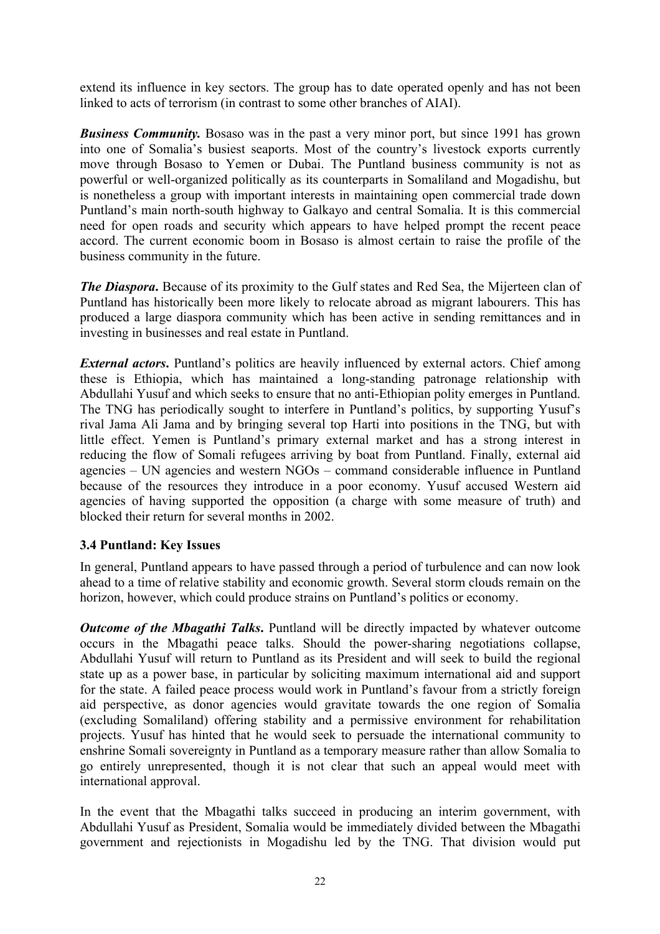<span id="page-27-0"></span>extend its influence in key sectors. The group has to date operated openly and has not been linked to acts of terrorism (in contrast to some other branches of AIAI).

**Business Community.** Bosaso was in the past a very minor port, but since 1991 has grown into one of Somalia's busiest seaports. Most of the country's livestock exports currently move through Bosaso to Yemen or Dubai. The Puntland business community is not as powerful or well-organized politically as its counterparts in Somaliland and Mogadishu, but is nonetheless a group with important interests in maintaining open commercial trade down Puntland's main north-south highway to Galkayo and central Somalia. It is this commercial need for open roads and security which appears to have helped prompt the recent peace accord. The current economic boom in Bosaso is almost certain to raise the profile of the business community in the future.

*The Diaspora*. Because of its proximity to the Gulf states and Red Sea, the Mijerteen clan of Puntland has historically been more likely to relocate abroad as migrant labourers. This has produced a large diaspora community which has been active in sending remittances and in investing in businesses and real estate in Puntland.

*External actors*. Puntland's politics are heavily influenced by external actors. Chief among these is Ethiopia, which has maintained a long-standing patronage relationship with Abdullahi Yusuf and which seeks to ensure that no anti-Ethiopian polity emerges in Puntland. The TNG has periodically sought to interfere in Puntland's politics, by supporting Yusuf's rival Jama Ali Jama and by bringing several top Harti into positions in the TNG, but with little effect. Yemen is Puntland's primary external market and has a strong interest in reducing the flow of Somali refugees arriving by boat from Puntland. Finally, external aid agencies – UN agencies and western NGOs – command considerable influence in Puntland because of the resources they introduce in a poor economy. Yusuf accused Western aid agencies of having supported the opposition (a charge with some measure of truth) and blocked their return for several months in 2002.

## **3.4 Puntland: Key Issues**

In general, Puntland appears to have passed through a period of turbulence and can now look ahead to a time of relative stability and economic growth. Several storm clouds remain on the horizon, however, which could produce strains on Puntland's politics or economy.

*Outcome of the Mbagathi Talks*. Puntland will be directly impacted by whatever outcome occurs in the Mbagathi peace talks. Should the power-sharing negotiations collapse, Abdullahi Yusuf will return to Puntland as its President and will seek to build the regional state up as a power base, in particular by soliciting maximum international aid and support for the state. A failed peace process would work in Puntland's favour from a strictly foreign aid perspective, as donor agencies would gravitate towards the one region of Somalia (excluding Somaliland) offering stability and a permissive environment for rehabilitation projects. Yusuf has hinted that he would seek to persuade the international community to enshrine Somali sovereignty in Puntland as a temporary measure rather than allow Somalia to go entirely unrepresented, though it is not clear that such an appeal would meet with international approval.

In the event that the Mbagathi talks succeed in producing an interim government, with Abdullahi Yusuf as President, Somalia would be immediately divided between the Mbagathi government and rejectionists in Mogadishu led by the TNG. That division would put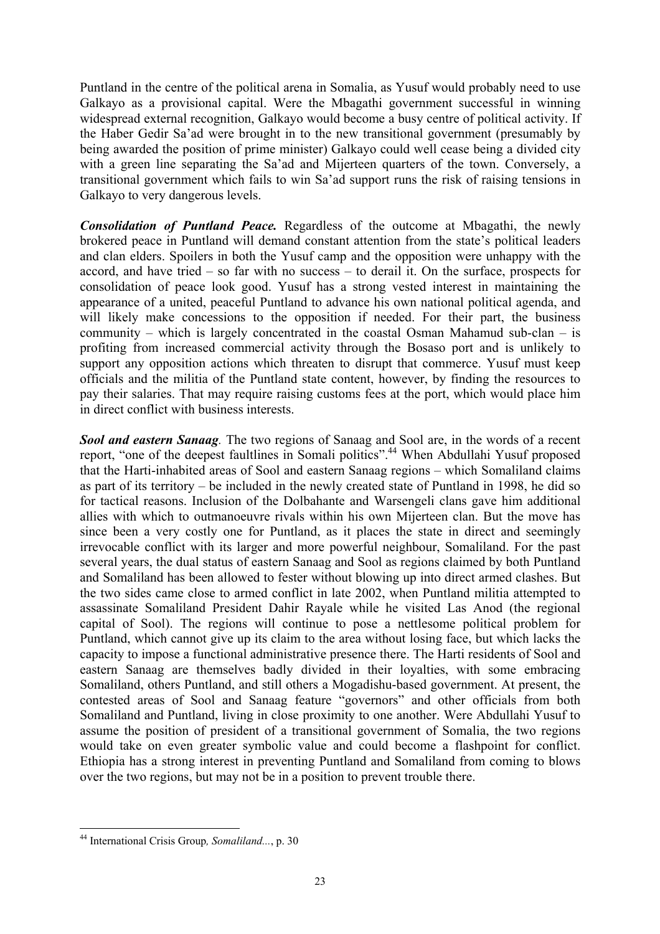Puntland in the centre of the political arena in Somalia, as Yusuf would probably need to use Galkayo as a provisional capital. Were the Mbagathi government successful in winning widespread external recognition, Galkayo would become a busy centre of political activity. If the Haber Gedir Sa'ad were brought in to the new transitional government (presumably by being awarded the position of prime minister) Galkayo could well cease being a divided city with a green line separating the Sa'ad and Mijerteen quarters of the town. Conversely, a transitional government which fails to win Sa'ad support runs the risk of raising tensions in Galkayo to very dangerous levels.

*Consolidation of Puntland Peace.* Regardless of the outcome at Mbagathi, the newly brokered peace in Puntland will demand constant attention from the state's political leaders and clan elders. Spoilers in both the Yusuf camp and the opposition were unhappy with the accord, and have tried – so far with no success – to derail it. On the surface, prospects for consolidation of peace look good. Yusuf has a strong vested interest in maintaining the appearance of a united, peaceful Puntland to advance his own national political agenda, and will likely make concessions to the opposition if needed. For their part, the business community – which is largely concentrated in the coastal Osman Mahamud sub-clan – is profiting from increased commercial activity through the Bosaso port and is unlikely to support any opposition actions which threaten to disrupt that commerce. Yusuf must keep officials and the militia of the Puntland state content, however, by finding the resources to pay their salaries. That may require raising customs fees at the port, which would place him in direct conflict with business interests.

*Sool and eastern Sanaag.* The two regions of Sanaag and Sool are, in the words of a recent report, "one of the deepest faultlines in Somali politics".[44](#page-28-0) When Abdullahi Yusuf proposed that the Harti-inhabited areas of Sool and eastern Sanaag regions – which Somaliland claims as part of its territory – be included in the newly created state of Puntland in 1998, he did so for tactical reasons. Inclusion of the Dolbahante and Warsengeli clans gave him additional allies with which to outmanoeuvre rivals within his own Mijerteen clan. But the move has since been a very costly one for Puntland, as it places the state in direct and seemingly irrevocable conflict with its larger and more powerful neighbour, Somaliland. For the past several years, the dual status of eastern Sanaag and Sool as regions claimed by both Puntland and Somaliland has been allowed to fester without blowing up into direct armed clashes. But the two sides came close to armed conflict in late 2002, when Puntland militia attempted to assassinate Somaliland President Dahir Rayale while he visited Las Anod (the regional capital of Sool). The regions will continue to pose a nettlesome political problem for Puntland, which cannot give up its claim to the area without losing face, but which lacks the capacity to impose a functional administrative presence there. The Harti residents of Sool and eastern Sanaag are themselves badly divided in their loyalties, with some embracing Somaliland, others Puntland, and still others a Mogadishu-based government. At present, the contested areas of Sool and Sanaag feature "governors" and other officials from both Somaliland and Puntland, living in close proximity to one another. Were Abdullahi Yusuf to assume the position of president of a transitional government of Somalia, the two regions would take on even greater symbolic value and could become a flashpoint for conflict. Ethiopia has a strong interest in preventing Puntland and Somaliland from coming to blows over the two regions, but may not be in a position to prevent trouble there.

<span id="page-28-0"></span><sup>44</sup> International Crisis Group*, Somaliland...*, p. 30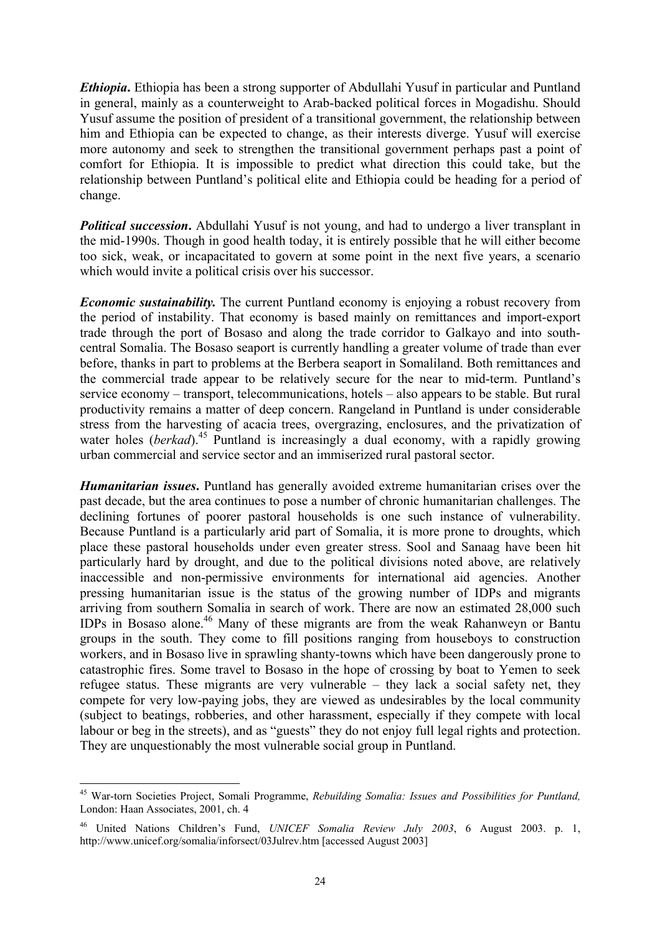*Ethiopia***.** Ethiopia has been a strong supporter of Abdullahi Yusuf in particular and Puntland in general, mainly as a counterweight to Arab-backed political forces in Mogadishu. Should Yusuf assume the position of president of a transitional government, the relationship between him and Ethiopia can be expected to change, as their interests diverge. Yusuf will exercise more autonomy and seek to strengthen the transitional government perhaps past a point of comfort for Ethiopia. It is impossible to predict what direction this could take, but the relationship between Puntland's political elite and Ethiopia could be heading for a period of change.

*Political succession***.** Abdullahi Yusuf is not young, and had to undergo a liver transplant in the mid-1990s. Though in good health today, it is entirely possible that he will either become too sick, weak, or incapacitated to govern at some point in the next five years, a scenario which would invite a political crisis over his successor.

*Economic sustainability.* The current Puntland economy is enjoying a robust recovery from the period of instability. That economy is based mainly on remittances and import-export trade through the port of Bosaso and along the trade corridor to Galkayo and into southcentral Somalia. The Bosaso seaport is currently handling a greater volume of trade than ever before, thanks in part to problems at the Berbera seaport in Somaliland. Both remittances and the commercial trade appear to be relatively secure for the near to mid-term. Puntland's service economy – transport, telecommunications, hotels – also appears to be stable. But rural productivity remains a matter of deep concern. Rangeland in Puntland is under considerable stress from the harvesting of acacia trees, overgrazing, enclosures, and the privatization of water holes (*berkad*).<sup>45</sup> Puntland is increasingly a dual economy, with a rapidly growing urban commercial and service sector and an immiserized rural pastoral sector.

*Humanitarian issues***.** Puntland has generally avoided extreme humanitarian crises over the past decade, but the area continues to pose a number of chronic humanitarian challenges. The declining fortunes of poorer pastoral households is one such instance of vulnerability. Because Puntland is a particularly arid part of Somalia, it is more prone to droughts, which place these pastoral households under even greater stress. Sool and Sanaag have been hit particularly hard by drought, and due to the political divisions noted above, are relatively inaccessible and non-permissive environments for international aid agencies. Another pressing humanitarian issue is the status of the growing number of IDPs and migrants arriving from southern Somalia in search of work. There are now an estimated 28,000 such IDPs in Bosaso alone.[46](#page-29-1) Many of these migrants are from the weak Rahanweyn or Bantu groups in the south. They come to fill positions ranging from houseboys to construction workers, and in Bosaso live in sprawling shanty-towns which have been dangerously prone to catastrophic fires. Some travel to Bosaso in the hope of crossing by boat to Yemen to seek refugee status. These migrants are very vulnerable – they lack a social safety net, they compete for very low-paying jobs, they are viewed as undesirables by the local community (subject to beatings, robberies, and other harassment, especially if they compete with local labour or beg in the streets), and as "guests" they do not enjoy full legal rights and protection. They are unquestionably the most vulnerable social group in Puntland.

<span id="page-29-0"></span> $\overline{a}$ 45 War-torn Societies Project, Somali Programme, *Rebuilding Somalia: Issues and Possibilities for Puntland,* London: Haan Associates, 2001, ch. 4

<span id="page-29-1"></span><sup>46</sup> United Nations Children's Fund, *UNICEF Somalia Review July 2003*, 6 August 2003. p. 1, http://www.unicef.org/somalia/inforsect/03Julrev.htm [accessed August 2003]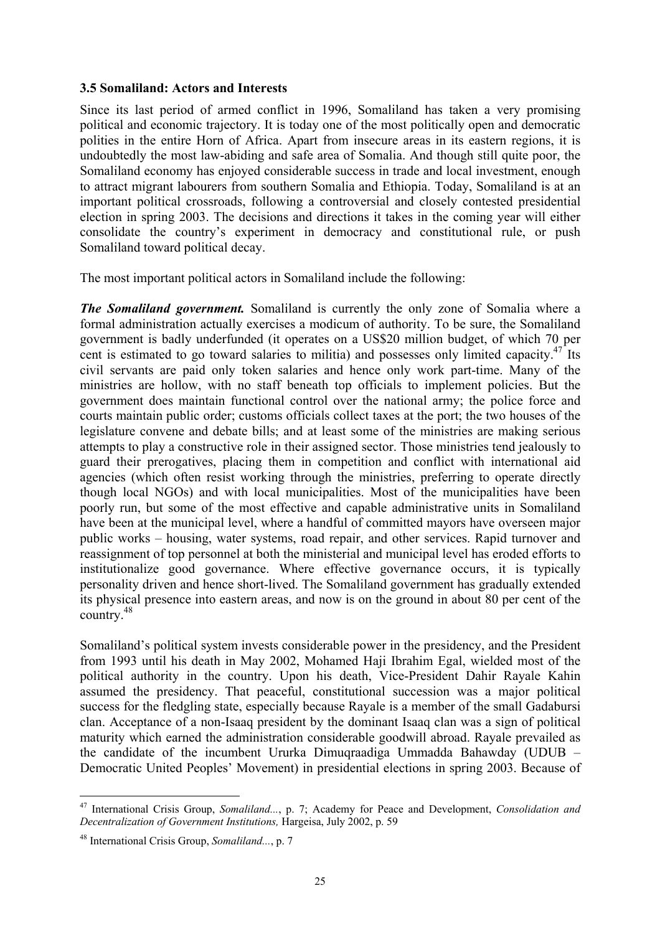#### <span id="page-30-0"></span>**3.5 Somaliland: Actors and Interests**

Since its last period of armed conflict in 1996, Somaliland has taken a very promising political and economic trajectory. It is today one of the most politically open and democratic polities in the entire Horn of Africa. Apart from insecure areas in its eastern regions, it is undoubtedly the most law-abiding and safe area of Somalia. And though still quite poor, the Somaliland economy has enjoyed considerable success in trade and local investment, enough to attract migrant labourers from southern Somalia and Ethiopia. Today, Somaliland is at an important political crossroads, following a controversial and closely contested presidential election in spring 2003. The decisions and directions it takes in the coming year will either consolidate the country's experiment in democracy and constitutional rule, or push Somaliland toward political decay.

The most important political actors in Somaliland include the following:

*The Somaliland government.* Somaliland is currently the only zone of Somalia where a formal administration actually exercises a modicum of authority. To be sure, the Somaliland government is badly underfunded (it operates on a US\$20 million budget, of which 70 per cent is estimated to go toward salaries to militia) and possesses only limited capacity.[47](#page-30-1) Its civil servants are paid only token salaries and hence only work part-time. Many of the ministries are hollow, with no staff beneath top officials to implement policies. But the government does maintain functional control over the national army; the police force and courts maintain public order; customs officials collect taxes at the port; the two houses of the legislature convene and debate bills; and at least some of the ministries are making serious attempts to play a constructive role in their assigned sector. Those ministries tend jealously to guard their prerogatives, placing them in competition and conflict with international aid agencies (which often resist working through the ministries, preferring to operate directly though local NGOs) and with local municipalities. Most of the municipalities have been poorly run, but some of the most effective and capable administrative units in Somaliland have been at the municipal level, where a handful of committed mayors have overseen major public works – housing, water systems, road repair, and other services. Rapid turnover and reassignment of top personnel at both the ministerial and municipal level has eroded efforts to institutionalize good governance. Where effective governance occurs, it is typically personality driven and hence short-lived. The Somaliland government has gradually extended its physical presence into eastern areas, and now is on the ground in about 80 per cent of the country.[48](#page-30-2)

Somaliland's political system invests considerable power in the presidency, and the President from 1993 until his death in May 2002, Mohamed Haji Ibrahim Egal, wielded most of the political authority in the country. Upon his death, Vice-President Dahir Rayale Kahin assumed the presidency. That peaceful, constitutional succession was a major political success for the fledgling state, especially because Rayale is a member of the small Gadabursi clan. Acceptance of a non-Isaaq president by the dominant Isaaq clan was a sign of political maturity which earned the administration considerable goodwill abroad. Rayale prevailed as the candidate of the incumbent Ururka Dimuqraadiga Ummadda Bahawday (UDUB – Democratic United Peoples' Movement) in presidential elections in spring 2003. Because of

<span id="page-30-1"></span> $\overline{a}$ 47 International Crisis Group, *Somaliland...*, p. 7; Academy for Peace and Development, *Consolidation and Decentralization of Government Institutions,* Hargeisa, July 2002, p. 59

<span id="page-30-2"></span><sup>48</sup> International Crisis Group, *Somaliland...*, p. 7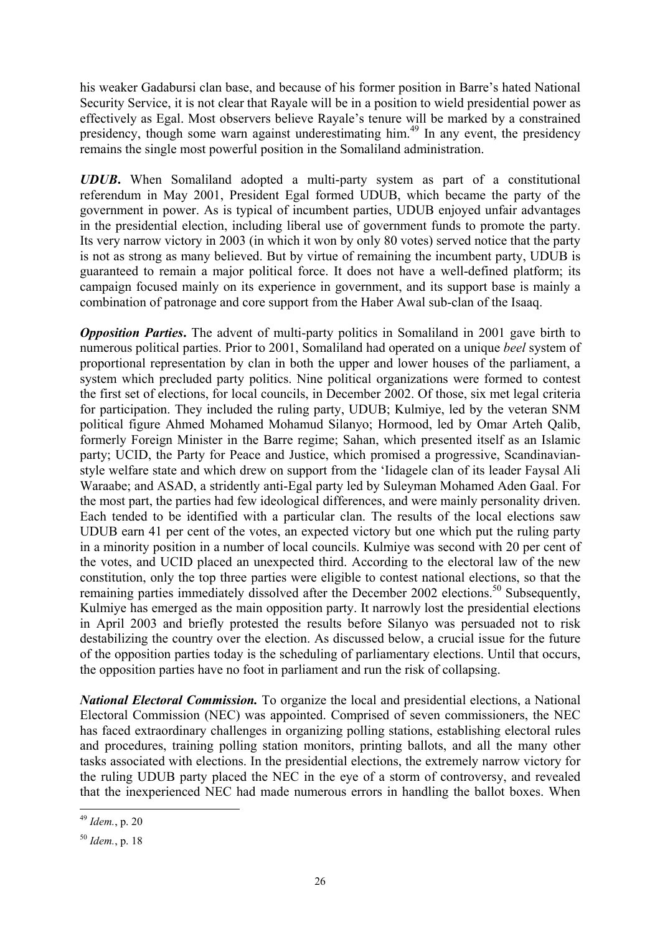his weaker Gadabursi clan base, and because of his former position in Barre's hated National Security Service, it is not clear that Rayale will be in a position to wield presidential power as effectively as Egal. Most observers believe Rayale's tenure will be marked by a constrained presidency, though some warn against underestimating him.[49](#page-31-0) In any event, the presidency remains the single most powerful position in the Somaliland administration.

*UDUB***.** When Somaliland adopted a multi-party system as part of a constitutional referendum in May 2001, President Egal formed UDUB, which became the party of the government in power. As is typical of incumbent parties, UDUB enjoyed unfair advantages in the presidential election, including liberal use of government funds to promote the party. Its very narrow victory in 2003 (in which it won by only 80 votes) served notice that the party is not as strong as many believed. But by virtue of remaining the incumbent party, UDUB is guaranteed to remain a major political force. It does not have a well-defined platform; its campaign focused mainly on its experience in government, and its support base is mainly a combination of patronage and core support from the Haber Awal sub-clan of the Isaaq.

*Opposition Parties*. The advent of multi-party politics in Somaliland in 2001 gave birth to numerous political parties. Prior to 2001, Somaliland had operated on a unique *beel* system of proportional representation by clan in both the upper and lower houses of the parliament, a system which precluded party politics. Nine political organizations were formed to contest the first set of elections, for local councils, in December 2002. Of those, six met legal criteria for participation. They included the ruling party, UDUB; Kulmiye, led by the veteran SNM political figure Ahmed Mohamed Mohamud Silanyo; Hormood, led by Omar Arteh Qalib, formerly Foreign Minister in the Barre regime; Sahan, which presented itself as an Islamic party; UCID, the Party for Peace and Justice, which promised a progressive, Scandinavianstyle welfare state and which drew on support from the 'Iidagele clan of its leader Faysal Ali Waraabe; and ASAD, a stridently anti-Egal party led by Suleyman Mohamed Aden Gaal. For the most part, the parties had few ideological differences, and were mainly personality driven. Each tended to be identified with a particular clan. The results of the local elections saw UDUB earn 41 per cent of the votes, an expected victory but one which put the ruling party in a minority position in a number of local councils. Kulmiye was second with 20 per cent of the votes, and UCID placed an unexpected third. According to the electoral law of the new constitution, only the top three parties were eligible to contest national elections, so that the remaining parties immediately dissolved after the December 2002 elections.<sup>50</sup> Subsequently, Kulmiye has emerged as the main opposition party. It narrowly lost the presidential elections in April 2003 and briefly protested the results before Silanyo was persuaded not to risk destabilizing the country over the election. As discussed below, a crucial issue for the future of the opposition parties today is the scheduling of parliamentary elections. Until that occurs, the opposition parties have no foot in parliament and run the risk of collapsing.

*National Electoral Commission.* To organize the local and presidential elections, a National Electoral Commission (NEC) was appointed. Comprised of seven commissioners, the NEC has faced extraordinary challenges in organizing polling stations, establishing electoral rules and procedures, training polling station monitors, printing ballots, and all the many other tasks associated with elections. In the presidential elections, the extremely narrow victory for the ruling UDUB party placed the NEC in the eye of a storm of controversy, and revealed that the inexperienced NEC had made numerous errors in handling the ballot boxes. When

<span id="page-31-0"></span><sup>49</sup> *Idem.*, p. 20

<span id="page-31-1"></span><sup>50</sup> *Idem.*, p. 18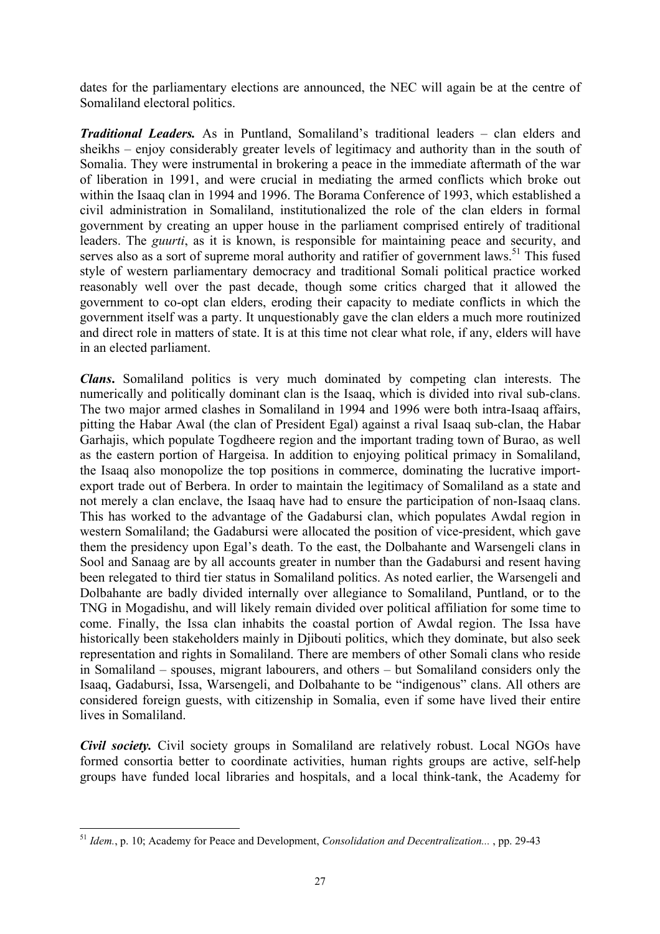dates for the parliamentary elections are announced, the NEC will again be at the centre of Somaliland electoral politics.

*Traditional Leaders.* As in Puntland, Somaliland's traditional leaders – clan elders and sheikhs – enjoy considerably greater levels of legitimacy and authority than in the south of Somalia. They were instrumental in brokering a peace in the immediate aftermath of the war of liberation in 1991, and were crucial in mediating the armed conflicts which broke out within the Isaaq clan in 1994 and 1996. The Borama Conference of 1993, which established a civil administration in Somaliland, institutionalized the role of the clan elders in formal government by creating an upper house in the parliament comprised entirely of traditional leaders. The *guurti*, as it is known, is responsible for maintaining peace and security, and serves also as a sort of supreme moral authority and ratifier of government laws.<sup>51</sup> This fused style of western parliamentary democracy and traditional Somali political practice worked reasonably well over the past decade, though some critics charged that it allowed the government to co-opt clan elders, eroding their capacity to mediate conflicts in which the government itself was a party. It unquestionably gave the clan elders a much more routinized and direct role in matters of state. It is at this time not clear what role, if any, elders will have in an elected parliament.

*Clans***.** Somaliland politics is very much dominated by competing clan interests. The numerically and politically dominant clan is the Isaaq, which is divided into rival sub-clans. The two major armed clashes in Somaliland in 1994 and 1996 were both intra-Isaaq affairs, pitting the Habar Awal (the clan of President Egal) against a rival Isaaq sub-clan, the Habar Garhajis, which populate Togdheere region and the important trading town of Burao, as well as the eastern portion of Hargeisa. In addition to enjoying political primacy in Somaliland, the Isaaq also monopolize the top positions in commerce, dominating the lucrative importexport trade out of Berbera. In order to maintain the legitimacy of Somaliland as a state and not merely a clan enclave, the Isaaq have had to ensure the participation of non-Isaaq clans. This has worked to the advantage of the Gadabursi clan, which populates Awdal region in western Somaliland; the Gadabursi were allocated the position of vice-president, which gave them the presidency upon Egal's death. To the east, the Dolbahante and Warsengeli clans in Sool and Sanaag are by all accounts greater in number than the Gadabursi and resent having been relegated to third tier status in Somaliland politics. As noted earlier, the Warsengeli and Dolbahante are badly divided internally over allegiance to Somaliland, Puntland, or to the TNG in Mogadishu, and will likely remain divided over political affiliation for some time to come. Finally, the Issa clan inhabits the coastal portion of Awdal region. The Issa have historically been stakeholders mainly in Diibouti politics, which they dominate, but also seek representation and rights in Somaliland. There are members of other Somali clans who reside in Somaliland – spouses, migrant labourers, and others – but Somaliland considers only the Isaaq, Gadabursi, Issa, Warsengeli, and Dolbahante to be "indigenous" clans. All others are considered foreign guests, with citizenship in Somalia, even if some have lived their entire lives in Somaliland.

*Civil society.* Civil society groups in Somaliland are relatively robust. Local NGOs have formed consortia better to coordinate activities, human rights groups are active, self-help groups have funded local libraries and hospitals, and a local think-tank, the Academy for

<span id="page-32-0"></span><sup>51</sup> *Idem.*, p. 10; Academy for Peace and Development, *Consolidation and Decentralization...* , pp. 29-43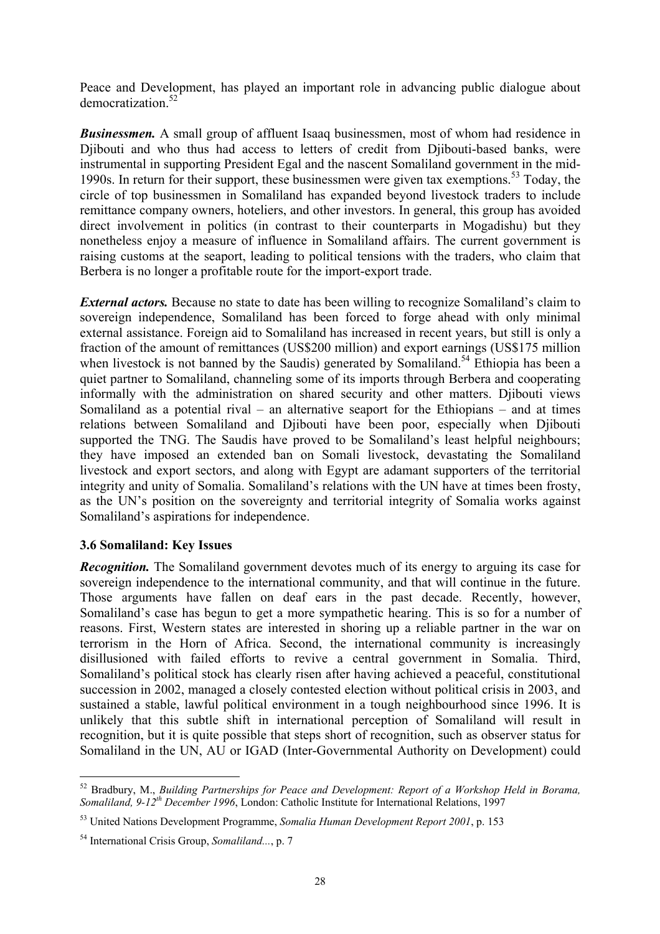<span id="page-33-0"></span>Peace and Development, has played an important role in advancing public dialogue about democratization.<sup>52</sup>

**Businessmen.** A small group of affluent Isaaq businessmen, most of whom had residence in Djibouti and who thus had access to letters of credit from Djibouti-based banks, were instrumental in supporting President Egal and the nascent Somaliland government in the mid-1990s. In return for their support, these businessmen were given tax exemptions.[53 T](#page-33-2)oday, the circle of top businessmen in Somaliland has expanded beyond livestock traders to include remittance company owners, hoteliers, and other investors. In general, this group has avoided direct involvement in politics (in contrast to their counterparts in Mogadishu) but they nonetheless enjoy a measure of influence in Somaliland affairs. The current government is raising customs at the seaport, leading to political tensions with the traders, who claim that Berbera is no longer a profitable route for the import-export trade.

*External actors.* Because no state to date has been willing to recognize Somaliland's claim to sovereign independence, Somaliland has been forced to forge ahead with only minimal external assistance. Foreign aid to Somaliland has increased in recent years, but still is only a fraction of the amount of remittances (US\$200 million) and export earnings (US\$175 million when livestock is not banned by the Saudis) generated by Somaliland.<sup>54</sup> Ethiopia has been a quiet partner to Somaliland, channeling some of its imports through Berbera and cooperating informally with the administration on shared security and other matters. Djibouti views Somaliland as a potential rival – an alternative seaport for the Ethiopians – and at times relations between Somaliland and Djibouti have been poor, especially when Djibouti supported the TNG. The Saudis have proved to be Somaliland's least helpful neighbours; they have imposed an extended ban on Somali livestock, devastating the Somaliland livestock and export sectors, and along with Egypt are adamant supporters of the territorial integrity and unity of Somalia. Somaliland's relations with the UN have at times been frosty, as the UN's position on the sovereignty and territorial integrity of Somalia works against Somaliland's aspirations for independence.

#### **3.6 Somaliland: Key Issues**

*Recognition.* The Somaliland government devotes much of its energy to arguing its case for sovereign independence to the international community, and that will continue in the future. Those arguments have fallen on deaf ears in the past decade. Recently, however, Somaliland's case has begun to get a more sympathetic hearing. This is so for a number of reasons. First, Western states are interested in shoring up a reliable partner in the war on terrorism in the Horn of Africa. Second, the international community is increasingly disillusioned with failed efforts to revive a central government in Somalia. Third, Somaliland's political stock has clearly risen after having achieved a peaceful, constitutional succession in 2002, managed a closely contested election without political crisis in 2003, and sustained a stable, lawful political environment in a tough neighbourhood since 1996. It is unlikely that this subtle shift in international perception of Somaliland will result in recognition, but it is quite possible that steps short of recognition, such as observer status for Somaliland in the UN, AU or IGAD (Inter-Governmental Authority on Development) could

<span id="page-33-1"></span><sup>52</sup> Bradbury, M., *Building Partnerships for Peace and Development: Report of a Workshop Held in Borama, Somaliland, 9-12th December 1996*, London: Catholic Institute for International Relations, 1997

<span id="page-33-2"></span><sup>53</sup> United Nations Development Programme, *Somalia Human Development Report 2001*, p. 153

<span id="page-33-3"></span><sup>54</sup> International Crisis Group, *Somaliland...*, p. 7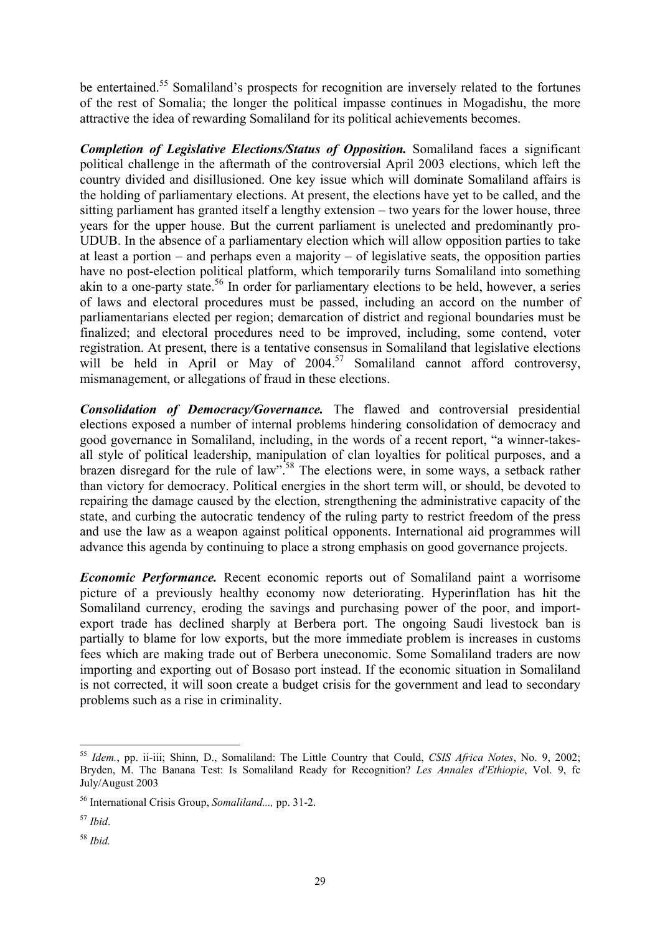be entertained.<sup>55</sup> Somaliland's prospects for recognition are inversely related to the fortunes of the rest of Somalia; the longer the political impasse continues in Mogadishu, the more attractive the idea of rewarding Somaliland for its political achievements becomes.

*Completion of Legislative Elections/Status of Opposition.* Somaliland faces a significant political challenge in the aftermath of the controversial April 2003 elections, which left the country divided and disillusioned. One key issue which will dominate Somaliland affairs is the holding of parliamentary elections. At present, the elections have yet to be called, and the sitting parliament has granted itself a lengthy extension – two years for the lower house, three years for the upper house. But the current parliament is unelected and predominantly pro-UDUB. In the absence of a parliamentary election which will allow opposition parties to take at least a portion – and perhaps even a majority – of legislative seats, the opposition parties have no post-election political platform, which temporarily turns Somaliland into something akin to a one-party state.<sup>56</sup> In order for parliamentary elections to be held, however, a series of laws and electoral procedures must be passed, including an accord on the number of parliamentarians elected per region; demarcation of district and regional boundaries must be finalized; and electoral procedures need to be improved, including, some contend, voter registration. At present, there is a tentative consensus in Somaliland that legislative elections will be held in April or May of  $2004<sup>57</sup>$  Somaliland cannot afford controversy, mismanagement, or allegations of fraud in these elections.

*Consolidation of Democracy/Governance.* The flawed and controversial presidential elections exposed a number of internal problems hindering consolidation of democracy and good governance in Somaliland, including, in the words of a recent report, "a winner-takesall style of political leadership, manipulation of clan loyalties for political purposes, and a brazen disregard for the rule of law".<sup>58</sup> The elections were, in some ways, a setback rather than victory for democracy. Political energies in the short term will, or should, be devoted to repairing the damage caused by the election, strengthening the administrative capacity of the state, and curbing the autocratic tendency of the ruling party to restrict freedom of the press and use the law as a weapon against political opponents. International aid programmes will advance this agenda by continuing to place a strong emphasis on good governance projects.

*Economic Performance.* Recent economic reports out of Somaliland paint a worrisome picture of a previously healthy economy now deteriorating. Hyperinflation has hit the Somaliland currency, eroding the savings and purchasing power of the poor, and importexport trade has declined sharply at Berbera port. The ongoing Saudi livestock ban is partially to blame for low exports, but the more immediate problem is increases in customs fees which are making trade out of Berbera uneconomic. Some Somaliland traders are now importing and exporting out of Bosaso port instead. If the economic situation in Somaliland is not corrected, it will soon create a budget crisis for the government and lead to secondary problems such as a rise in criminality.

<span id="page-34-0"></span><sup>55</sup> *Idem.*, pp. ii-iii; Shinn, D., Somaliland: The Little Country that Could, *CSIS Africa Notes*, No. 9, 2002; Bryden, M. The Banana Test: Is Somaliland Ready for Recognition? *Les Annales d'Ethiopie*, Vol. 9, fc July/August 2003

<span id="page-34-1"></span><sup>56</sup> International Crisis Group, *Somaliland...,* pp. 31-2.

<span id="page-34-2"></span><sup>57</sup> *Ibid*.

<span id="page-34-3"></span><sup>58</sup> *Ibid.*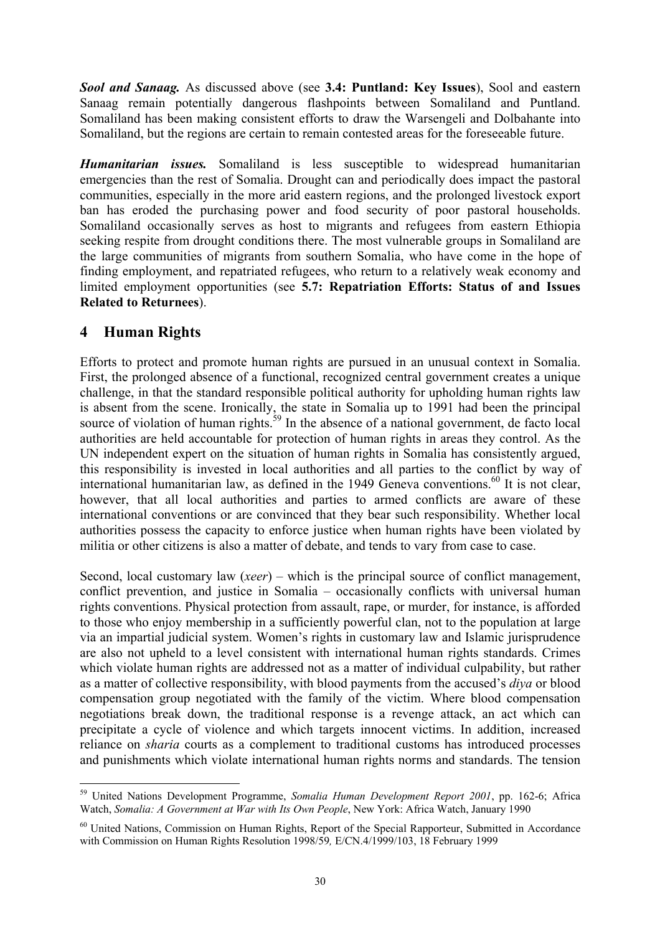<span id="page-35-0"></span>*Sool and Sanaag.* As discussed above (see **3.4: Puntland: Key Issues**), Sool and eastern Sanaag remain potentially dangerous flashpoints between Somaliland and Puntland. Somaliland has been making consistent efforts to draw the Warsengeli and Dolbahante into Somaliland, but the regions are certain to remain contested areas for the foreseeable future.

*Humanitarian issues.* Somaliland is less susceptible to widespread humanitarian emergencies than the rest of Somalia. Drought can and periodically does impact the pastoral communities, especially in the more arid eastern regions, and the prolonged livestock export ban has eroded the purchasing power and food security of poor pastoral households. Somaliland occasionally serves as host to migrants and refugees from eastern Ethiopia seeking respite from drought conditions there. The most vulnerable groups in Somaliland are the large communities of migrants from southern Somalia, who have come in the hope of finding employment, and repatriated refugees, who return to a relatively weak economy and limited employment opportunities (see **5.7: Repatriation Efforts: Status of and Issues Related to Returnees**).

# **4 Human Rights**

 $\overline{a}$ 

Efforts to protect and promote human rights are pursued in an unusual context in Somalia. First, the prolonged absence of a functional, recognized central government creates a unique challenge, in that the standard responsible political authority for upholding human rights law is absent from the scene. Ironically, the state in Somalia up to 1991 had been the principal source of violation of human rights.<sup>59</sup> In the absence of a national government, de facto local authorities are held accountable for protection of human rights in areas they control. As the UN independent expert on the situation of human rights in Somalia has consistently argued, this responsibility is invested in local authorities and all parties to the conflict by way of international humanitarian law, as defined in the 1949 Geneva conventions.<sup>60</sup> It is not clear, however, that all local authorities and parties to armed conflicts are aware of these international conventions or are convinced that they bear such responsibility. Whether local authorities possess the capacity to enforce justice when human rights have been violated by militia or other citizens is also a matter of debate, and tends to vary from case to case.

Second, local customary law (*xeer*) – which is the principal source of conflict management, conflict prevention, and justice in Somalia – occasionally conflicts with universal human rights conventions. Physical protection from assault, rape, or murder, for instance, is afforded to those who enjoy membership in a sufficiently powerful clan, not to the population at large via an impartial judicial system. Women's rights in customary law and Islamic jurisprudence are also not upheld to a level consistent with international human rights standards. Crimes which violate human rights are addressed not as a matter of individual culpability, but rather as a matter of collective responsibility, with blood payments from the accused's *diya* or blood compensation group negotiated with the family of the victim. Where blood compensation negotiations break down, the traditional response is a revenge attack, an act which can precipitate a cycle of violence and which targets innocent victims. In addition, increased reliance on *sharia* courts as a complement to traditional customs has introduced processes and punishments which violate international human rights norms and standards. The tension

<span id="page-35-1"></span><sup>59</sup> United Nations Development Programme, *Somalia Human Development Report 2001*, pp. 162-6; Africa Watch, *Somalia: A Government at War with Its Own People*, New York: Africa Watch, January 1990

<span id="page-35-2"></span><sup>&</sup>lt;sup>60</sup> United Nations, Commission on Human Rights, Report of the Special Rapporteur, Submitted in Accordance with Commission on Human Rights Resolution 1998/59*,* E/CN.4/1999/103, 18 February 1999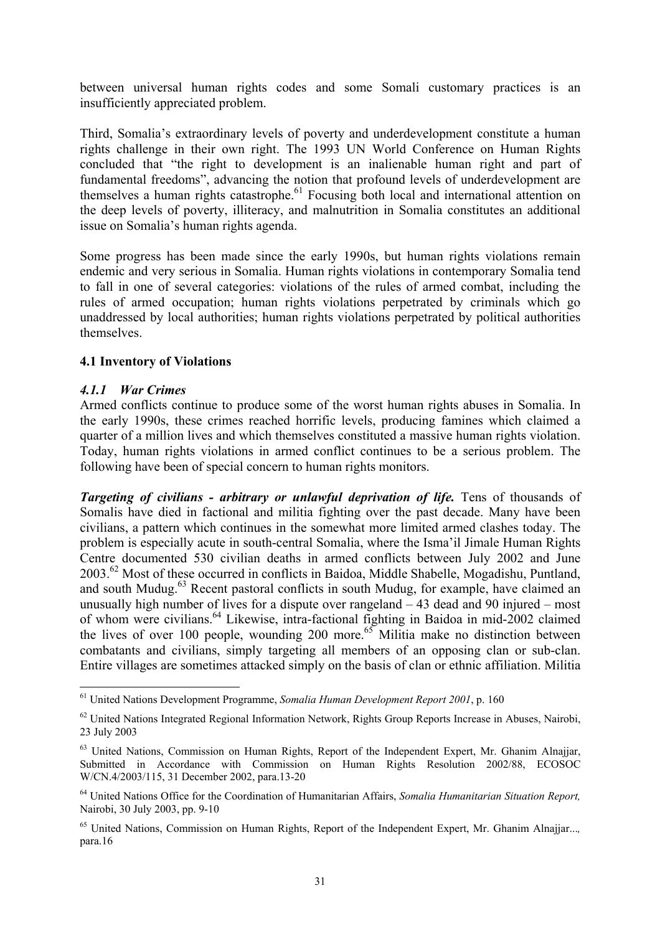<span id="page-36-0"></span>between universal human rights codes and some Somali customary practices is an insufficiently appreciated problem.

Third, Somalia's extraordinary levels of poverty and underdevelopment constitute a human rights challenge in their own right. The 1993 UN World Conference on Human Rights concluded that "the right to development is an inalienable human right and part of fundamental freedoms", advancing the notion that profound levels of underdevelopment are themselves a human rights catastrophe.<sup>61</sup> Focusing both local and international attention on the deep levels of poverty, illiteracy, and malnutrition in Somalia constitutes an additional issue on Somalia's human rights agenda.

Some progress has been made since the early 1990s, but human rights violations remain endemic and very serious in Somalia. Human rights violations in contemporary Somalia tend to fall in one of several categories: violations of the rules of armed combat, including the rules of armed occupation; human rights violations perpetrated by criminals which go unaddressed by local authorities; human rights violations perpetrated by political authorities themselves.

#### **4.1 Inventory of Violations**

#### *4.1.1 War Crimes*

 $\overline{a}$ 

Armed conflicts continue to produce some of the worst human rights abuses in Somalia. In the early 1990s, these crimes reached horrific levels, producing famines which claimed a quarter of a million lives and which themselves constituted a massive human rights violation. Today, human rights violations in armed conflict continues to be a serious problem. The following have been of special concern to human rights monitors.

*Targeting of civilians - arbitrary or unlawful deprivation of life.* Tens of thousands of Somalis have died in factional and militia fighting over the past decade. Many have been civilians, a pattern which continues in the somewhat more limited armed clashes today. The problem is especially acute in south-central Somalia, where the Isma'il Jimale Human Rights Centre documented 530 civilian deaths in armed conflicts between July 2002 and June 2003[.62](#page-36-2) Most of these occurred in conflicts in Baidoa, Middle Shabelle, Mogadishu, Puntland, and south Mudug.<sup>63</sup> Recent pastoral conflicts in south Mudug, for example, have claimed an unusually high number of lives for a dispute over rangeland – 43 dead and 90 injured – most of whom were civilians[.64](#page-36-4) Likewise, intra-factional fighting in Baidoa in mid-2002 claimed the lives of over 100 people, wounding 200 more.<sup>65</sup> Militia make no distinction between combatants and civilians, simply targeting all members of an opposing clan or sub-clan. Entire villages are sometimes attacked simply on the basis of clan or ethnic affiliation. Militia

<span id="page-36-1"></span><sup>61</sup> United Nations Development Programme, *Somalia Human Development Report 2001*, p. 160

<span id="page-36-2"></span><sup>&</sup>lt;sup>62</sup> United Nations Integrated Regional Information Network, Rights Group Reports Increase in Abuses, Nairobi, 23 July 2003

<span id="page-36-3"></span><sup>&</sup>lt;sup>63</sup> United Nations, Commission on Human Rights, Report of the Independent Expert, Mr. Ghanim Alnajjar, Submitted in Accordance with Commission on Human Rights Resolution 2002/88, ECOSOC W/CN.4/2003/115, 31 December 2002, para.13-20

<span id="page-36-4"></span><sup>64</sup> United Nations Office for the Coordination of Humanitarian Affairs, *Somalia Humanitarian Situation Report,* Nairobi, 30 July 2003, pp. 9-10

<span id="page-36-5"></span><sup>65</sup> United Nations, Commission on Human Rights, Report of the Independent Expert, Mr. Ghanim Alnajjar...*,*  para.16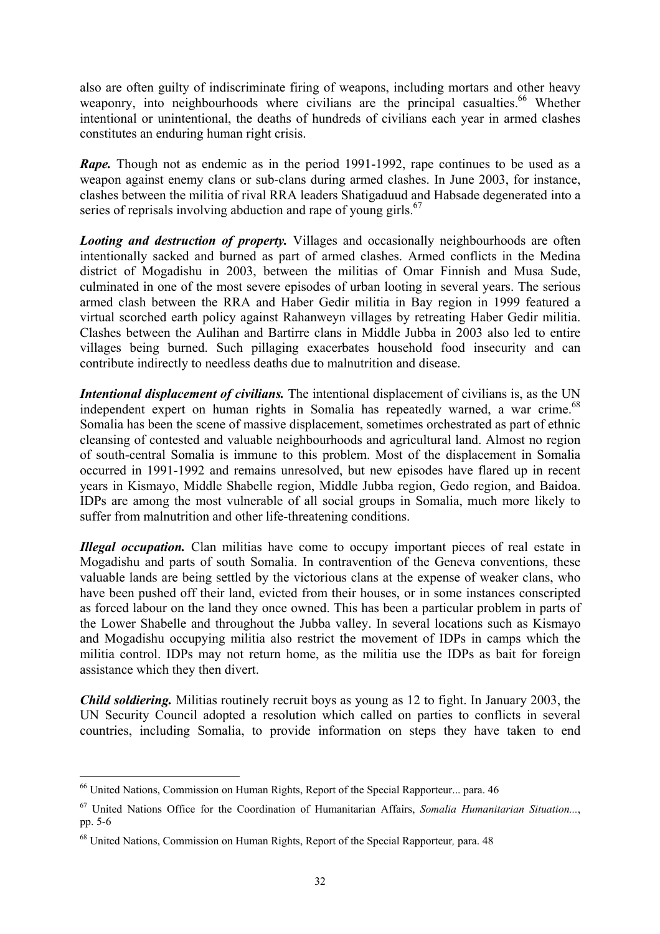also are often guilty of indiscriminate firing of weapons, including mortars and other heavy weaponry, into neighbourhoods where civilians are the principal casualties.<sup>66</sup> Whether intentional or unintentional, the deaths of hundreds of civilians each year in armed clashes constitutes an enduring human right crisis.

*Rape*. Though not as endemic as in the period 1991-1992, rape continues to be used as a weapon against enemy clans or sub-clans during armed clashes. In June 2003, for instance, clashes between the militia of rival RRA leaders Shatigaduud and Habsade degenerated into a series of reprisals involving abduction and rape of young girls.<sup>[67](#page-37-1)</sup>

*Looting and destruction of property.* Villages and occasionally neighbourhoods are often intentionally sacked and burned as part of armed clashes. Armed conflicts in the Medina district of Mogadishu in 2003, between the militias of Omar Finnish and Musa Sude, culminated in one of the most severe episodes of urban looting in several years. The serious armed clash between the RRA and Haber Gedir militia in Bay region in 1999 featured a virtual scorched earth policy against Rahanweyn villages by retreating Haber Gedir militia. Clashes between the Aulihan and Bartirre clans in Middle Jubba in 2003 also led to entire villages being burned. Such pillaging exacerbates household food insecurity and can contribute indirectly to needless deaths due to malnutrition and disease.

*Intentional displacement of civilians.* The intentional displacement of civilians is, as the UN independent expert on human rights in Somalia has repeatedly warned, a war crime.<sup>68</sup> Somalia has been the scene of massive displacement, sometimes orchestrated as part of ethnic cleansing of contested and valuable neighbourhoods and agricultural land. Almost no region of south-central Somalia is immune to this problem. Most of the displacement in Somalia occurred in 1991-1992 and remains unresolved, but new episodes have flared up in recent years in Kismayo, Middle Shabelle region, Middle Jubba region, Gedo region, and Baidoa. IDPs are among the most vulnerable of all social groups in Somalia, much more likely to suffer from malnutrition and other life-threatening conditions.

*Illegal occupation.* Clan militias have come to occupy important pieces of real estate in Mogadishu and parts of south Somalia. In contravention of the Geneva conventions, these valuable lands are being settled by the victorious clans at the expense of weaker clans, who have been pushed off their land, evicted from their houses, or in some instances conscripted as forced labour on the land they once owned. This has been a particular problem in parts of the Lower Shabelle and throughout the Jubba valley. In several locations such as Kismayo and Mogadishu occupying militia also restrict the movement of IDPs in camps which the militia control. IDPs may not return home, as the militia use the IDPs as bait for foreign assistance which they then divert.

*Child soldiering.* Militias routinely recruit boys as young as 12 to fight. In January 2003, the UN Security Council adopted a resolution which called on parties to conflicts in several countries, including Somalia, to provide information on steps they have taken to end

<span id="page-37-0"></span><sup>66</sup> United Nations, Commission on Human Rights, Report of the Special Rapporteur... para. 46

<span id="page-37-1"></span><sup>67</sup> United Nations Office for the Coordination of Humanitarian Affairs, *Somalia Humanitarian Situation...*, pp. 5-6

<span id="page-37-2"></span><sup>68</sup> United Nations, Commission on Human Rights, Report of the Special Rapporteur*,* para. 48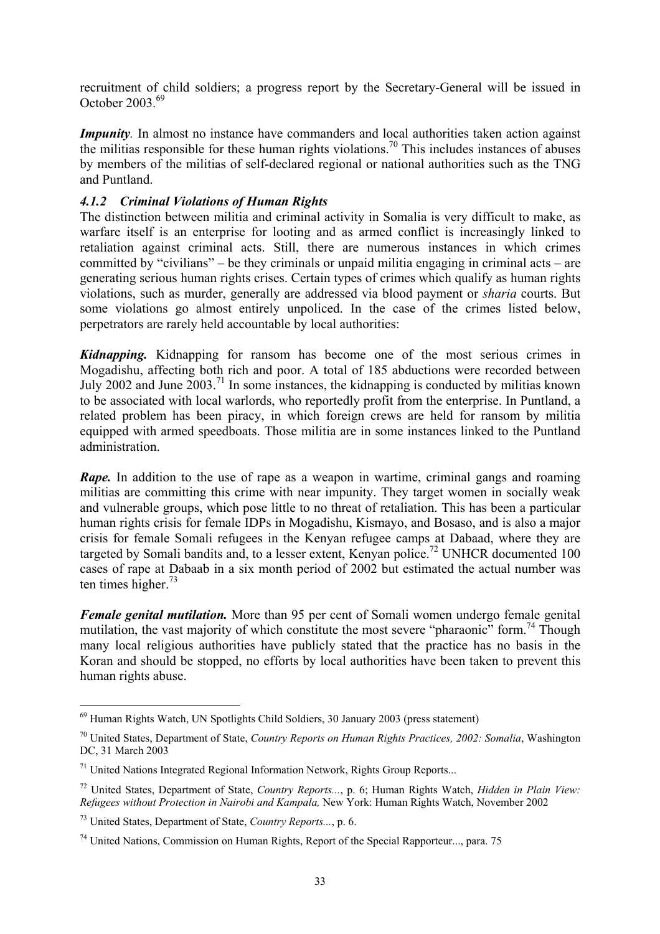<span id="page-38-0"></span>recruitment of child soldiers; a progress report by the Secretary-General will be issued in October 2003.[69](#page-38-1)

*Impunity*. In almost no instance have commanders and local authorities taken action against the militias responsible for these human rights violations.<sup>70</sup> This includes instances of abuses by members of the militias of self-declared regional or national authorities such as the TNG and Puntland.

#### *4.1.2 Criminal Violations of Human Rights*

The distinction between militia and criminal activity in Somalia is very difficult to make, as warfare itself is an enterprise for looting and as armed conflict is increasingly linked to retaliation against criminal acts. Still, there are numerous instances in which crimes committed by "civilians" – be they criminals or unpaid militia engaging in criminal acts – are generating serious human rights crises. Certain types of crimes which qualify as human rights violations, such as murder, generally are addressed via blood payment or *sharia* courts. But some violations go almost entirely unpoliced. In the case of the crimes listed below, perpetrators are rarely held accountable by local authorities:

*Kidnapping.* Kidnapping for ransom has become one of the most serious crimes in Mogadishu, affecting both rich and poor. A total of 185 abductions were recorded between July 2002 and June  $2003$ <sup>71</sup>. In some instances, the kidnapping is conducted by militias known to be associated with local warlords, who reportedly profit from the enterprise. In Puntland, a related problem has been piracy, in which foreign crews are held for ransom by militia equipped with armed speedboats. Those militia are in some instances linked to the Puntland administration.

*Rape*. In addition to the use of rape as a weapon in wartime, criminal gangs and roaming militias are committing this crime with near impunity. They target women in socially weak and vulnerable groups, which pose little to no threat of retaliation. This has been a particular human rights crisis for female IDPs in Mogadishu, Kismayo, and Bosaso, and is also a major crisis for female Somali refugees in the Kenyan refugee camps at Dabaad, where they are targeted by Somali bandits and, to a lesser extent, Kenyan police.<sup>72</sup> UNHCR documented 100 cases of rape at Dabaab in a six month period of 2002 but estimated the actual number was ten times higher. $73$ 

*Female genital mutilation.* More than 95 per cent of Somali women undergo female genital mutilation, the vast majority of which constitute the most severe "pharaonic" form.<sup>74</sup> Though many local religious authorities have publicly stated that the practice has no basis in the Koran and should be stopped, no efforts by local authorities have been taken to prevent this human rights abuse.

<span id="page-38-1"></span><sup>&</sup>lt;sup>69</sup> Human Rights Watch, UN Spotlights Child Soldiers, 30 January 2003 (press statement)

<span id="page-38-2"></span><sup>70</sup> United States, Department of State, *Country Reports on Human Rights Practices, 2002: Somalia*, Washington DC, 31 March 2003

<span id="page-38-3"></span> $71$  United Nations Integrated Regional Information Network, Rights Group Reports...

<span id="page-38-4"></span><sup>72</sup> United States, Department of State, *Country Reports...*, p. 6; Human Rights Watch, *Hidden in Plain View: Refugees without Protection in Nairobi and Kampala,* New York: Human Rights Watch, November 2002

<span id="page-38-5"></span><sup>73</sup> United States, Department of State, *Country Reports...*, p. 6.

<span id="page-38-6"></span> $74$  United Nations, Commission on Human Rights, Report of the Special Rapporteur..., para. 75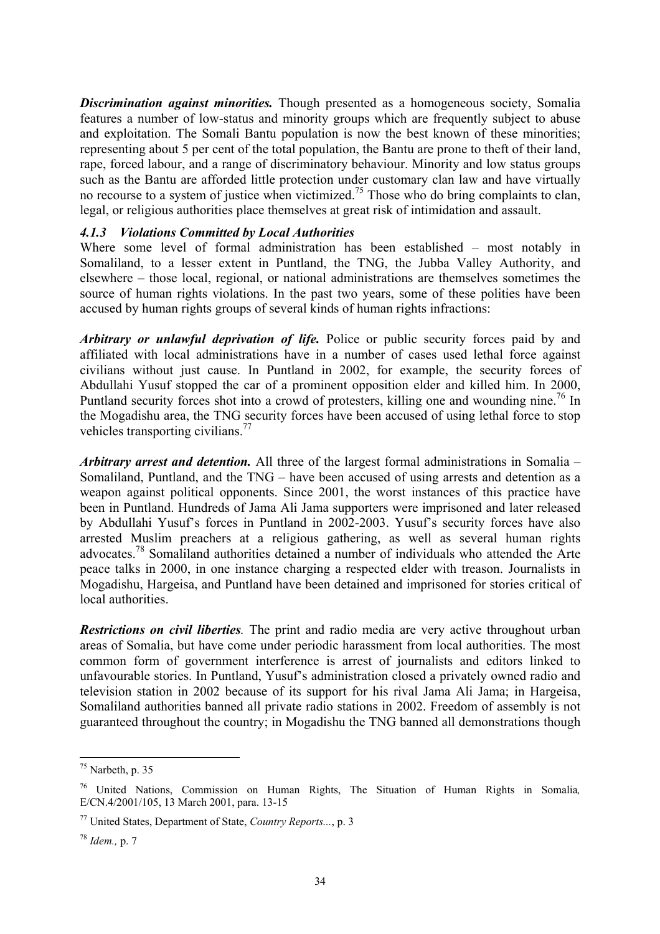<span id="page-39-0"></span>*Discrimination against minorities.* Though presented as a homogeneous society, Somalia features a number of low-status and minority groups which are frequently subject to abuse and exploitation. The Somali Bantu population is now the best known of these minorities; representing about 5 per cent of the total population, the Bantu are prone to theft of their land, rape, forced labour, and a range of discriminatory behaviour. Minority and low status groups such as the Bantu are afforded little protection under customary clan law and have virtually no recourse to a system of justice when victimized.<sup>75</sup> Those who do bring complaints to clan, legal, or religious authorities place themselves at great risk of intimidation and assault.

#### *4.1.3 Violations Committed by Local Authorities*

Where some level of formal administration has been established – most notably in Somaliland, to a lesser extent in Puntland, the TNG, the Jubba Valley Authority, and elsewhere – those local, regional, or national administrations are themselves sometimes the source of human rights violations. In the past two years, some of these polities have been accused by human rights groups of several kinds of human rights infractions:

*Arbitrary or unlawful deprivation of life.* Police or public security forces paid by and affiliated with local administrations have in a number of cases used lethal force against civilians without just cause. In Puntland in 2002, for example, the security forces of Abdullahi Yusuf stopped the car of a prominent opposition elder and killed him. In 2000, Puntland security forces shot into a crowd of protesters, killing one and wounding nine.<sup>76</sup> In the Mogadishu area, the TNG security forces have been accused of using lethal force to stop vehicles transporting civilians.<sup>77</sup>

*Arbitrary arrest and detention.* All three of the largest formal administrations in Somalia – Somaliland, Puntland, and the TNG – have been accused of using arrests and detention as a weapon against political opponents. Since 2001, the worst instances of this practice have been in Puntland. Hundreds of Jama Ali Jama supporters were imprisoned and later released by Abdullahi Yusuf's forces in Puntland in 2002-2003. Yusuf's security forces have also arrested Muslim preachers at a religious gathering, as well as several human rights advocates[.78](#page-39-4) Somaliland authorities detained a number of individuals who attended the Arte peace talks in 2000, in one instance charging a respected elder with treason. Journalists in Mogadishu, Hargeisa, and Puntland have been detained and imprisoned for stories critical of local authorities.

*Restrictions on civil liberties.* The print and radio media are very active throughout urban areas of Somalia, but have come under periodic harassment from local authorities. The most common form of government interference is arrest of journalists and editors linked to unfavourable stories. In Puntland, Yusuf's administration closed a privately owned radio and television station in 2002 because of its support for his rival Jama Ali Jama; in Hargeisa, Somaliland authorities banned all private radio stations in 2002. Freedom of assembly is not guaranteed throughout the country; in Mogadishu the TNG banned all demonstrations though

<span id="page-39-1"></span> $75$  Narbeth, p. 35

<span id="page-39-2"></span><sup>76</sup> United Nations, Commission on Human Rights, The Situation of Human Rights in Somalia*,*  E/CN.4/2001/105, 13 March 2001, para. 13-15

<span id="page-39-3"></span><sup>77</sup> United States, Department of State, *Country Reports...*, p. 3

<span id="page-39-4"></span><sup>78</sup> *Idem.,* p. 7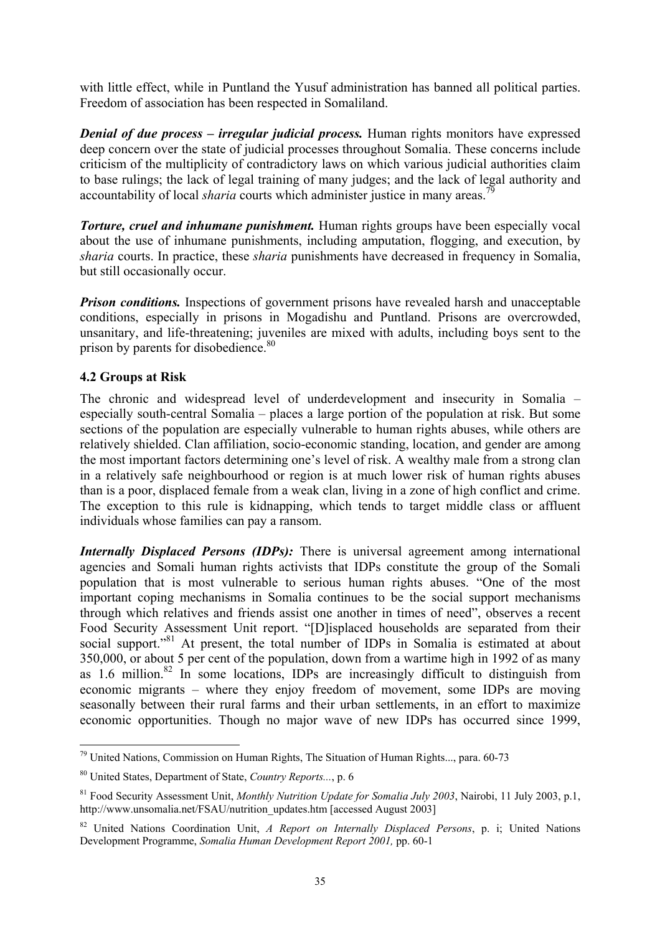<span id="page-40-0"></span>with little effect, while in Puntland the Yusuf administration has banned all political parties. Freedom of association has been respected in Somaliland.

*Denial of due process – irregular judicial process.* Human rights monitors have expressed deep concern over the state of judicial processes throughout Somalia. These concerns include criticism of the multiplicity of contradictory laws on which various judicial authorities claim to base rulings; the lack of legal training of many judges; and the lack of legal authority and accountability of local *sharia* courts which administer justice in many areas.<sup>7</sup>

*Torture, cruel and inhumane punishment.* Human rights groups have been especially vocal about the use of inhumane punishments, including amputation, flogging, and execution, by *sharia* courts. In practice, these *sharia* punishments have decreased in frequency in Somalia, but still occasionally occur.

*Prison conditions.* Inspections of government prisons have revealed harsh and unacceptable conditions, especially in prisons in Mogadishu and Puntland. Prisons are overcrowded, unsanitary, and life-threatening; juveniles are mixed with adults, including boys sent to the prison by parents for disobedience.<sup>80</sup>

## **4.2 Groups at Risk**

 $\overline{a}$ 

The chronic and widespread level of underdevelopment and insecurity in Somalia – especially south-central Somalia – places a large portion of the population at risk. But some sections of the population are especially vulnerable to human rights abuses, while others are relatively shielded. Clan affiliation, socio-economic standing, location, and gender are among the most important factors determining one's level of risk. A wealthy male from a strong clan in a relatively safe neighbourhood or region is at much lower risk of human rights abuses than is a poor, displaced female from a weak clan, living in a zone of high conflict and crime. The exception to this rule is kidnapping, which tends to target middle class or affluent individuals whose families can pay a ransom.

*Internally Displaced Persons (IDPs):* There is universal agreement among international agencies and Somali human rights activists that IDPs constitute the group of the Somali population that is most vulnerable to serious human rights abuses. "One of the most important coping mechanisms in Somalia continues to be the social support mechanisms through which relatives and friends assist one another in times of need", observes a recent Food Security Assessment Unit report. "[D]isplaced households are separated from their social support."<sup>81</sup> At present, the total number of IDPs in Somalia is estimated at about 350,000, or about 5 per cent of the population, down from a wartime high in 1992 of as many as 1.6 million.<sup>82</sup> In some locations, IDPs are increasingly difficult to distinguish from economic migrants – where they enjoy freedom of movement, some IDPs are moving seasonally between their rural farms and their urban settlements, in an effort to maximize economic opportunities. Though no major wave of new IDPs has occurred since 1999,

<span id="page-40-1"></span> $79$  United Nations, Commission on Human Rights, The Situation of Human Rights..., para. 60-73

<span id="page-40-2"></span><sup>80</sup> United States, Department of State, *Country Reports...*, p. 6

<span id="page-40-3"></span><sup>81</sup> Food Security Assessment Unit, *Monthly Nutrition Update for Somalia July 2003*, Nairobi, 11 July 2003, p.1, http://www.unsomalia.net/FSAU/nutrition\_updates.htm [accessed August 2003]

<span id="page-40-4"></span><sup>82</sup> United Nations Coordination Unit, *A Report on Internally Displaced Persons*, p. i; United Nations Development Programme, *Somalia Human Development Report 2001,* pp. 60-1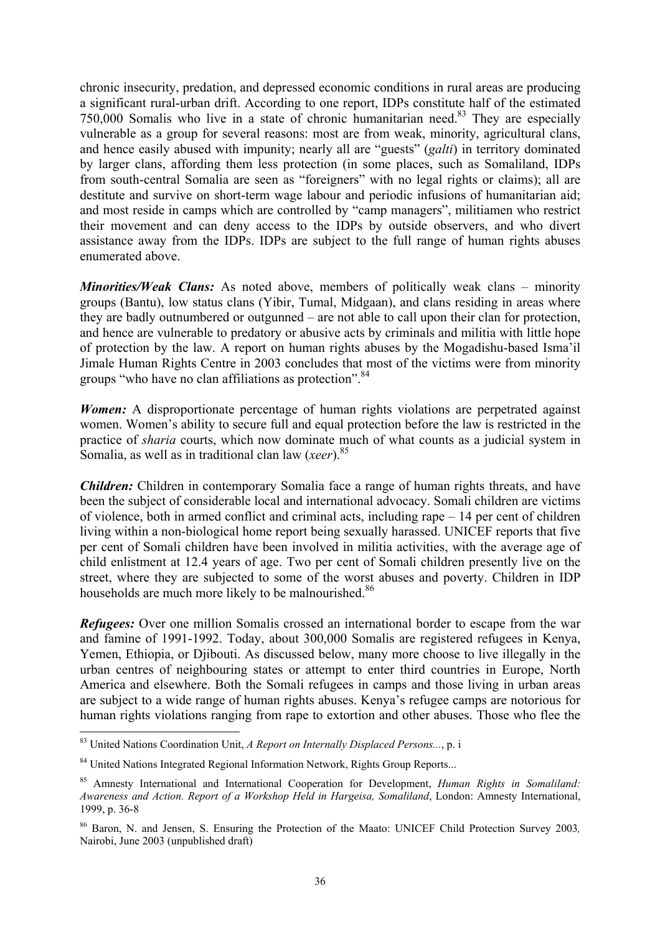chronic insecurity, predation, and depressed economic conditions in rural areas are producing a significant rural-urban drift. According to one report, IDPs constitute half of the estimated  $750,000$  Somalis who live in a state of chronic humanitarian need.<sup>83</sup> They are especially vulnerable as a group for several reasons: most are from weak, minority, agricultural clans, and hence easily abused with impunity; nearly all are "guests" (*galti*) in territory dominated by larger clans, affording them less protection (in some places, such as Somaliland, IDPs from south-central Somalia are seen as "foreigners" with no legal rights or claims); all are destitute and survive on short-term wage labour and periodic infusions of humanitarian aid; and most reside in camps which are controlled by "camp managers", militiamen who restrict their movement and can deny access to the IDPs by outside observers, and who divert assistance away from the IDPs. IDPs are subject to the full range of human rights abuses enumerated above.

*Minorities/Weak Clans:* As noted above, members of politically weak clans – minority groups (Bantu), low status clans (Yibir, Tumal, Midgaan), and clans residing in areas where they are badly outnumbered or outgunned – are not able to call upon their clan for protection, and hence are vulnerable to predatory or abusive acts by criminals and militia with little hope of protection by the law. A report on human rights abuses by the Mogadishu-based Isma'il Jimale Human Rights Centre in 2003 concludes that most of the victims were from minority groups "who have no clan affiliations as protection".<sup>[84](#page-41-1)</sup>

*Women*: A disproportionate percentage of human rights violations are perpetrated against women. Women's ability to secure full and equal protection before the law is restricted in the practice of *sharia* courts, which now dominate much of what counts as a judicial system in Somalia, as well as in traditional clan law (*xeer*).<sup>[85](#page-41-2)</sup>

*Children:* Children in contemporary Somalia face a range of human rights threats, and have been the subject of considerable local and international advocacy. Somali children are victims of violence, both in armed conflict and criminal acts, including rape – 14 per cent of children living within a non-biological home report being sexually harassed. UNICEF reports that five per cent of Somali children have been involved in militia activities, with the average age of child enlistment at 12.4 years of age. Two per cent of Somali children presently live on the street, where they are subjected to some of the worst abuses and poverty. Children in IDP households are much more likely to be malnourished.<sup>[86](#page-41-3)</sup>

*Refugees:* Over one million Somalis crossed an international border to escape from the war and famine of 1991-1992. Today, about 300,000 Somalis are registered refugees in Kenya, Yemen, Ethiopia, or Djibouti. As discussed below, many more choose to live illegally in the urban centres of neighbouring states or attempt to enter third countries in Europe, North America and elsewhere. Both the Somali refugees in camps and those living in urban areas are subject to a wide range of human rights abuses. Kenya's refugee camps are notorious for human rights violations ranging from rape to extortion and other abuses. Those who flee the

<span id="page-41-0"></span><sup>83</sup> United Nations Coordination Unit, *A Report on Internally Displaced Persons...*, p. i

<span id="page-41-1"></span><sup>&</sup>lt;sup>84</sup> United Nations Integrated Regional Information Network, Rights Group Reports...

<span id="page-41-2"></span><sup>85</sup> Amnesty International and International Cooperation for Development, *Human Rights in Somaliland: Awareness and Action. Report of a Workshop Held in Hargeisa, Somaliland*, London: Amnesty International, 1999, p. 36-8

<span id="page-41-3"></span><sup>86</sup> Baron, N. and Jensen, S. Ensuring the Protection of the Maato: UNICEF Child Protection Survey 2003*,* Nairobi, June 2003 (unpublished draft)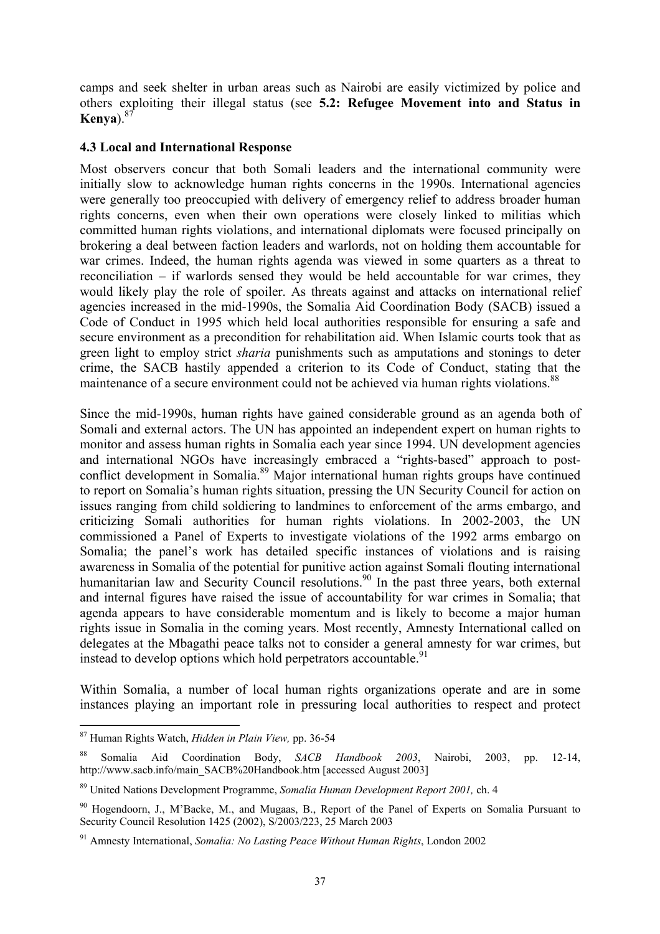<span id="page-42-0"></span>camps and seek shelter in urban areas such as Nairobi are easily victimized by police and others exploiting their illegal status (see **5.2: Refugee Movement into and Status in Kenya**).[87](#page-42-1)

#### **4.3 Local and International Response**

Most observers concur that both Somali leaders and the international community were initially slow to acknowledge human rights concerns in the 1990s. International agencies were generally too preoccupied with delivery of emergency relief to address broader human rights concerns, even when their own operations were closely linked to militias which committed human rights violations, and international diplomats were focused principally on brokering a deal between faction leaders and warlords, not on holding them accountable for war crimes. Indeed, the human rights agenda was viewed in some quarters as a threat to reconciliation – if warlords sensed they would be held accountable for war crimes, they would likely play the role of spoiler. As threats against and attacks on international relief agencies increased in the mid-1990s, the Somalia Aid Coordination Body (SACB) issued a Code of Conduct in 1995 which held local authorities responsible for ensuring a safe and secure environment as a precondition for rehabilitation aid. When Islamic courts took that as green light to employ strict *sharia* punishments such as amputations and stonings to deter crime, the SACB hastily appended a criterion to its Code of Conduct, stating that the maintenance of a secure environment could not be achieved via human rights violations.<sup>[88](#page-42-2)</sup>

Since the mid-1990s, human rights have gained considerable ground as an agenda both of Somali and external actors. The UN has appointed an independent expert on human rights to monitor and assess human rights in Somalia each year since 1994. UN development agencies and international NGOs have increasingly embraced a "rights-based" approach to postconflict development in Somalia.<sup>89</sup> Major international human rights groups have continued to report on Somalia's human rights situation, pressing the UN Security Council for action on issues ranging from child soldiering to landmines to enforcement of the arms embargo, and criticizing Somali authorities for human rights violations. In 2002-2003, the UN commissioned a Panel of Experts to investigate violations of the 1992 arms embargo on Somalia; the panel's work has detailed specific instances of violations and is raising awareness in Somalia of the potential for punitive action against Somali flouting international humanitarian law and Security Council resolutions.<sup>90</sup> In the past three years, both external and internal figures have raised the issue of accountability for war crimes in Somalia; that agenda appears to have considerable momentum and is likely to become a major human rights issue in Somalia in the coming years. Most recently, Amnesty International called on delegates at the Mbagathi peace talks not to consider a general amnesty for war crimes, but instead to develop options which hold perpetrators accountable.<sup>[91](#page-42-5)</sup>

Within Somalia, a number of local human rights organizations operate and are in some instances playing an important role in pressuring local authorities to respect and protect

<span id="page-42-1"></span><sup>87</sup> Human Rights Watch, *Hidden in Plain View,* pp. 36-54

<span id="page-42-2"></span><sup>88</sup> Somalia Aid Coordination Body, *SACB Handbook 2003*, Nairobi, 2003, pp. 12-14, http://www.sacb.info/main\_SACB%20Handbook.htm [accessed August 2003]

<span id="page-42-3"></span><sup>89</sup> United Nations Development Programme, *Somalia Human Development Report 2001,* ch. 4

<span id="page-42-4"></span><sup>90</sup> Hogendoorn, J., M'Backe, M., and Mugaas, B., Report of the Panel of Experts on Somalia Pursuant to Security Council Resolution 1425 (2002), S/2003/223, 25 March 2003

<span id="page-42-5"></span><sup>91</sup> Amnesty International, *Somalia: No Lasting Peace Without Human Rights*, London 2002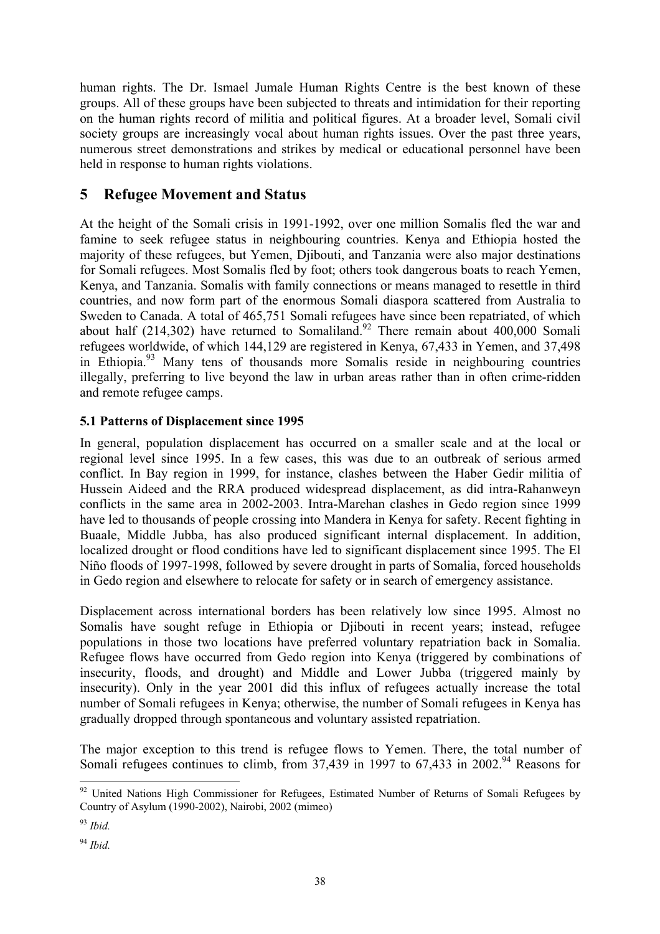<span id="page-43-0"></span>human rights. The Dr. Ismael Jumale Human Rights Centre is the best known of these groups. All of these groups have been subjected to threats and intimidation for their reporting on the human rights record of militia and political figures. At a broader level, Somali civil society groups are increasingly vocal about human rights issues. Over the past three years, numerous street demonstrations and strikes by medical or educational personnel have been held in response to human rights violations.

# **5 Refugee Movement and Status**

At the height of the Somali crisis in 1991-1992, over one million Somalis fled the war and famine to seek refugee status in neighbouring countries. Kenya and Ethiopia hosted the majority of these refugees, but Yemen, Djibouti, and Tanzania were also major destinations for Somali refugees. Most Somalis fled by foot; others took dangerous boats to reach Yemen, Kenya, and Tanzania. Somalis with family connections or means managed to resettle in third countries, and now form part of the enormous Somali diaspora scattered from Australia to Sweden to Canada. A total of 465,751 Somali refugees have since been repatriated, of which about half  $(214,302)$  have returned to Somaliland.<sup>92</sup> There remain about 400,000 Somali refugees worldwide, of which 144,129 are registered in Kenya, 67,433 in Yemen, and 37,498 in Ethiopia.[93](#page-43-2) Many tens of thousands more Somalis reside in neighbouring countries illegally, preferring to live beyond the law in urban areas rather than in often crime-ridden and remote refugee camps.

# **5.1 Patterns of Displacement since 1995**

In general, population displacement has occurred on a smaller scale and at the local or regional level since 1995. In a few cases, this was due to an outbreak of serious armed conflict. In Bay region in 1999, for instance, clashes between the Haber Gedir militia of Hussein Aideed and the RRA produced widespread displacement, as did intra-Rahanweyn conflicts in the same area in 2002-2003. Intra-Marehan clashes in Gedo region since 1999 have led to thousands of people crossing into Mandera in Kenya for safety. Recent fighting in Buaale, Middle Jubba, has also produced significant internal displacement. In addition, localized drought or flood conditions have led to significant displacement since 1995. The El Niño floods of 1997-1998, followed by severe drought in parts of Somalia, forced households in Gedo region and elsewhere to relocate for safety or in search of emergency assistance.

Displacement across international borders has been relatively low since 1995. Almost no Somalis have sought refuge in Ethiopia or Djibouti in recent years; instead, refugee populations in those two locations have preferred voluntary repatriation back in Somalia. Refugee flows have occurred from Gedo region into Kenya (triggered by combinations of insecurity, floods, and drought) and Middle and Lower Jubba (triggered mainly by insecurity). Only in the year 2001 did this influx of refugees actually increase the total number of Somali refugees in Kenya; otherwise, the number of Somali refugees in Kenya has gradually dropped through spontaneous and voluntary assisted repatriation.

The major exception to this trend is refugee flows to Yemen. There, the total number of Somali refugees continues to climb, from  $37.439$  in 1997 to  $67.433$  in  $2002<sup>94</sup>$  Reasons for

<span id="page-43-1"></span> $92$  United Nations High Commissioner for Refugees, Estimated Number of Returns of Somali Refugees by Country of Asylum (1990-2002), Nairobi, 2002 (mimeo)

<span id="page-43-2"></span><sup>93</sup> *Ibid.*

<span id="page-43-3"></span><sup>94</sup> *Ibid.*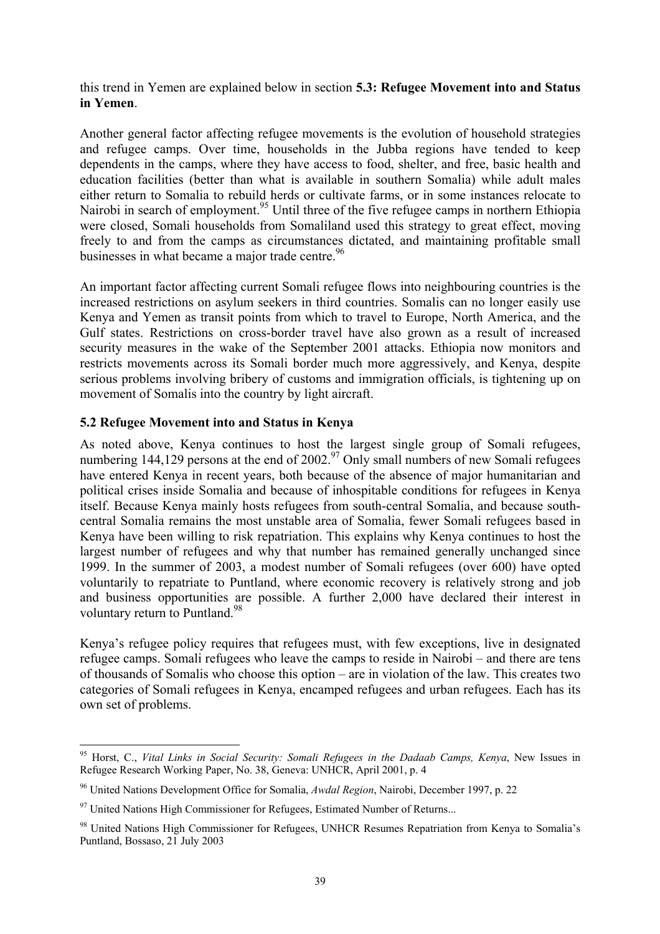<span id="page-44-0"></span>this trend in Yemen are explained below in section **5.3: Refugee Movement into and Status in Yemen**.

Another general factor affecting refugee movements is the evolution of household strategies and refugee camps. Over time, households in the Jubba regions have tended to keep dependents in the camps, where they have access to food, shelter, and free, basic health and education facilities (better than what is available in southern Somalia) while adult males either return to Somalia to rebuild herds or cultivate farms, or in some instances relocate to Nairobi in search of employment.<sup>95</sup> Until three of the five refugee camps in northern Ethiopia were closed, Somali households from Somaliland used this strategy to great effect, moving freely to and from the camps as circumstances dictated, and maintaining profitable small businesses in what became a major trade centre.<sup>[96](#page-44-2)</sup>

An important factor affecting current Somali refugee flows into neighbouring countries is the increased restrictions on asylum seekers in third countries. Somalis can no longer easily use Kenya and Yemen as transit points from which to travel to Europe, North America, and the Gulf states. Restrictions on cross-border travel have also grown as a result of increased security measures in the wake of the September 2001 attacks. Ethiopia now monitors and restricts movements across its Somali border much more aggressively, and Kenya, despite serious problems involving bribery of customs and immigration officials, is tightening up on movement of Somalis into the country by light aircraft.

#### **5.2 Refugee Movement into and Status in Kenya**

As noted above, Kenya continues to host the largest single group of Somali refugees, numbering 144,129 persons at the end of 2002.<sup>97</sup> Only small numbers of new Somali refugees have entered Kenya in recent years, both because of the absence of major humanitarian and political crises inside Somalia and because of inhospitable conditions for refugees in Kenya itself. Because Kenya mainly hosts refugees from south-central Somalia, and because southcentral Somalia remains the most unstable area of Somalia, fewer Somali refugees based in Kenya have been willing to risk repatriation. This explains why Kenya continues to host the largest number of refugees and why that number has remained generally unchanged since 1999. In the summer of 2003, a modest number of Somali refugees (over 600) have opted voluntarily to repatriate to Puntland, where economic recovery is relatively strong and job and business opportunities are possible. A further 2,000 have declared their interest in voluntary return to Puntland.<sup>[98](#page-44-4)</sup>

Kenya's refugee policy requires that refugees must, with few exceptions, live in designated refugee camps. Somali refugees who leave the camps to reside in Nairobi – and there are tens of thousands of Somalis who choose this option – are in violation of the law. This creates two categories of Somali refugees in Kenya, encamped refugees and urban refugees. Each has its own set of problems.

<span id="page-44-1"></span><sup>95</sup> Horst, C., *Vital Links in Social Security: Somali Refugees in the Dadaab Camps, Kenya*, New Issues in Refugee Research Working Paper, No. 38, Geneva: UNHCR, April 2001, p. 4

<span id="page-44-2"></span><sup>96</sup> United Nations Development Office for Somalia, *Awdal Region*, Nairobi, December 1997, p. 22

<span id="page-44-3"></span> $97$  United Nations High Commissioner for Refugees, Estimated Number of Returns...

<span id="page-44-4"></span><sup>98</sup> United Nations High Commissioner for Refugees, UNHCR Resumes Repatriation from Kenya to Somalia's Puntland, Bossaso, 21 July 2003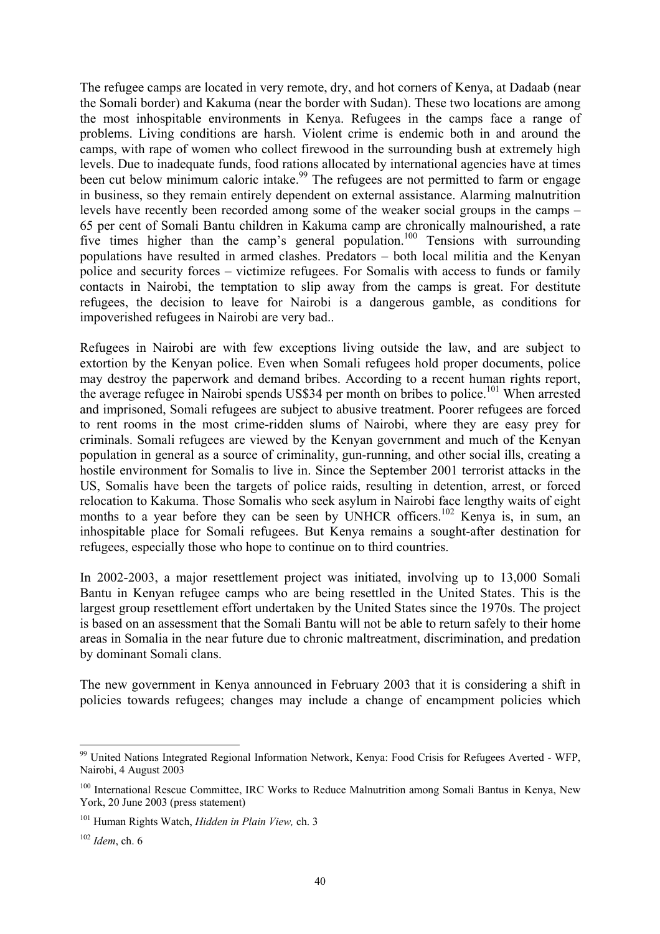The refugee camps are located in very remote, dry, and hot corners of Kenya, at Dadaab (near the Somali border) and Kakuma (near the border with Sudan). These two locations are among the most inhospitable environments in Kenya. Refugees in the camps face a range of problems. Living conditions are harsh. Violent crime is endemic both in and around the camps, with rape of women who collect firewood in the surrounding bush at extremely high levels. Due to inadequate funds, food rations allocated by international agencies have at times been cut below minimum caloric intake.<sup>99</sup> The refugees are not permitted to farm or engage in business, so they remain entirely dependent on external assistance. Alarming malnutrition levels have recently been recorded among some of the weaker social groups in the camps – 65 per cent of Somali Bantu children in Kakuma camp are chronically malnourished, a rate five times higher than the camp's general population.<sup>100</sup> Tensions with surrounding populations have resulted in armed clashes. Predators – both local militia and the Kenyan police and security forces – victimize refugees. For Somalis with access to funds or family contacts in Nairobi, the temptation to slip away from the camps is great. For destitute refugees, the decision to leave for Nairobi is a dangerous gamble, as conditions for impoverished refugees in Nairobi are very bad..

Refugees in Nairobi are with few exceptions living outside the law, and are subject to extortion by the Kenyan police. Even when Somali refugees hold proper documents, police may destroy the paperwork and demand bribes. According to a recent human rights report, the average refugee in Nairobi spends US\$34 per month on bribes to police.[101 W](#page-45-2)hen arrested and imprisoned, Somali refugees are subject to abusive treatment. Poorer refugees are forced to rent rooms in the most crime-ridden slums of Nairobi, where they are easy prey for criminals. Somali refugees are viewed by the Kenyan government and much of the Kenyan population in general as a source of criminality, gun-running, and other social ills, creating a hostile environment for Somalis to live in. Since the September 2001 terrorist attacks in the US, Somalis have been the targets of police raids, resulting in detention, arrest, or forced relocation to Kakuma. Those Somalis who seek asylum in Nairobi face lengthy waits of eight months to a year before they can be seen by UNHCR officers.<sup>102</sup> Kenya is, in sum, an inhospitable place for Somali refugees. But Kenya remains a sought-after destination for refugees, especially those who hope to continue on to third countries.

In 2002-2003, a major resettlement project was initiated, involving up to 13,000 Somali Bantu in Kenyan refugee camps who are being resettled in the United States. This is the largest group resettlement effort undertaken by the United States since the 1970s. The project is based on an assessment that the Somali Bantu will not be able to return safely to their home areas in Somalia in the near future due to chronic maltreatment, discrimination, and predation by dominant Somali clans.

The new government in Kenya announced in February 2003 that it is considering a shift in policies towards refugees; changes may include a change of encampment policies which

<span id="page-45-0"></span><sup>&</sup>lt;sup>99</sup> United Nations Integrated Regional Information Network, Kenya: Food Crisis for Refugees Averted - WFP, Nairobi, 4 August 2003

<span id="page-45-1"></span><sup>&</sup>lt;sup>100</sup> International Rescue Committee, IRC Works to Reduce Malnutrition among Somali Bantus in Kenya, New York, 20 June 2003 (press statement)

<span id="page-45-2"></span><sup>101</sup> Human Rights Watch, *Hidden in Plain View,* ch. 3

<span id="page-45-3"></span><sup>102</sup> *Idem*, ch. 6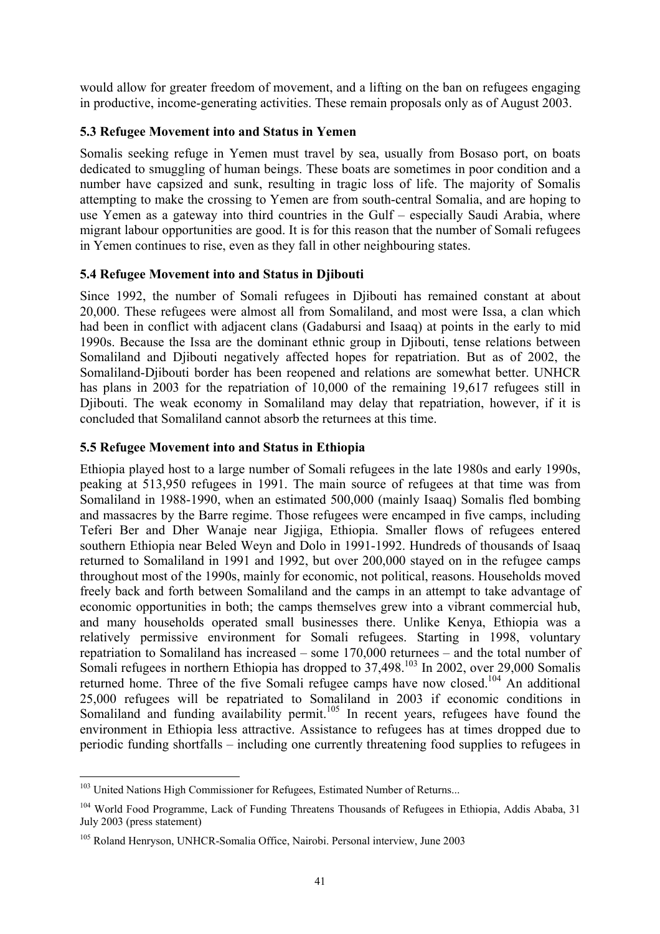<span id="page-46-0"></span>would allow for greater freedom of movement, and a lifting on the ban on refugees engaging in productive, income-generating activities. These remain proposals only as of August 2003.

#### **5.3 Refugee Movement into and Status in Yemen**

Somalis seeking refuge in Yemen must travel by sea, usually from Bosaso port, on boats dedicated to smuggling of human beings. These boats are sometimes in poor condition and a number have capsized and sunk, resulting in tragic loss of life. The majority of Somalis attempting to make the crossing to Yemen are from south-central Somalia, and are hoping to use Yemen as a gateway into third countries in the Gulf – especially Saudi Arabia, where migrant labour opportunities are good. It is for this reason that the number of Somali refugees in Yemen continues to rise, even as they fall in other neighbouring states.

## **5.4 Refugee Movement into and Status in Djibouti**

Since 1992, the number of Somali refugees in Djibouti has remained constant at about 20,000. These refugees were almost all from Somaliland, and most were Issa, a clan which had been in conflict with adjacent clans (Gadabursi and Isaaq) at points in the early to mid 1990s. Because the Issa are the dominant ethnic group in Djibouti, tense relations between Somaliland and Djibouti negatively affected hopes for repatriation. But as of 2002, the Somaliland-Djibouti border has been reopened and relations are somewhat better. UNHCR has plans in 2003 for the repatriation of 10,000 of the remaining 19,617 refugees still in Djibouti. The weak economy in Somaliland may delay that repatriation, however, if it is concluded that Somaliland cannot absorb the returnees at this time.

#### **5.5 Refugee Movement into and Status in Ethiopia**

Ethiopia played host to a large number of Somali refugees in the late 1980s and early 1990s, peaking at 513,950 refugees in 1991. The main source of refugees at that time was from Somaliland in 1988-1990, when an estimated 500,000 (mainly Isaaq) Somalis fled bombing and massacres by the Barre regime. Those refugees were encamped in five camps, including Teferi Ber and Dher Wanaje near Jigjiga, Ethiopia. Smaller flows of refugees entered southern Ethiopia near Beled Weyn and Dolo in 1991-1992. Hundreds of thousands of Isaaq returned to Somaliland in 1991 and 1992, but over 200,000 stayed on in the refugee camps throughout most of the 1990s, mainly for economic, not political, reasons. Households moved freely back and forth between Somaliland and the camps in an attempt to take advantage of economic opportunities in both; the camps themselves grew into a vibrant commercial hub, and many households operated small businesses there. Unlike Kenya, Ethiopia was a relatively permissive environment for Somali refugees. Starting in 1998, voluntary repatriation to Somaliland has increased – some 170,000 returnees – and the total number of Somali refugees in northern Ethiopia has dropped to 37,498.<sup>103</sup> In 2002, over 29,000 Somalis returned home. Three of the five Somali refugee camps have now closed.<sup>104</sup> An additional 25,000 refugees will be repatriated to Somaliland in 2003 if economic conditions in Somaliland and funding availability permit.<sup>105</sup> In recent years, refugees have found the environment in Ethiopia less attractive. Assistance to refugees has at times dropped due to periodic funding shortfalls – including one currently threatening food supplies to refugees in

<span id="page-46-1"></span> $\overline{a}$ <sup>103</sup> United Nations High Commissioner for Refugees, Estimated Number of Returns...

<span id="page-46-2"></span><sup>&</sup>lt;sup>104</sup> World Food Programme, Lack of Funding Threatens Thousands of Refugees in Ethiopia, Addis Ababa, 31 July 2003 (press statement)

<span id="page-46-3"></span><sup>105</sup> Roland Henryson, UNHCR-Somalia Office, Nairobi. Personal interview, June 2003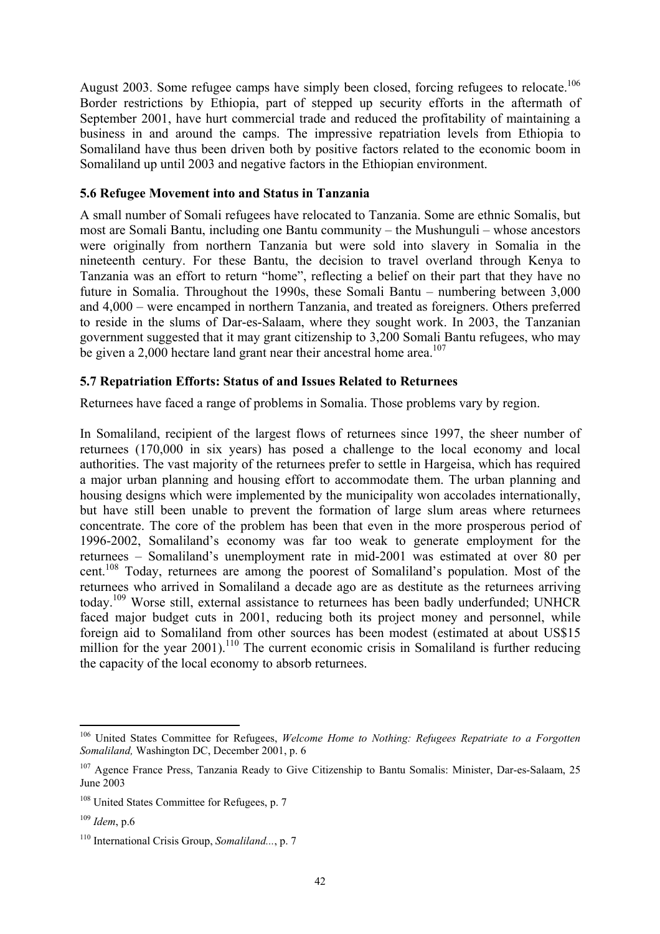<span id="page-47-0"></span>August 2003. Some refugee camps have simply been closed, forcing refugees to relocate.<sup>106</sup> Border restrictions by Ethiopia, part of stepped up security efforts in the aftermath of September 2001, have hurt commercial trade and reduced the profitability of maintaining a business in and around the camps. The impressive repatriation levels from Ethiopia to Somaliland have thus been driven both by positive factors related to the economic boom in Somaliland up until 2003 and negative factors in the Ethiopian environment.

#### **5.6 Refugee Movement into and Status in Tanzania**

A small number of Somali refugees have relocated to Tanzania. Some are ethnic Somalis, but most are Somali Bantu, including one Bantu community – the Mushunguli – whose ancestors were originally from northern Tanzania but were sold into slavery in Somalia in the nineteenth century. For these Bantu, the decision to travel overland through Kenya to Tanzania was an effort to return "home", reflecting a belief on their part that they have no future in Somalia. Throughout the 1990s, these Somali Bantu – numbering between 3,000 and 4,000 – were encamped in northern Tanzania, and treated as foreigners. Others preferred to reside in the slums of Dar-es-Salaam, where they sought work. In 2003, the Tanzanian government suggested that it may grant citizenship to 3,200 Somali Bantu refugees, who may be given a 2,000 hectare land grant near their ancestral home area.<sup>107</sup>

#### **5.7 Repatriation Efforts: Status of and Issues Related to Returnees**

Returnees have faced a range of problems in Somalia. Those problems vary by region.

In Somaliland, recipient of the largest flows of returnees since 1997, the sheer number of returnees (170,000 in six years) has posed a challenge to the local economy and local authorities. The vast majority of the returnees prefer to settle in Hargeisa, which has required a major urban planning and housing effort to accommodate them. The urban planning and housing designs which were implemented by the municipality won accolades internationally, but have still been unable to prevent the formation of large slum areas where returnees concentrate. The core of the problem has been that even in the more prosperous period of 1996-2002, Somaliland's economy was far too weak to generate employment for the returnees – Somaliland's unemployment rate in mid-2001 was estimated at over 80 per cent.<sup>108</sup> Today, returnees are among the poorest of Somaliland's population. Most of the returnees who arrived in Somaliland a decade ago are as destitute as the returnees arriving today.[109 W](#page-47-4)orse still, external assistance to returnees has been badly underfunded; UNHCR faced major budget cuts in 2001, reducing both its project money and personnel, while foreign aid to Somaliland from other sources has been modest (estimated at about US\$15 million for the year  $2001$ .<sup>110</sup> The current economic crisis in Somaliland is further reducing the capacity of the local economy to absorb returnees.

<span id="page-47-1"></span><sup>106</sup> United States Committee for Refugees, *Welcome Home to Nothing: Refugees Repatriate to a Forgotten Somaliland,* Washington DC, December 2001, p. 6

<span id="page-47-2"></span><sup>&</sup>lt;sup>107</sup> Agence France Press, Tanzania Ready to Give Citizenship to Bantu Somalis: Minister, Dar-es-Salaam, 25 June 2003

<span id="page-47-3"></span><sup>&</sup>lt;sup>108</sup> United States Committee for Refugees, p. 7

<span id="page-47-4"></span><sup>109</sup> *Idem*, p.6

<span id="page-47-5"></span><sup>110</sup> International Crisis Group, *Somaliland...*, p. 7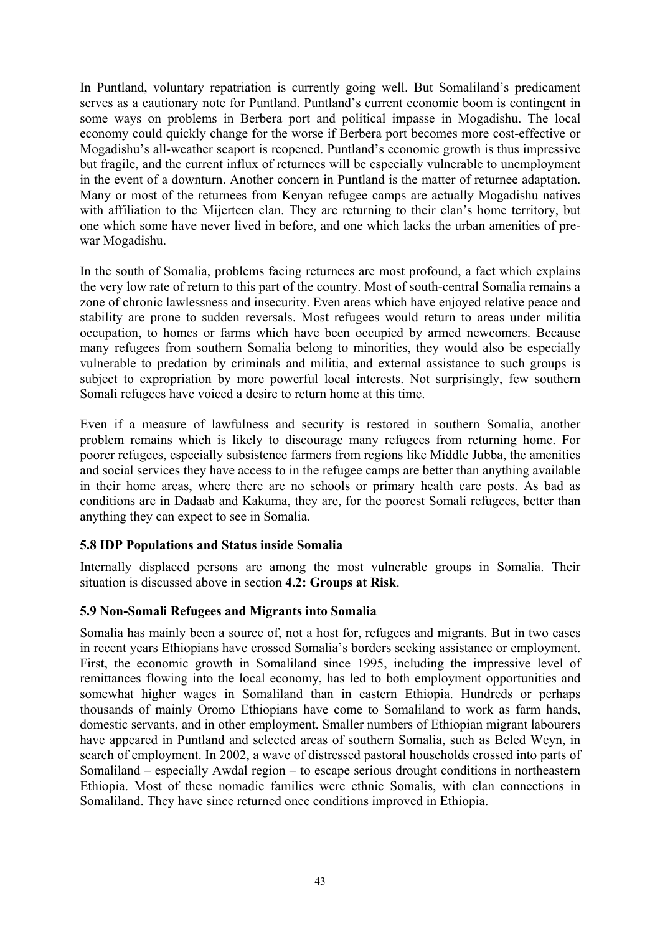<span id="page-48-0"></span>In Puntland, voluntary repatriation is currently going well. But Somaliland's predicament serves as a cautionary note for Puntland. Puntland's current economic boom is contingent in some ways on problems in Berbera port and political impasse in Mogadishu. The local economy could quickly change for the worse if Berbera port becomes more cost-effective or Mogadishu's all-weather seaport is reopened. Puntland's economic growth is thus impressive but fragile, and the current influx of returnees will be especially vulnerable to unemployment in the event of a downturn. Another concern in Puntland is the matter of returnee adaptation. Many or most of the returnees from Kenyan refugee camps are actually Mogadishu natives with affiliation to the Mijerteen clan. They are returning to their clan's home territory, but one which some have never lived in before, and one which lacks the urban amenities of prewar Mogadishu.

In the south of Somalia, problems facing returnees are most profound, a fact which explains the very low rate of return to this part of the country. Most of south-central Somalia remains a zone of chronic lawlessness and insecurity. Even areas which have enjoyed relative peace and stability are prone to sudden reversals. Most refugees would return to areas under militia occupation, to homes or farms which have been occupied by armed newcomers. Because many refugees from southern Somalia belong to minorities, they would also be especially vulnerable to predation by criminals and militia, and external assistance to such groups is subject to expropriation by more powerful local interests. Not surprisingly, few southern Somali refugees have voiced a desire to return home at this time.

Even if a measure of lawfulness and security is restored in southern Somalia, another problem remains which is likely to discourage many refugees from returning home. For poorer refugees, especially subsistence farmers from regions like Middle Jubba, the amenities and social services they have access to in the refugee camps are better than anything available in their home areas, where there are no schools or primary health care posts. As bad as conditions are in Dadaab and Kakuma, they are, for the poorest Somali refugees, better than anything they can expect to see in Somalia.

## **5.8 IDP Populations and Status inside Somalia**

Internally displaced persons are among the most vulnerable groups in Somalia. Their situation is discussed above in section **4.2: Groups at Risk**.

#### **5.9 Non-Somali Refugees and Migrants into Somalia**

Somalia has mainly been a source of, not a host for, refugees and migrants. But in two cases in recent years Ethiopians have crossed Somalia's borders seeking assistance or employment. First, the economic growth in Somaliland since 1995, including the impressive level of remittances flowing into the local economy, has led to both employment opportunities and somewhat higher wages in Somaliland than in eastern Ethiopia. Hundreds or perhaps thousands of mainly Oromo Ethiopians have come to Somaliland to work as farm hands, domestic servants, and in other employment. Smaller numbers of Ethiopian migrant labourers have appeared in Puntland and selected areas of southern Somalia, such as Beled Weyn, in search of employment. In 2002, a wave of distressed pastoral households crossed into parts of Somaliland – especially Awdal region – to escape serious drought conditions in northeastern Ethiopia. Most of these nomadic families were ethnic Somalis, with clan connections in Somaliland. They have since returned once conditions improved in Ethiopia.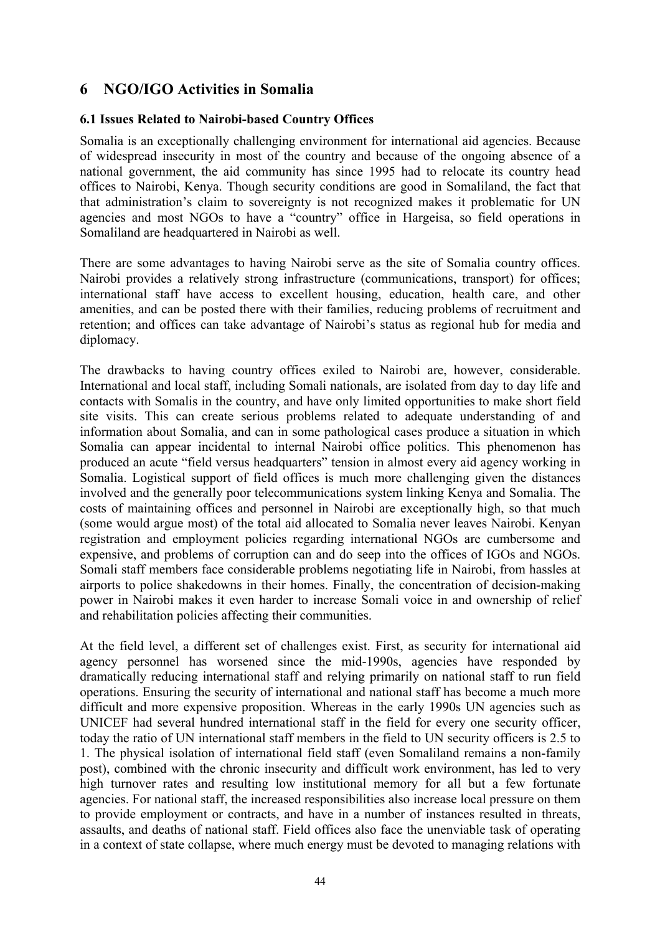# <span id="page-49-0"></span>**6 NGO/IGO Activities in Somalia**

#### **6.1 Issues Related to Nairobi-based Country Offices**

Somalia is an exceptionally challenging environment for international aid agencies. Because of widespread insecurity in most of the country and because of the ongoing absence of a national government, the aid community has since 1995 had to relocate its country head offices to Nairobi, Kenya. Though security conditions are good in Somaliland, the fact that that administration's claim to sovereignty is not recognized makes it problematic for UN agencies and most NGOs to have a "country" office in Hargeisa, so field operations in Somaliland are headquartered in Nairobi as well.

There are some advantages to having Nairobi serve as the site of Somalia country offices. Nairobi provides a relatively strong infrastructure (communications, transport) for offices; international staff have access to excellent housing, education, health care, and other amenities, and can be posted there with their families, reducing problems of recruitment and retention; and offices can take advantage of Nairobi's status as regional hub for media and diplomacy.

The drawbacks to having country offices exiled to Nairobi are, however, considerable. International and local staff, including Somali nationals, are isolated from day to day life and contacts with Somalis in the country, and have only limited opportunities to make short field site visits. This can create serious problems related to adequate understanding of and information about Somalia, and can in some pathological cases produce a situation in which Somalia can appear incidental to internal Nairobi office politics. This phenomenon has produced an acute "field versus headquarters" tension in almost every aid agency working in Somalia. Logistical support of field offices is much more challenging given the distances involved and the generally poor telecommunications system linking Kenya and Somalia. The costs of maintaining offices and personnel in Nairobi are exceptionally high, so that much (some would argue most) of the total aid allocated to Somalia never leaves Nairobi. Kenyan registration and employment policies regarding international NGOs are cumbersome and expensive, and problems of corruption can and do seep into the offices of IGOs and NGOs. Somali staff members face considerable problems negotiating life in Nairobi, from hassles at airports to police shakedowns in their homes. Finally, the concentration of decision-making power in Nairobi makes it even harder to increase Somali voice in and ownership of relief and rehabilitation policies affecting their communities.

At the field level, a different set of challenges exist. First, as security for international aid agency personnel has worsened since the mid-1990s, agencies have responded by dramatically reducing international staff and relying primarily on national staff to run field operations. Ensuring the security of international and national staff has become a much more difficult and more expensive proposition. Whereas in the early 1990s UN agencies such as UNICEF had several hundred international staff in the field for every one security officer, today the ratio of UN international staff members in the field to UN security officers is 2.5 to 1. The physical isolation of international field staff (even Somaliland remains a non-family post), combined with the chronic insecurity and difficult work environment, has led to very high turnover rates and resulting low institutional memory for all but a few fortunate agencies. For national staff, the increased responsibilities also increase local pressure on them to provide employment or contracts, and have in a number of instances resulted in threats, assaults, and deaths of national staff. Field offices also face the unenviable task of operating in a context of state collapse, where much energy must be devoted to managing relations with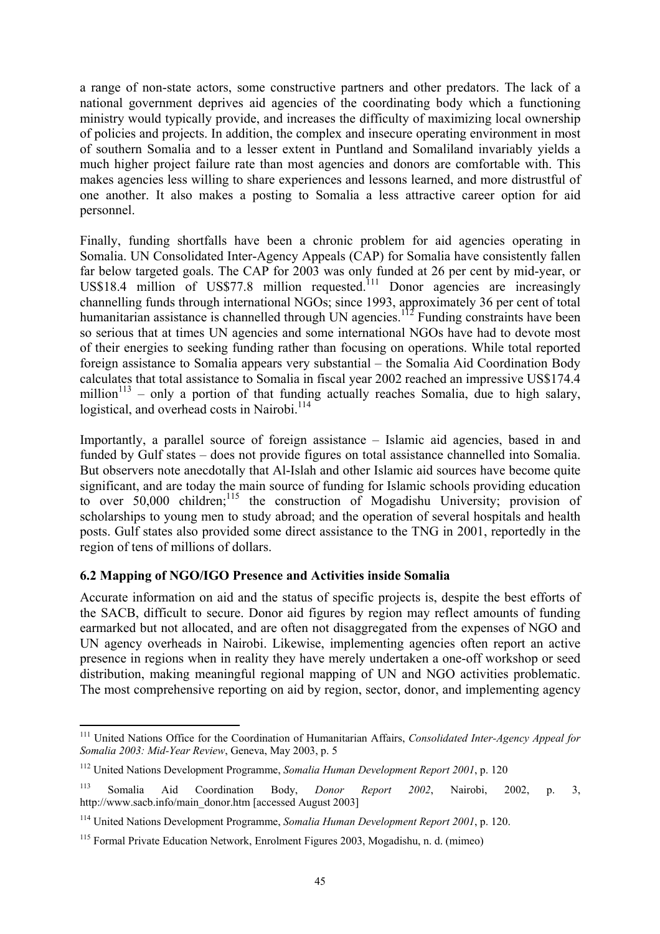<span id="page-50-0"></span>a range of non-state actors, some constructive partners and other predators. The lack of a national government deprives aid agencies of the coordinating body which a functioning ministry would typically provide, and increases the difficulty of maximizing local ownership of policies and projects. In addition, the complex and insecure operating environment in most of southern Somalia and to a lesser extent in Puntland and Somaliland invariably yields a much higher project failure rate than most agencies and donors are comfortable with. This makes agencies less willing to share experiences and lessons learned, and more distrustful of one another. It also makes a posting to Somalia a less attractive career option for aid personnel.

Finally, funding shortfalls have been a chronic problem for aid agencies operating in Somalia. UN Consolidated Inter-Agency Appeals (CAP) for Somalia have consistently fallen far below targeted goals. The CAP for 2003 was only funded at 26 per cent by mid-year, or US\$18.4 million of US\$77.8 million requested.<sup>111</sup> Donor agencies are increasingly channelling funds through international NGOs; since 1993, approximately 36 per cent of total humanitarian assistance is channelled through UN agencies.<sup>112</sup> Funding constraints have been so serious that at times UN agencies and some international NGOs have had to devote most of their energies to seeking funding rather than focusing on operations. While total reported foreign assistance to Somalia appears very substantial – the Somalia Aid Coordination Body calculates that total assistance to Somalia in fiscal year 2002 reached an impressive US\$174.4 million $113$  – only a portion of that funding actually reaches Somalia, due to high salary, logistical, and overhead costs in Nairobi.<sup>[114](#page-50-4)</sup>

Importantly, a parallel source of foreign assistance – Islamic aid agencies, based in and funded by Gulf states – does not provide figures on total assistance channelled into Somalia. But observers note anecdotally that Al-Islah and other Islamic aid sources have become quite significant, and are today the main source of funding for Islamic schools providing education to over  $50,000$  children;<sup>115</sup> the construction of Mogadishu University; provision of scholarships to young men to study abroad; and the operation of several hospitals and health posts. Gulf states also provided some direct assistance to the TNG in 2001, reportedly in the region of tens of millions of dollars.

## **6.2 Mapping of NGO/IGO Presence and Activities inside Somalia**

 $\overline{a}$ 

Accurate information on aid and the status of specific projects is, despite the best efforts of the SACB, difficult to secure. Donor aid figures by region may reflect amounts of funding earmarked but not allocated, and are often not disaggregated from the expenses of NGO and UN agency overheads in Nairobi. Likewise, implementing agencies often report an active presence in regions when in reality they have merely undertaken a one-off workshop or seed distribution, making meaningful regional mapping of UN and NGO activities problematic. The most comprehensive reporting on aid by region, sector, donor, and implementing agency

<span id="page-50-1"></span><sup>111</sup> United Nations Office for the Coordination of Humanitarian Affairs, *Consolidated Inter-Agency Appeal for Somalia 2003: Mid-Year Review*, Geneva, May 2003, p. 5

<span id="page-50-2"></span><sup>112</sup> United Nations Development Programme, *Somalia Human Development Report 2001*, p. 120

<span id="page-50-3"></span><sup>113</sup> Somalia Aid Coordination Body, *Donor Report 2002*, Nairobi, 2002, p. 3, http://www.sacb.info/main\_donor.htm [accessed August 2003]

<span id="page-50-4"></span><sup>114</sup> United Nations Development Programme, *Somalia Human Development Report 2001*, p. 120.

<span id="page-50-5"></span><sup>115</sup> Formal Private Education Network, Enrolment Figures 2003, Mogadishu, n. d. (mimeo)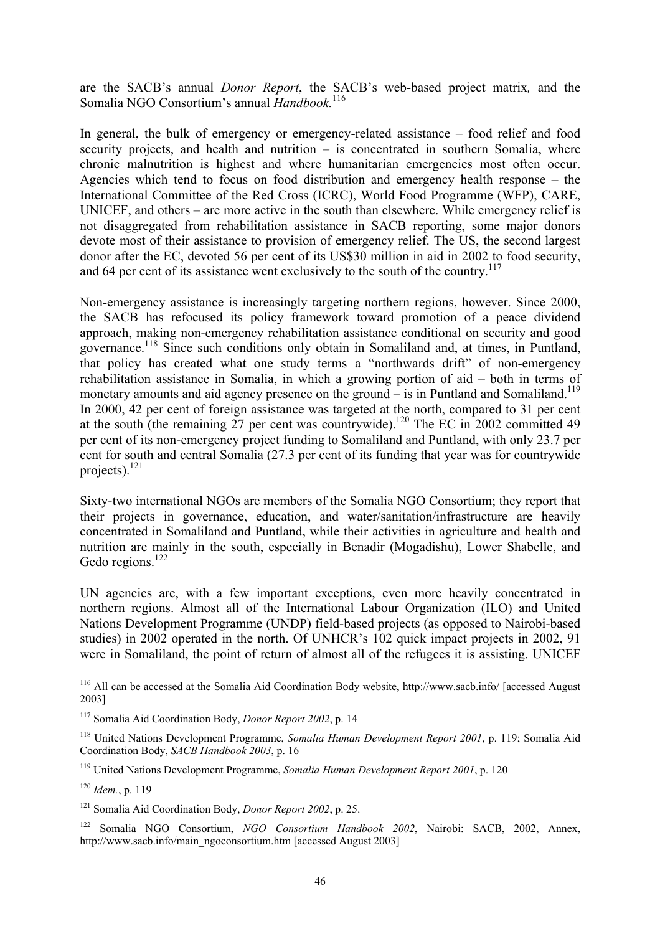are the SACB's annual *Donor Report*, the SACB's web-based project matrix*,* and the Somalia NGO Consortium's annual *Handbook.*[116](#page-51-0)

In general, the bulk of emergency or emergency-related assistance – food relief and food security projects, and health and nutrition – is concentrated in southern Somalia, where chronic malnutrition is highest and where humanitarian emergencies most often occur. Agencies which tend to focus on food distribution and emergency health response – the International Committee of the Red Cross (ICRC), World Food Programme (WFP), CARE, UNICEF, and others – are more active in the south than elsewhere. While emergency relief is not disaggregated from rehabilitation assistance in SACB reporting, some major donors devote most of their assistance to provision of emergency relief. The US, the second largest donor after the EC, devoted 56 per cent of its US\$30 million in aid in 2002 to food security, and 64 per cent of its assistance went exclusively to the south of the country.<sup>117</sup>

Non-emergency assistance is increasingly targeting northern regions, however. Since 2000, the SACB has refocused its policy framework toward promotion of a peace dividend approach, making non-emergency rehabilitation assistance conditional on security and good governance.[118](#page-51-2) Since such conditions only obtain in Somaliland and, at times, in Puntland, that policy has created what one study terms a "northwards drift" of non-emergency rehabilitation assistance in Somalia, in which a growing portion of aid – both in terms of monetary amounts and aid agency presence on the ground  $-$  is in Puntland and Somaliland.<sup>119</sup> In 2000, 42 per cent of foreign assistance was targeted at the north, compared to 31 per cent at the south (the remaining 27 per cent was countrywide).<sup>120</sup> The EC in 2002 committed 49 per cent of its non-emergency project funding to Somaliland and Puntland, with only 23.7 per cent for south and central Somalia (27.3 per cent of its funding that year was for countrywide projects). $^{121}$ 

Sixty-two international NGOs are members of the Somalia NGO Consortium; they report that their projects in governance, education, and water/sanitation/infrastructure are heavily concentrated in Somaliland and Puntland, while their activities in agriculture and health and nutrition are mainly in the south, especially in Benadir (Mogadishu), Lower Shabelle, and Gedo regions.<sup>[122](#page-51-6)</sup>

UN agencies are, with a few important exceptions, even more heavily concentrated in northern regions. Almost all of the International Labour Organization (ILO) and United Nations Development Programme (UNDP) field-based projects (as opposed to Nairobi-based studies) in 2002 operated in the north. Of UNHCR's 102 quick impact projects in 2002, 91 were in Somaliland, the point of return of almost all of the refugees it is assisting. UNICEF

<span id="page-51-0"></span><sup>&</sup>lt;sup>116</sup> All can be accessed at the Somalia Aid Coordination Body website, http://www.sacb.info/ [accessed August 2003]

<span id="page-51-1"></span><sup>117</sup> Somalia Aid Coordination Body, *Donor Report 2002*, p. 14

<span id="page-51-2"></span><sup>118</sup> United Nations Development Programme, *Somalia Human Development Report 2001*, p. 119; Somalia Aid Coordination Body, *SACB Handbook 2003*, p. 16

<span id="page-51-3"></span><sup>119</sup> United Nations Development Programme, *Somalia Human Development Report 2001*, p. 120

<span id="page-51-4"></span><sup>120</sup> *Idem.*, p. 119

<span id="page-51-5"></span><sup>121</sup> Somalia Aid Coordination Body, *Donor Report 2002*, p. 25.

<span id="page-51-6"></span><sup>122</sup> Somalia NGO Consortium, *NGO Consortium Handbook 2002*, Nairobi: SACB, 2002, Annex, http://www.sacb.info/main\_ngoconsortium.htm [accessed August 2003]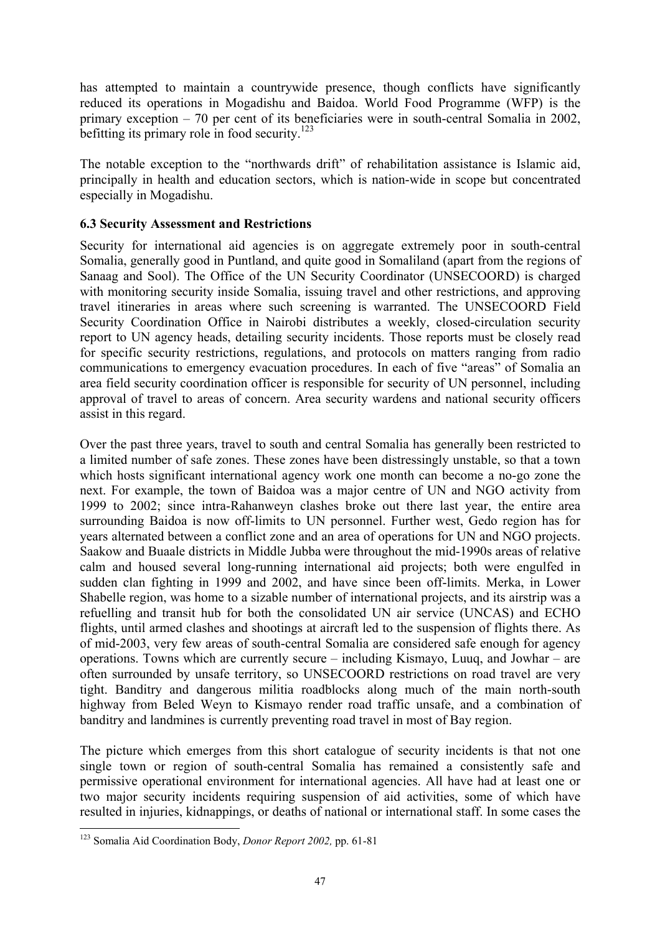has attempted to maintain a countrywide presence, though conflicts have significantly reduced its operations in Mogadishu and Baidoa. World Food Programme (WFP) is the primary exception – 70 per cent of its beneficiaries were in south-central Somalia in 2002, befitting its primary role in food security.<sup>123</sup>

The notable exception to the "northwards drift" of rehabilitation assistance is Islamic aid, principally in health and education sectors, which is nation-wide in scope but concentrated especially in Mogadishu.

## **6.3 Security Assessment and Restrictions**

Security for international aid agencies is on aggregate extremely poor in south-central Somalia, generally good in Puntland, and quite good in Somaliland (apart from the regions of Sanaag and Sool). The Office of the UN Security Coordinator (UNSECOORD) is charged with monitoring security inside Somalia, issuing travel and other restrictions, and approving travel itineraries in areas where such screening is warranted. The UNSECOORD Field Security Coordination Office in Nairobi distributes a weekly, closed-circulation security report to UN agency heads, detailing security incidents. Those reports must be closely read for specific security restrictions, regulations, and protocols on matters ranging from radio communications to emergency evacuation procedures. In each of five "areas" of Somalia an area field security coordination officer is responsible for security of UN personnel, including approval of travel to areas of concern. Area security wardens and national security officers assist in this regard.

Over the past three years, travel to south and central Somalia has generally been restricted to a limited number of safe zones. These zones have been distressingly unstable, so that a town which hosts significant international agency work one month can become a no-go zone the next. For example, the town of Baidoa was a major centre of UN and NGO activity from 1999 to 2002; since intra-Rahanweyn clashes broke out there last year, the entire area surrounding Baidoa is now off-limits to UN personnel. Further west, Gedo region has for years alternated between a conflict zone and an area of operations for UN and NGO projects. Saakow and Buaale districts in Middle Jubba were throughout the mid-1990s areas of relative calm and housed several long-running international aid projects; both were engulfed in sudden clan fighting in 1999 and 2002, and have since been off-limits. Merka, in Lower Shabelle region, was home to a sizable number of international projects, and its airstrip was a refuelling and transit hub for both the consolidated UN air service (UNCAS) and ECHO flights, until armed clashes and shootings at aircraft led to the suspension of flights there. As of mid-2003, very few areas of south-central Somalia are considered safe enough for agency operations. Towns which are currently secure – including Kismayo, Luuq, and Jowhar – are often surrounded by unsafe territory, so UNSECOORD restrictions on road travel are very tight. Banditry and dangerous militia roadblocks along much of the main north-south highway from Beled Weyn to Kismayo render road traffic unsafe, and a combination of banditry and landmines is currently preventing road travel in most of Bay region.

The picture which emerges from this short catalogue of security incidents is that not one single town or region of south-central Somalia has remained a consistently safe and permissive operational environment for international agencies. All have had at least one or two major security incidents requiring suspension of aid activities, some of which have resulted in injuries, kidnappings, or deaths of national or international staff. In some cases the

<span id="page-52-0"></span><sup>123</sup> Somalia Aid Coordination Body, *Donor Report 2002,* pp. 61-81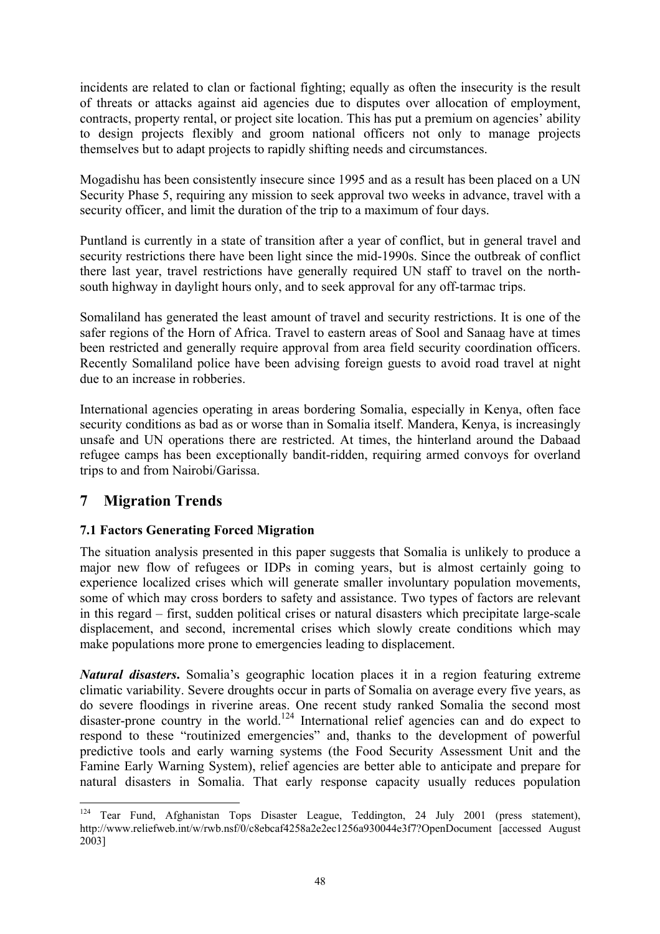<span id="page-53-0"></span>incidents are related to clan or factional fighting; equally as often the insecurity is the result of threats or attacks against aid agencies due to disputes over allocation of employment, contracts, property rental, or project site location. This has put a premium on agencies' ability to design projects flexibly and groom national officers not only to manage projects themselves but to adapt projects to rapidly shifting needs and circumstances.

Mogadishu has been consistently insecure since 1995 and as a result has been placed on a UN Security Phase 5, requiring any mission to seek approval two weeks in advance, travel with a security officer, and limit the duration of the trip to a maximum of four days.

Puntland is currently in a state of transition after a year of conflict, but in general travel and security restrictions there have been light since the mid-1990s. Since the outbreak of conflict there last year, travel restrictions have generally required UN staff to travel on the northsouth highway in daylight hours only, and to seek approval for any off-tarmac trips.

Somaliland has generated the least amount of travel and security restrictions. It is one of the safer regions of the Horn of Africa. Travel to eastern areas of Sool and Sanaag have at times been restricted and generally require approval from area field security coordination officers. Recently Somaliland police have been advising foreign guests to avoid road travel at night due to an increase in robberies.

International agencies operating in areas bordering Somalia, especially in Kenya, often face security conditions as bad as or worse than in Somalia itself. Mandera, Kenya, is increasingly unsafe and UN operations there are restricted. At times, the hinterland around the Dabaad refugee camps has been exceptionally bandit-ridden, requiring armed convoys for overland trips to and from Nairobi/Garissa.

# **7 Migration Trends**

# **7.1 Factors Generating Forced Migration**

The situation analysis presented in this paper suggests that Somalia is unlikely to produce a major new flow of refugees or IDPs in coming years, but is almost certainly going to experience localized crises which will generate smaller involuntary population movements, some of which may cross borders to safety and assistance. Two types of factors are relevant in this regard – first, sudden political crises or natural disasters which precipitate large-scale displacement, and second, incremental crises which slowly create conditions which may make populations more prone to emergencies leading to displacement.

*Natural disasters***.** Somalia's geographic location places it in a region featuring extreme climatic variability. Severe droughts occur in parts of Somalia on average every five years, as do severe floodings in riverine areas. One recent study ranked Somalia the second most disaster-prone country in the world.[124](#page-53-1) International relief agencies can and do expect to respond to these "routinized emergencies" and, thanks to the development of powerful predictive tools and early warning systems (the Food Security Assessment Unit and the Famine Early Warning System), relief agencies are better able to anticipate and prepare for natural disasters in Somalia. That early response capacity usually reduces population

<span id="page-53-1"></span> $\overline{a}$ <sup>124</sup> Tear Fund, Afghanistan Tops Disaster League, Teddington, 24 July 2001 (press statement), http://www.reliefweb.int/w/rwb.nsf/0/c8ebcaf4258a2e2ec1256a930044e3f7?OpenDocument [accessed August 2003]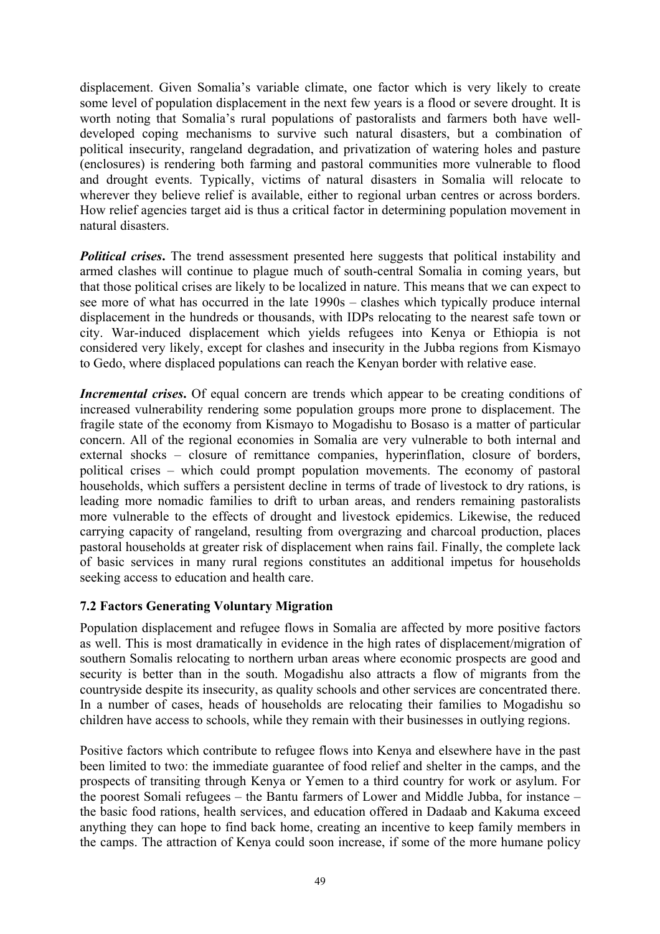<span id="page-54-0"></span>displacement. Given Somalia's variable climate, one factor which is very likely to create some level of population displacement in the next few years is a flood or severe drought. It is worth noting that Somalia's rural populations of pastoralists and farmers both have welldeveloped coping mechanisms to survive such natural disasters, but a combination of political insecurity, rangeland degradation, and privatization of watering holes and pasture (enclosures) is rendering both farming and pastoral communities more vulnerable to flood and drought events. Typically, victims of natural disasters in Somalia will relocate to wherever they believe relief is available, either to regional urban centres or across borders. How relief agencies target aid is thus a critical factor in determining population movement in natural disasters.

*Political crises*. The trend assessment presented here suggests that political instability and armed clashes will continue to plague much of south-central Somalia in coming years, but that those political crises are likely to be localized in nature. This means that we can expect to see more of what has occurred in the late 1990s – clashes which typically produce internal displacement in the hundreds or thousands, with IDPs relocating to the nearest safe town or city. War-induced displacement which yields refugees into Kenya or Ethiopia is not considered very likely, except for clashes and insecurity in the Jubba regions from Kismayo to Gedo, where displaced populations can reach the Kenyan border with relative ease.

**Incremental crises.** Of equal concern are trends which appear to be creating conditions of increased vulnerability rendering some population groups more prone to displacement. The fragile state of the economy from Kismayo to Mogadishu to Bosaso is a matter of particular concern. All of the regional economies in Somalia are very vulnerable to both internal and external shocks – closure of remittance companies, hyperinflation, closure of borders, political crises – which could prompt population movements. The economy of pastoral households, which suffers a persistent decline in terms of trade of livestock to dry rations, is leading more nomadic families to drift to urban areas, and renders remaining pastoralists more vulnerable to the effects of drought and livestock epidemics. Likewise, the reduced carrying capacity of rangeland, resulting from overgrazing and charcoal production, places pastoral households at greater risk of displacement when rains fail. Finally, the complete lack of basic services in many rural regions constitutes an additional impetus for households seeking access to education and health care.

## **7.2 Factors Generating Voluntary Migration**

Population displacement and refugee flows in Somalia are affected by more positive factors as well. This is most dramatically in evidence in the high rates of displacement/migration of southern Somalis relocating to northern urban areas where economic prospects are good and security is better than in the south. Mogadishu also attracts a flow of migrants from the countryside despite its insecurity, as quality schools and other services are concentrated there. In a number of cases, heads of households are relocating their families to Mogadishu so children have access to schools, while they remain with their businesses in outlying regions.

Positive factors which contribute to refugee flows into Kenya and elsewhere have in the past been limited to two: the immediate guarantee of food relief and shelter in the camps, and the prospects of transiting through Kenya or Yemen to a third country for work or asylum. For the poorest Somali refugees – the Bantu farmers of Lower and Middle Jubba, for instance – the basic food rations, health services, and education offered in Dadaab and Kakuma exceed anything they can hope to find back home, creating an incentive to keep family members in the camps. The attraction of Kenya could soon increase, if some of the more humane policy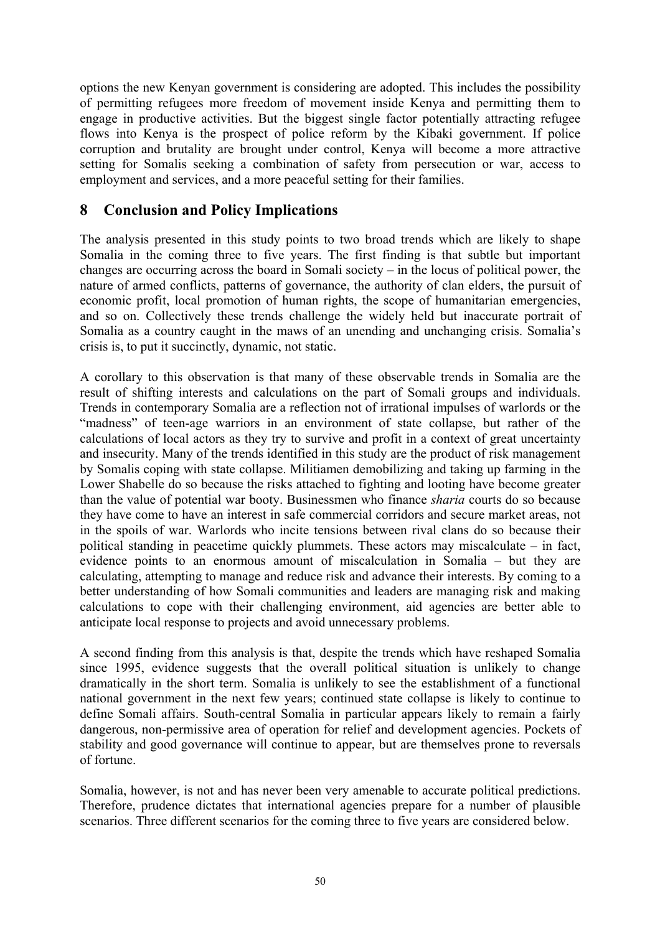<span id="page-55-0"></span>options the new Kenyan government is considering are adopted. This includes the possibility of permitting refugees more freedom of movement inside Kenya and permitting them to engage in productive activities. But the biggest single factor potentially attracting refugee flows into Kenya is the prospect of police reform by the Kibaki government. If police corruption and brutality are brought under control, Kenya will become a more attractive setting for Somalis seeking a combination of safety from persecution or war, access to employment and services, and a more peaceful setting for their families.

# **8 Conclusion and Policy Implications**

The analysis presented in this study points to two broad trends which are likely to shape Somalia in the coming three to five years. The first finding is that subtle but important changes are occurring across the board in Somali society – in the locus of political power, the nature of armed conflicts, patterns of governance, the authority of clan elders, the pursuit of economic profit, local promotion of human rights, the scope of humanitarian emergencies, and so on. Collectively these trends challenge the widely held but inaccurate portrait of Somalia as a country caught in the maws of an unending and unchanging crisis. Somalia's crisis is, to put it succinctly, dynamic, not static.

A corollary to this observation is that many of these observable trends in Somalia are the result of shifting interests and calculations on the part of Somali groups and individuals. Trends in contemporary Somalia are a reflection not of irrational impulses of warlords or the "madness" of teen-age warriors in an environment of state collapse, but rather of the calculations of local actors as they try to survive and profit in a context of great uncertainty and insecurity. Many of the trends identified in this study are the product of risk management by Somalis coping with state collapse. Militiamen demobilizing and taking up farming in the Lower Shabelle do so because the risks attached to fighting and looting have become greater than the value of potential war booty. Businessmen who finance *sharia* courts do so because they have come to have an interest in safe commercial corridors and secure market areas, not in the spoils of war. Warlords who incite tensions between rival clans do so because their political standing in peacetime quickly plummets. These actors may miscalculate – in fact, evidence points to an enormous amount of miscalculation in Somalia – but they are calculating, attempting to manage and reduce risk and advance their interests. By coming to a better understanding of how Somali communities and leaders are managing risk and making calculations to cope with their challenging environment, aid agencies are better able to anticipate local response to projects and avoid unnecessary problems.

A second finding from this analysis is that, despite the trends which have reshaped Somalia since 1995, evidence suggests that the overall political situation is unlikely to change dramatically in the short term. Somalia is unlikely to see the establishment of a functional national government in the next few years; continued state collapse is likely to continue to define Somali affairs. South-central Somalia in particular appears likely to remain a fairly dangerous, non-permissive area of operation for relief and development agencies. Pockets of stability and good governance will continue to appear, but are themselves prone to reversals of fortune.

Somalia, however, is not and has never been very amenable to accurate political predictions. Therefore, prudence dictates that international agencies prepare for a number of plausible scenarios. Three different scenarios for the coming three to five years are considered below.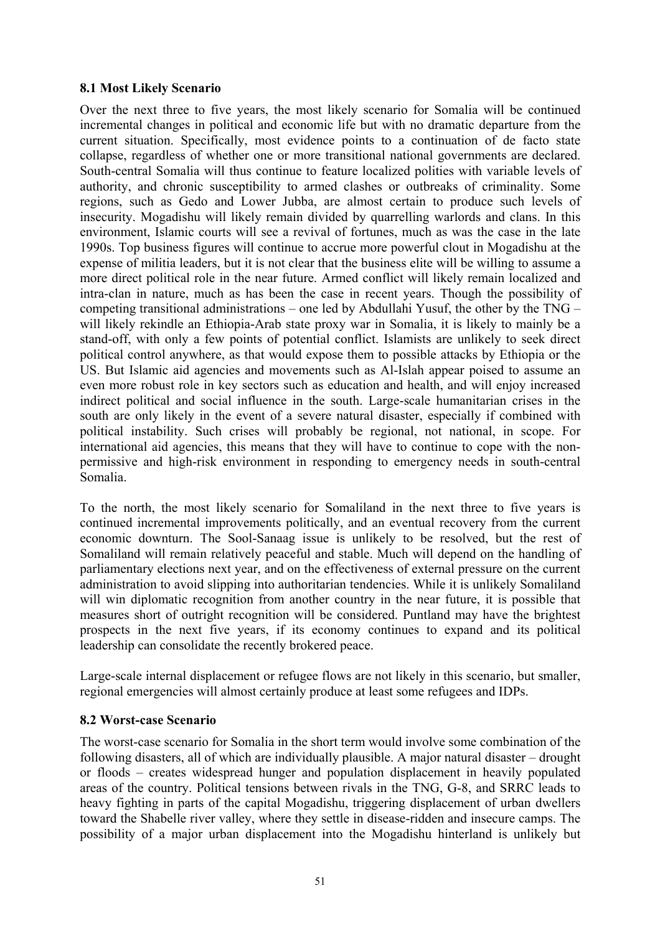#### <span id="page-56-0"></span>**8.1 Most Likely Scenario**

Over the next three to five years, the most likely scenario for Somalia will be continued incremental changes in political and economic life but with no dramatic departure from the current situation. Specifically, most evidence points to a continuation of de facto state collapse, regardless of whether one or more transitional national governments are declared. South-central Somalia will thus continue to feature localized polities with variable levels of authority, and chronic susceptibility to armed clashes or outbreaks of criminality. Some regions, such as Gedo and Lower Jubba, are almost certain to produce such levels of insecurity. Mogadishu will likely remain divided by quarrelling warlords and clans. In this environment, Islamic courts will see a revival of fortunes, much as was the case in the late 1990s. Top business figures will continue to accrue more powerful clout in Mogadishu at the expense of militia leaders, but it is not clear that the business elite will be willing to assume a more direct political role in the near future. Armed conflict will likely remain localized and intra-clan in nature, much as has been the case in recent years. Though the possibility of competing transitional administrations – one led by Abdullahi Yusuf, the other by the TNG – will likely rekindle an Ethiopia-Arab state proxy war in Somalia, it is likely to mainly be a stand-off, with only a few points of potential conflict. Islamists are unlikely to seek direct political control anywhere, as that would expose them to possible attacks by Ethiopia or the US. But Islamic aid agencies and movements such as Al-Islah appear poised to assume an even more robust role in key sectors such as education and health, and will enjoy increased indirect political and social influence in the south. Large-scale humanitarian crises in the south are only likely in the event of a severe natural disaster, especially if combined with political instability. Such crises will probably be regional, not national, in scope. For international aid agencies, this means that they will have to continue to cope with the nonpermissive and high-risk environment in responding to emergency needs in south-central Somalia.

To the north, the most likely scenario for Somaliland in the next three to five years is continued incremental improvements politically, and an eventual recovery from the current economic downturn. The Sool-Sanaag issue is unlikely to be resolved, but the rest of Somaliland will remain relatively peaceful and stable. Much will depend on the handling of parliamentary elections next year, and on the effectiveness of external pressure on the current administration to avoid slipping into authoritarian tendencies. While it is unlikely Somaliland will win diplomatic recognition from another country in the near future, it is possible that measures short of outright recognition will be considered. Puntland may have the brightest prospects in the next five years, if its economy continues to expand and its political leadership can consolidate the recently brokered peace.

Large-scale internal displacement or refugee flows are not likely in this scenario, but smaller, regional emergencies will almost certainly produce at least some refugees and IDPs.

## **8.2 Worst-case Scenario**

The worst-case scenario for Somalia in the short term would involve some combination of the following disasters, all of which are individually plausible. A major natural disaster – drought or floods – creates widespread hunger and population displacement in heavily populated areas of the country. Political tensions between rivals in the TNG, G-8, and SRRC leads to heavy fighting in parts of the capital Mogadishu, triggering displacement of urban dwellers toward the Shabelle river valley, where they settle in disease-ridden and insecure camps. The possibility of a major urban displacement into the Mogadishu hinterland is unlikely but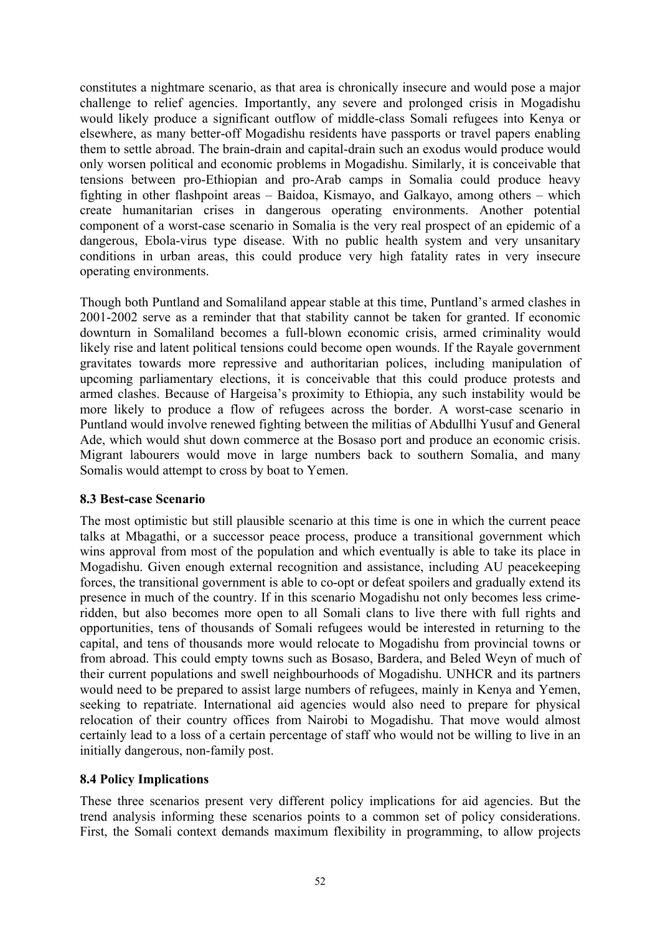<span id="page-57-0"></span>constitutes a nightmare scenario, as that area is chronically insecure and would pose a major challenge to relief agencies. Importantly, any severe and prolonged crisis in Mogadishu would likely produce a significant outflow of middle-class Somali refugees into Kenya or elsewhere, as many better-off Mogadishu residents have passports or travel papers enabling them to settle abroad. The brain-drain and capital-drain such an exodus would produce would only worsen political and economic problems in Mogadishu. Similarly, it is conceivable that tensions between pro-Ethiopian and pro-Arab camps in Somalia could produce heavy fighting in other flashpoint areas – Baidoa, Kismayo, and Galkayo, among others – which create humanitarian crises in dangerous operating environments. Another potential component of a worst-case scenario in Somalia is the very real prospect of an epidemic of a dangerous, Ebola-virus type disease. With no public health system and very unsanitary conditions in urban areas, this could produce very high fatality rates in very insecure operating environments.

Though both Puntland and Somaliland appear stable at this time, Puntland's armed clashes in 2001-2002 serve as a reminder that that stability cannot be taken for granted. If economic downturn in Somaliland becomes a full-blown economic crisis, armed criminality would likely rise and latent political tensions could become open wounds. If the Rayale government gravitates towards more repressive and authoritarian polices, including manipulation of upcoming parliamentary elections, it is conceivable that this could produce protests and armed clashes. Because of Hargeisa's proximity to Ethiopia, any such instability would be more likely to produce a flow of refugees across the border. A worst-case scenario in Puntland would involve renewed fighting between the militias of Abdullhi Yusuf and General Ade, which would shut down commerce at the Bosaso port and produce an economic crisis. Migrant labourers would move in large numbers back to southern Somalia, and many Somalis would attempt to cross by boat to Yemen.

## **8.3 Best-case Scenario**

The most optimistic but still plausible scenario at this time is one in which the current peace talks at Mbagathi, or a successor peace process, produce a transitional government which wins approval from most of the population and which eventually is able to take its place in Mogadishu. Given enough external recognition and assistance, including AU peacekeeping forces, the transitional government is able to co-opt or defeat spoilers and gradually extend its presence in much of the country. If in this scenario Mogadishu not only becomes less crimeridden, but also becomes more open to all Somali clans to live there with full rights and opportunities, tens of thousands of Somali refugees would be interested in returning to the capital, and tens of thousands more would relocate to Mogadishu from provincial towns or from abroad. This could empty towns such as Bosaso, Bardera, and Beled Weyn of much of their current populations and swell neighbourhoods of Mogadishu. UNHCR and its partners would need to be prepared to assist large numbers of refugees, mainly in Kenya and Yemen, seeking to repatriate. International aid agencies would also need to prepare for physical relocation of their country offices from Nairobi to Mogadishu. That move would almost certainly lead to a loss of a certain percentage of staff who would not be willing to live in an initially dangerous, non-family post.

## **8.4 Policy Implications**

These three scenarios present very different policy implications for aid agencies. But the trend analysis informing these scenarios points to a common set of policy considerations. First, the Somali context demands maximum flexibility in programming, to allow projects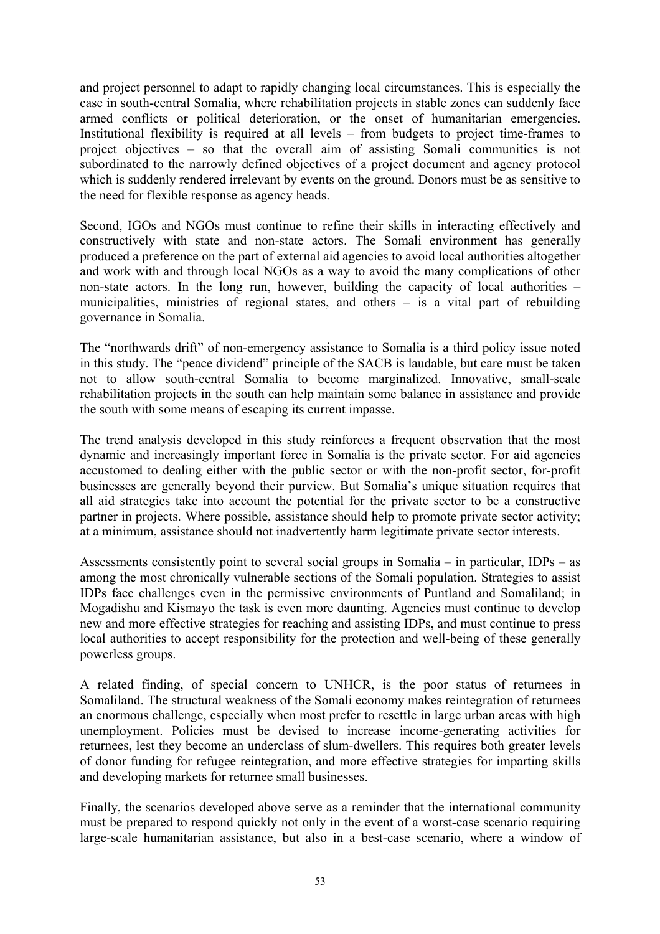and project personnel to adapt to rapidly changing local circumstances. This is especially the case in south-central Somalia, where rehabilitation projects in stable zones can suddenly face armed conflicts or political deterioration, or the onset of humanitarian emergencies. Institutional flexibility is required at all levels – from budgets to project time-frames to project objectives – so that the overall aim of assisting Somali communities is not subordinated to the narrowly defined objectives of a project document and agency protocol which is suddenly rendered irrelevant by events on the ground. Donors must be as sensitive to the need for flexible response as agency heads.

Second, IGOs and NGOs must continue to refine their skills in interacting effectively and constructively with state and non-state actors. The Somali environment has generally produced a preference on the part of external aid agencies to avoid local authorities altogether and work with and through local NGOs as a way to avoid the many complications of other non-state actors. In the long run, however, building the capacity of local authorities – municipalities, ministries of regional states, and others – is a vital part of rebuilding governance in Somalia.

The "northwards drift" of non-emergency assistance to Somalia is a third policy issue noted in this study. The "peace dividend" principle of the SACB is laudable, but care must be taken not to allow south-central Somalia to become marginalized. Innovative, small-scale rehabilitation projects in the south can help maintain some balance in assistance and provide the south with some means of escaping its current impasse.

The trend analysis developed in this study reinforces a frequent observation that the most dynamic and increasingly important force in Somalia is the private sector. For aid agencies accustomed to dealing either with the public sector or with the non-profit sector, for-profit businesses are generally beyond their purview. But Somalia's unique situation requires that all aid strategies take into account the potential for the private sector to be a constructive partner in projects. Where possible, assistance should help to promote private sector activity; at a minimum, assistance should not inadvertently harm legitimate private sector interests.

Assessments consistently point to several social groups in Somalia – in particular, IDPs – as among the most chronically vulnerable sections of the Somali population. Strategies to assist IDPs face challenges even in the permissive environments of Puntland and Somaliland; in Mogadishu and Kismayo the task is even more daunting. Agencies must continue to develop new and more effective strategies for reaching and assisting IDPs, and must continue to press local authorities to accept responsibility for the protection and well-being of these generally powerless groups.

A related finding, of special concern to UNHCR, is the poor status of returnees in Somaliland. The structural weakness of the Somali economy makes reintegration of returnees an enormous challenge, especially when most prefer to resettle in large urban areas with high unemployment. Policies must be devised to increase income-generating activities for returnees, lest they become an underclass of slum-dwellers. This requires both greater levels of donor funding for refugee reintegration, and more effective strategies for imparting skills and developing markets for returnee small businesses.

Finally, the scenarios developed above serve as a reminder that the international community must be prepared to respond quickly not only in the event of a worst-case scenario requiring large-scale humanitarian assistance, but also in a best-case scenario, where a window of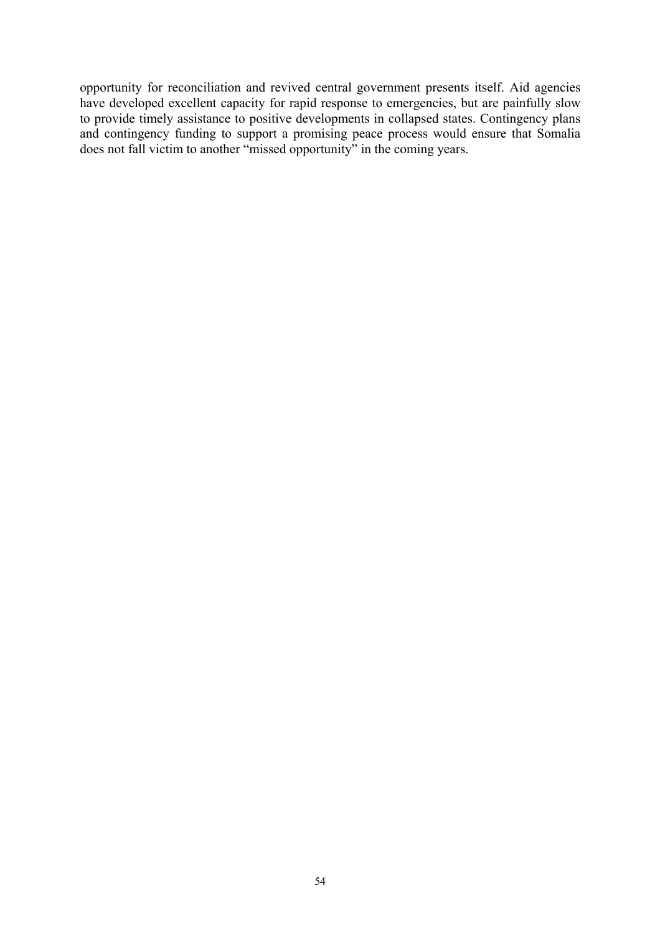opportunity for reconciliation and revived central government presents itself. Aid agencies have developed excellent capacity for rapid response to emergencies, but are painfully slow to provide timely assistance to positive developments in collapsed states. Contingency plans and contingency funding to support a promising peace process would ensure that Somalia does not fall victim to another "missed opportunity" in the coming years.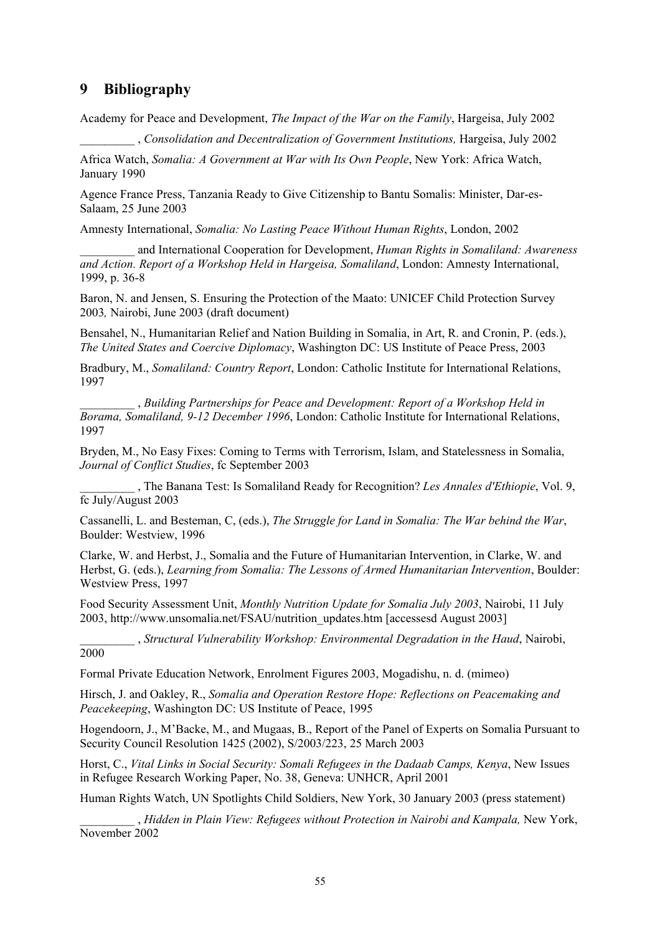# <span id="page-60-0"></span>**9 Bibliography**

2000

Academy for Peace and Development, *The Impact of the War on the Family*, Hargeisa, July 2002

\_\_\_\_\_\_\_\_\_ , *Consolidation and Decentralization of Government Institutions,* Hargeisa, July 2002

Africa Watch, *Somalia: A Government at War with Its Own People*, New York: Africa Watch, January 1990

Agence France Press, Tanzania Ready to Give Citizenship to Bantu Somalis: Minister, Dar-es-Salaam, 25 June 2003

Amnesty International, *Somalia: No Lasting Peace Without Human Rights*, London, 2002

\_\_\_\_\_\_\_\_\_ and International Cooperation for Development, *Human Rights in Somaliland: Awareness and Action. Report of a Workshop Held in Hargeisa, Somaliland*, London: Amnesty International, 1999, p. 36-8

Baron, N. and Jensen, S. Ensuring the Protection of the Maato: UNICEF Child Protection Survey 2003*,* Nairobi, June 2003 (draft document)

Bensahel, N., Humanitarian Relief and Nation Building in Somalia, in Art, R. and Cronin, P. (eds.), *The United States and Coercive Diplomacy*, Washington DC: US Institute of Peace Press, 2003

Bradbury, M., *Somaliland: Country Report*, London: Catholic Institute for International Relations, 1997

\_\_\_\_\_\_\_\_\_ , *Building Partnerships for Peace and Development: Report of a Workshop Held in Borama, Somaliland, 9-12 December 1996*, London: Catholic Institute for International Relations, 1997

Bryden, M., No Easy Fixes: Coming to Terms with Terrorism, Islam, and Statelessness in Somalia, *Journal of Conflict Studies*, fc September 2003

\_\_\_\_\_\_\_\_\_ , The Banana Test: Is Somaliland Ready for Recognition? *Les Annales d'Ethiopie*, Vol. 9, fc July/August 2003

Cassanelli, L. and Besteman, C, (eds.), *The Struggle for Land in Somalia: The War behind the War*, Boulder: Westview, 1996

Clarke, W. and Herbst, J., Somalia and the Future of Humanitarian Intervention, in Clarke, W. and Herbst, G. (eds.), *Learning from Somalia: The Lessons of Armed Humanitarian Intervention*, Boulder: Westview Press, 1997

Food Security Assessment Unit, *Monthly Nutrition Update for Somalia July 2003*, Nairobi, 11 July 2003, http://www.unsomalia.net/FSAU/nutrition\_updates.htm [accessesd August 2003]

\_\_\_\_\_\_\_\_\_ , *Structural Vulnerability Workshop: Environmental Degradation in the Haud*, Nairobi,

Formal Private Education Network, Enrolment Figures 2003, Mogadishu, n. d. (mimeo)

Hirsch, J. and Oakley, R., *Somalia and Operation Restore Hope: Reflections on Peacemaking and Peacekeeping*, Washington DC: US Institute of Peace, 1995

Hogendoorn, J., M'Backe, M., and Mugaas, B., Report of the Panel of Experts on Somalia Pursuant to Security Council Resolution 1425 (2002), S/2003/223, 25 March 2003

Horst, C., *Vital Links in Social Security: Somali Refugees in the Dadaab Camps, Kenya*, New Issues in Refugee Research Working Paper, No. 38, Geneva: UNHCR, April 2001

Human Rights Watch, UN Spotlights Child Soldiers, New York, 30 January 2003 (press statement)

\_\_\_\_\_\_\_\_\_ , *Hidden in Plain View: Refugees without Protection in Nairobi and Kampala,* New York, November 2002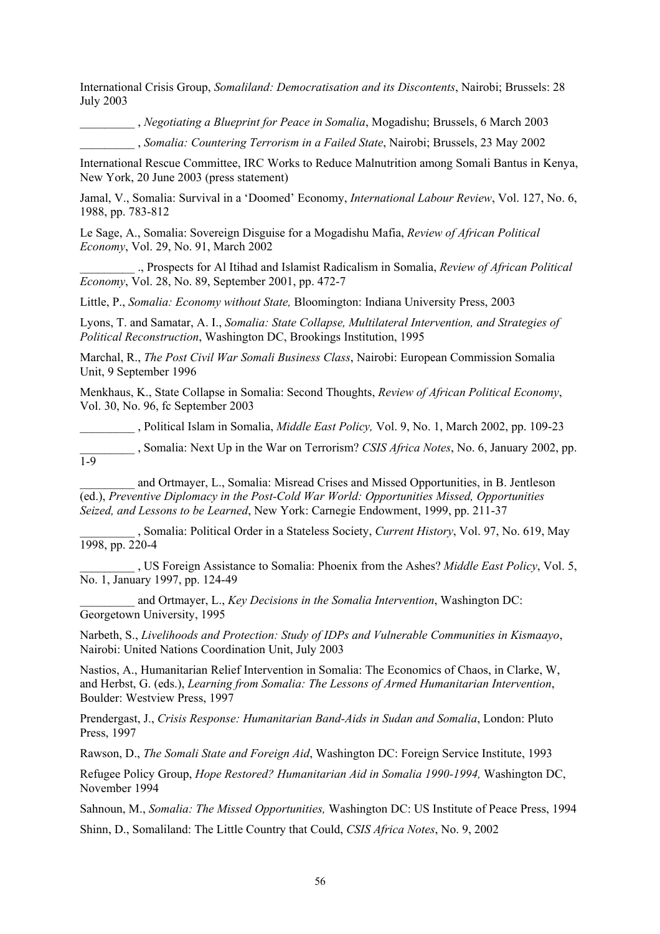International Crisis Group, *Somaliland: Democratisation and its Discontents*, Nairobi; Brussels: 28 July 2003

\_\_\_\_\_\_\_\_\_ , *Negotiating a Blueprint for Peace in Somalia*, Mogadishu; Brussels, 6 March 2003

\_\_\_\_\_\_\_\_\_ , *Somalia: Countering Terrorism in a Failed State*, Nairobi; Brussels, 23 May 2002

International Rescue Committee, IRC Works to Reduce Malnutrition among Somali Bantus in Kenya, New York, 20 June 2003 (press statement)

Jamal, V., Somalia: Survival in a 'Doomed' Economy, *International Labour Review*, Vol. 127, No. 6, 1988, pp. 783-812

Le Sage, A., Somalia: Sovereign Disguise for a Mogadishu Mafia, *Review of African Political Economy*, Vol. 29, No. 91, March 2002

\_\_\_\_\_\_\_\_\_ ., Prospects for Al Itihad and Islamist Radicalism in Somalia, *Review of African Political Economy*, Vol. 28, No. 89, September 2001, pp. 472-7

Little, P., *Somalia: Economy without State,* Bloomington: Indiana University Press, 2003

Lyons, T. and Samatar, A. I., *Somalia: State Collapse, Multilateral Intervention, and Strategies of Political Reconstruction*, Washington DC, Brookings Institution, 1995

Marchal, R., *The Post Civil War Somali Business Class*, Nairobi: European Commission Somalia Unit, 9 September 1996

Menkhaus, K., State Collapse in Somalia: Second Thoughts, *Review of African Political Economy*, Vol. 30, No. 96, fc September 2003

\_\_\_\_\_\_\_\_\_ , Political Islam in Somalia, *Middle East Policy,* Vol. 9, No. 1, March 2002, pp. 109-23

\_\_\_\_\_\_\_\_\_ , Somalia: Next Up in the War on Terrorism? *CSIS Africa Notes*, No. 6, January 2002, pp. 1-9

\_\_\_\_\_\_\_\_\_ and Ortmayer, L., Somalia: Misread Crises and Missed Opportunities, in B. Jentleson (ed.), *Preventive Diplomacy in the Post-Cold War World: Opportunities Missed, Opportunities Seized, and Lessons to be Learned*, New York: Carnegie Endowment, 1999, pp. 211-37

\_\_\_\_\_\_\_\_\_ , Somalia: Political Order in a Stateless Society, *Current History*, Vol. 97, No. 619, May 1998, pp. 220-4

\_\_\_\_\_\_\_\_\_ , US Foreign Assistance to Somalia: Phoenix from the Ashes? *Middle East Policy*, Vol. 5, No. 1, January 1997, pp. 124-49

\_\_\_\_\_\_\_\_\_ and Ortmayer, L., *Key Decisions in the Somalia Intervention*, Washington DC: Georgetown University, 1995

Narbeth, S., *Livelihoods and Protection: Study of IDPs and Vulnerable Communities in Kismaayo*, Nairobi: United Nations Coordination Unit, July 2003

Nastios, A., Humanitarian Relief Intervention in Somalia: The Economics of Chaos, in Clarke, W, and Herbst, G. (eds.), *Learning from Somalia: The Lessons of Armed Humanitarian Intervention*, Boulder: Westview Press, 1997

Prendergast, J., *Crisis Response: Humanitarian Band-Aids in Sudan and Somalia*, London: Pluto Press, 1997

Rawson, D., *The Somali State and Foreign Aid*, Washington DC: Foreign Service Institute, 1993

Refugee Policy Group, *Hope Restored? Humanitarian Aid in Somalia 1990-1994,* Washington DC, November 1994

Sahnoun, M., *Somalia: The Missed Opportunities,* Washington DC: US Institute of Peace Press, 1994

Shinn, D., Somaliland: The Little Country that Could, *CSIS Africa Notes*, No. 9, 2002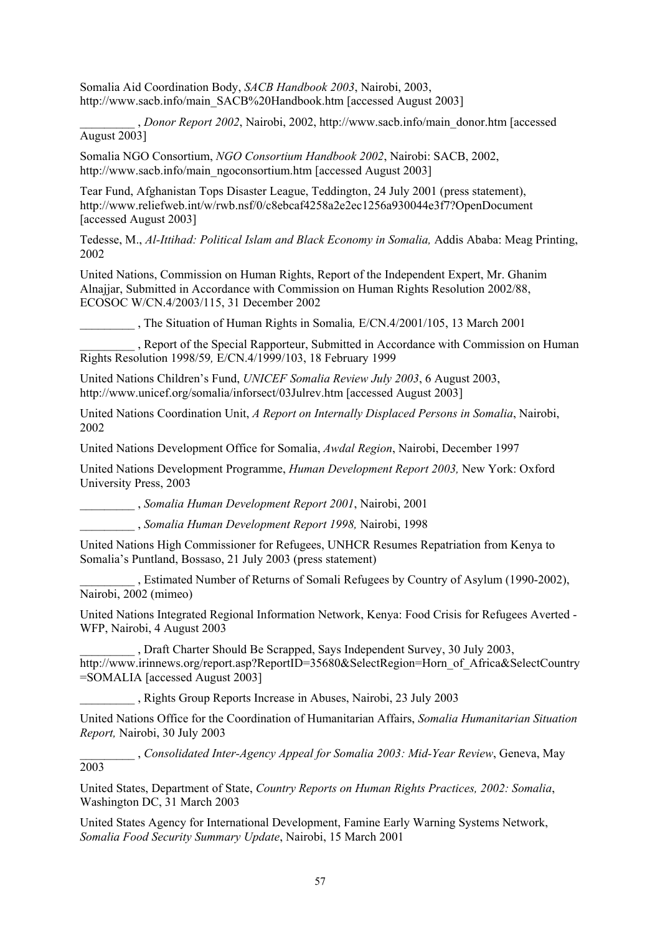Somalia Aid Coordination Body, *SACB Handbook 2003*, Nairobi, 2003, http://www.sacb.info/main\_SACB%20Handbook.htm [accessed August 2003]

\_\_\_\_\_\_\_\_\_ , *Donor Report 2002*, Nairobi, 2002, http://www.sacb.info/main\_donor.htm [accessed August 2003]

Somalia NGO Consortium, *NGO Consortium Handbook 2002*, Nairobi: SACB, 2002, http://www.sacb.info/main\_ngoconsortium.htm [accessed August 2003]

Tear Fund, Afghanistan Tops Disaster League, Teddington, 24 July 2001 (press statement), http://www.reliefweb.int/w/rwb.nsf/0/c8ebcaf4258a2e2ec1256a930044e3f7?OpenDocument [accessed August 2003]

Tedesse, M., *Al-Ittihad: Political Islam and Black Economy in Somalia,* Addis Ababa: Meag Printing, 2002

United Nations, Commission on Human Rights, Report of the Independent Expert, Mr. Ghanim Alnajjar, Submitted in Accordance with Commission on Human Rights Resolution 2002/88, ECOSOC W/CN.4/2003/115, 31 December 2002

\_\_\_\_\_\_\_\_\_ , The Situation of Human Rights in Somalia*,* E/CN.4/2001/105, 13 March 2001

\_\_\_\_\_\_\_\_\_ , Report of the Special Rapporteur, Submitted in Accordance with Commission on Human Rights Resolution 1998/59*,* E/CN.4/1999/103, 18 February 1999

United Nations Children's Fund, *UNICEF Somalia Review July 2003*, 6 August 2003, http://www.unicef.org/somalia/inforsect/03Julrev.htm [accessed August 2003]

United Nations Coordination Unit, *A Report on Internally Displaced Persons in Somalia*, Nairobi, 2002

United Nations Development Office for Somalia, *Awdal Region*, Nairobi, December 1997

United Nations Development Programme, *Human Development Report 2003,* New York: Oxford University Press, 2003

\_\_\_\_\_\_\_\_\_ , *Somalia Human Development Report 2001*, Nairobi, 2001

\_\_\_\_\_\_\_\_\_ , *Somalia Human Development Report 1998,* Nairobi, 1998

United Nations High Commissioner for Refugees, UNHCR Resumes Repatriation from Kenya to Somalia's Puntland, Bossaso, 21 July 2003 (press statement)

\_\_\_\_\_\_\_\_\_ , Estimated Number of Returns of Somali Refugees by Country of Asylum (1990-2002), Nairobi, 2002 (mimeo)

United Nations Integrated Regional Information Network, Kenya: Food Crisis for Refugees Averted - WFP, Nairobi, 4 August 2003

\_\_\_\_\_\_\_\_\_ , Draft Charter Should Be Scrapped, Says Independent Survey, 30 July 2003, http://www.irinnews.org/report.asp?ReportID=35680&SelectRegion=Horn\_of\_Africa&SelectCountry =SOMALIA [accessed August 2003]

\_\_\_\_\_\_\_\_\_ , Rights Group Reports Increase in Abuses, Nairobi, 23 July 2003

United Nations Office for the Coordination of Humanitarian Affairs, *Somalia Humanitarian Situation Report,* Nairobi, 30 July 2003

\_\_\_\_\_\_\_\_\_ , *Consolidated Inter-Agency Appeal for Somalia 2003: Mid-Year Review*, Geneva, May 2003

United States, Department of State, *Country Reports on Human Rights Practices, 2002: Somalia*, Washington DC, 31 March 2003

United States Agency for International Development, Famine Early Warning Systems Network, *Somalia Food Security Summary Update*, Nairobi, 15 March 2001